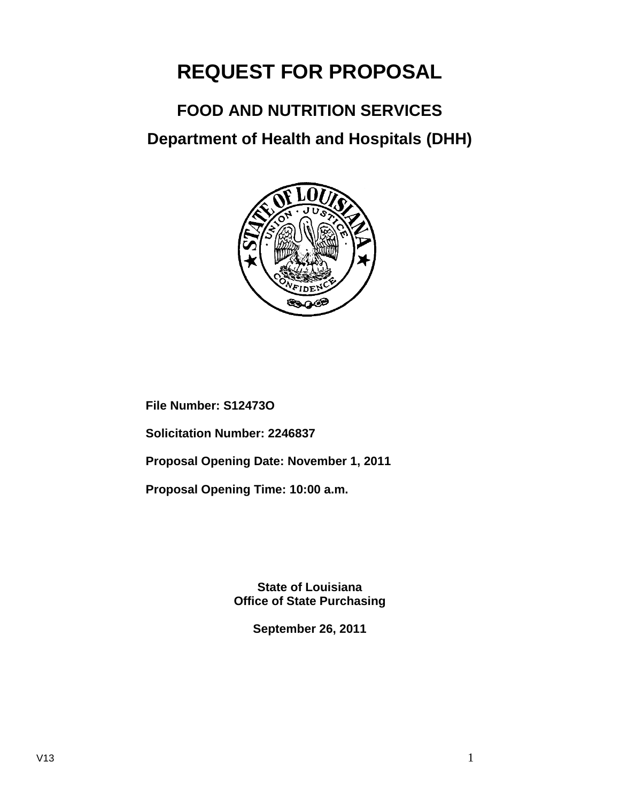# **REQUEST FOR PROPOSAL**

# **FOOD AND NUTRITION SERVICES**

# **Department of Health and Hospitals (DHH)**



**File Number: S12473O**

**Solicitation Number: 2246837**

**Proposal Opening Date: November 1, 2011**

**Proposal Opening Time: 10:00 a.m.**

**State of Louisiana Office of State Purchasing**

**September 26, 2011**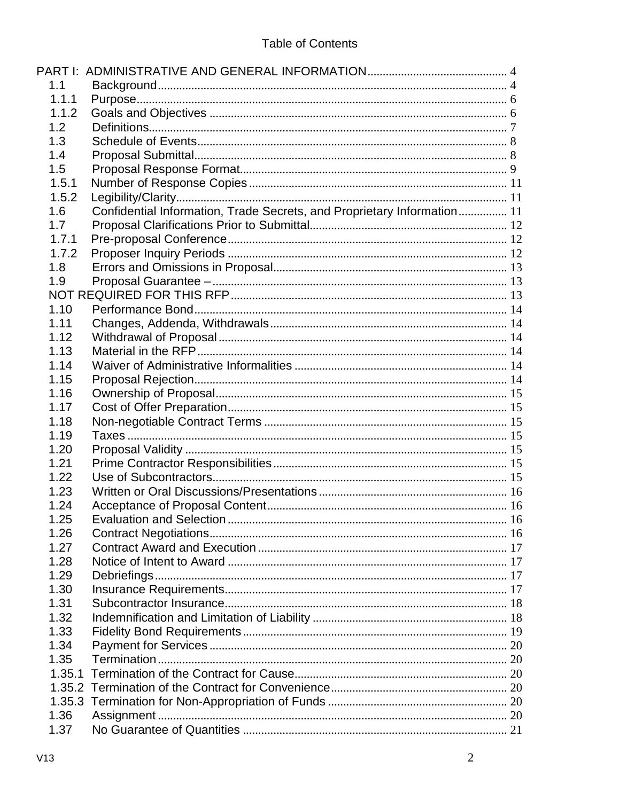| 1.1    |                                                                         |  |
|--------|-------------------------------------------------------------------------|--|
| 1.1.1  |                                                                         |  |
| 1.1.2  |                                                                         |  |
| 1.2    |                                                                         |  |
| 1.3    |                                                                         |  |
| 1.4    |                                                                         |  |
| 1.5    |                                                                         |  |
| 1.5.1  |                                                                         |  |
| 1.5.2  |                                                                         |  |
| 1.6    | Confidential Information, Trade Secrets, and Proprietary Information 11 |  |
| 1.7    |                                                                         |  |
| 1.7.1  |                                                                         |  |
| 1.7.2  |                                                                         |  |
| 1.8    |                                                                         |  |
| 1.9    |                                                                         |  |
|        |                                                                         |  |
| 1.10   |                                                                         |  |
| 1.11   |                                                                         |  |
| 1.12   |                                                                         |  |
| 1.13   |                                                                         |  |
| 1.14   |                                                                         |  |
| 1.15   |                                                                         |  |
| 1.16   |                                                                         |  |
| 1.17   |                                                                         |  |
| 1.18   |                                                                         |  |
| 1.19   |                                                                         |  |
| 1.20   |                                                                         |  |
| 1.21   |                                                                         |  |
| 1.22   |                                                                         |  |
| 1.23   |                                                                         |  |
| 1.24   |                                                                         |  |
| 1.25   |                                                                         |  |
| 1.26   |                                                                         |  |
| 1.27   |                                                                         |  |
| 1.28   |                                                                         |  |
| 1.29   |                                                                         |  |
| 1.30   |                                                                         |  |
| 1.31   |                                                                         |  |
| 1.32   |                                                                         |  |
| 1.33   |                                                                         |  |
|        |                                                                         |  |
| 1.34   |                                                                         |  |
| 1.35   |                                                                         |  |
| 1.35.1 |                                                                         |  |
|        |                                                                         |  |
|        |                                                                         |  |
| 1.36   |                                                                         |  |
| 1.37   |                                                                         |  |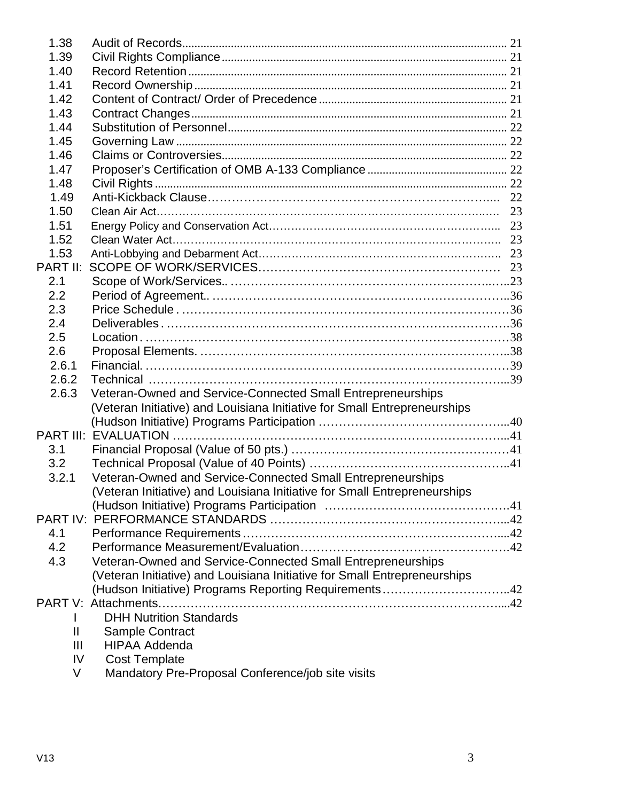| 1.38            |                                                                           |  |
|-----------------|---------------------------------------------------------------------------|--|
| 1.39            |                                                                           |  |
| 1.40            |                                                                           |  |
| 1.41            |                                                                           |  |
| 1.42            |                                                                           |  |
| 1.43            |                                                                           |  |
| 1.44            |                                                                           |  |
| 1.45            |                                                                           |  |
| 1.46            |                                                                           |  |
| 1.47            |                                                                           |  |
| 1.48            |                                                                           |  |
| 1.49            |                                                                           |  |
| 1.50            |                                                                           |  |
| 1.51            |                                                                           |  |
| 1.52            |                                                                           |  |
| 1.53            |                                                                           |  |
| <b>PART II:</b> |                                                                           |  |
| 2.1             |                                                                           |  |
| 2.2             |                                                                           |  |
| 2.3             |                                                                           |  |
| 2.4             |                                                                           |  |
| 2.5             |                                                                           |  |
| 2.6             |                                                                           |  |
| 2.6.1           |                                                                           |  |
| 2.6.2           |                                                                           |  |
| 2.6.3           | Veteran-Owned and Service-Connected Small Entrepreneurships               |  |
|                 | (Veteran Initiative) and Louisiana Initiative for Small Entrepreneurships |  |
|                 |                                                                           |  |
|                 |                                                                           |  |
| 3.1             |                                                                           |  |
| 3.2             |                                                                           |  |
| 3.2.1           | Veteran-Owned and Service-Connected Small Entrepreneurships               |  |
|                 | (Veteran Initiative) and Louisiana Initiative for Small Entrepreneurships |  |
|                 |                                                                           |  |
|                 |                                                                           |  |
| 4.1             |                                                                           |  |
| 4.2             |                                                                           |  |
| 4.3             | Veteran-Owned and Service-Connected Small Entrepreneurships               |  |
|                 | (Veteran Initiative) and Louisiana Initiative for Small Entrepreneurships |  |
|                 |                                                                           |  |
|                 |                                                                           |  |
|                 | <b>DHH Nutrition Standards</b>                                            |  |
| $\mathbf{I}$    | Sample Contract                                                           |  |
| $\mathbf{III}$  | <b>HIPAA Addenda</b>                                                      |  |
| IV              | <b>Cost Template</b>                                                      |  |
| V               | Mandatory Pre-Proposal Conference/job site visits                         |  |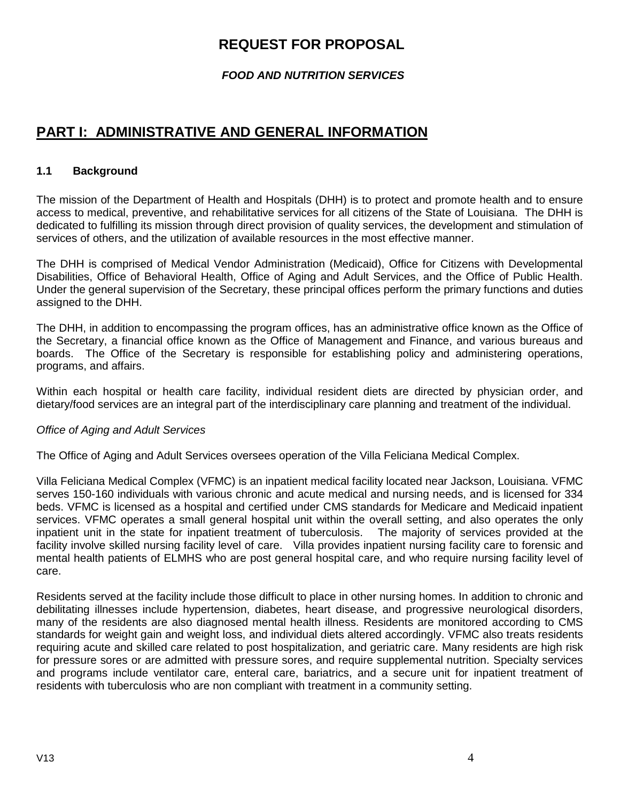# **REQUEST FOR PROPOSAL**

# *FOOD AND NUTRITION SERVICES*

# <span id="page-3-0"></span>**PART I: ADMINISTRATIVE AND GENERAL INFORMATION**

## <span id="page-3-1"></span>**1.1 Background**

The mission of the Department of Health and Hospitals (DHH) is to protect and promote health and to ensure access to medical, preventive, and rehabilitative services for all citizens of the State of Louisiana. The DHH is dedicated to fulfilling its mission through direct provision of quality services, the development and stimulation of services of others, and the utilization of available resources in the most effective manner.

The DHH is comprised of Medical Vendor Administration (Medicaid), Office for Citizens with Developmental Disabilities, Office of Behavioral Health, Office of Aging and Adult Services, and the Office of Public Health. Under the general supervision of the Secretary, these principal offices perform the primary functions and duties assigned to the DHH.

The DHH, in addition to encompassing the program offices, has an administrative office known as the Office of the Secretary, a financial office known as the Office of Management and Finance, and various bureaus and boards. The Office of the Secretary is responsible for establishing policy and administering operations, programs, and affairs.

Within each hospital or health care facility, individual resident diets are directed by physician order, and dietary/food services are an integral part of the interdisciplinary care planning and treatment of the individual.

### *Office of Aging and Adult Services*

The Office of Aging and Adult Services oversees operation of the Villa Feliciana Medical Complex.

Villa Feliciana Medical Complex (VFMC) is an inpatient medical facility located near Jackson, Louisiana. VFMC serves 150-160 individuals with various chronic and acute medical and nursing needs, and is licensed for 334 beds. VFMC is licensed as a hospital and certified under CMS standards for Medicare and Medicaid inpatient services. VFMC operates a small general hospital unit within the overall setting, and also operates the only inpatient unit in the state for inpatient treatment of tuberculosis. The majority of services provided at the facility involve skilled nursing facility level of care. Villa provides inpatient nursing facility care to forensic and mental health patients of ELMHS who are post general hospital care, and who require nursing facility level of care.

Residents served at the facility include those difficult to place in other nursing homes. In addition to chronic and debilitating illnesses include hypertension, diabetes, heart disease, and progressive neurological disorders, many of the residents are also diagnosed mental health illness. Residents are monitored according to CMS standards for weight gain and weight loss, and individual diets altered accordingly. VFMC also treats residents requiring acute and skilled care related to post hospitalization, and geriatric care. Many residents are high risk for pressure sores or are admitted with pressure sores, and require supplemental nutrition. Specialty services and programs include ventilator care, enteral care, bariatrics, and a secure unit for inpatient treatment of residents with tuberculosis who are non compliant with treatment in a community setting.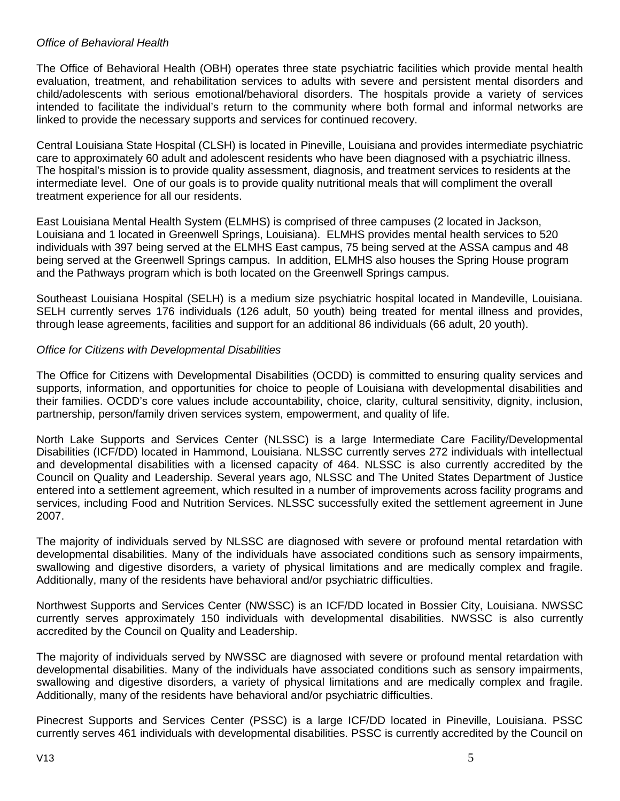### *Office of Behavioral Health*

The Office of Behavioral Health (OBH) operates three state psychiatric facilities which provide mental health evaluation, treatment, and rehabilitation services to adults with severe and persistent mental disorders and child/adolescents with serious emotional/behavioral disorders. The hospitals provide a variety of services intended to facilitate the individual's return to the community where both formal and informal networks are linked to provide the necessary supports and services for continued recovery.

Central Louisiana State Hospital (CLSH) is located in Pineville, Louisiana and provides intermediate psychiatric care to approximately 60 adult and adolescent residents who have been diagnosed with a psychiatric illness. The hospital's mission is to provide quality assessment, diagnosis, and treatment services to residents at the intermediate level. One of our goals is to provide quality nutritional meals that will compliment the overall treatment experience for all our residents.

East Louisiana Mental Health System (ELMHS) is comprised of three campuses (2 located in Jackson, Louisiana and 1 located in Greenwell Springs, Louisiana). ELMHS provides mental health services to 520 individuals with 397 being served at the ELMHS East campus, 75 being served at the ASSA campus and 48 being served at the Greenwell Springs campus. In addition, ELMHS also houses the Spring House program and the Pathways program which is both located on the Greenwell Springs campus.

Southeast Louisiana Hospital (SELH) is a medium size psychiatric hospital located in Mandeville, Louisiana. SELH currently serves 176 individuals (126 adult, 50 youth) being treated for mental illness and provides, through lease agreements, facilities and support for an additional 86 individuals (66 adult, 20 youth).

### *Office for Citizens with Developmental Disabilities*

The Office for Citizens with Developmental Disabilities (OCDD) is committed to ensuring quality services and supports, information, and opportunities for choice to people of Louisiana with developmental disabilities and their families. OCDD's core values include accountability, choice, clarity, cultural sensitivity, dignity, inclusion, partnership, person/family driven services system, empowerment, and quality of life.

North Lake Supports and Services Center (NLSSC) is a large Intermediate Care Facility/Developmental Disabilities (ICF/DD) located in Hammond, Louisiana. NLSSC currently serves 272 individuals with intellectual and developmental disabilities with a licensed capacity of 464. NLSSC is also currently accredited by the Council on Quality and Leadership. Several years ago, NLSSC and The United States Department of Justice entered into a settlement agreement, which resulted in a number of improvements across facility programs and services, including Food and Nutrition Services. NLSSC successfully exited the settlement agreement in June 2007.

The majority of individuals served by NLSSC are diagnosed with severe or profound mental retardation with developmental disabilities. Many of the individuals have associated conditions such as sensory impairments, swallowing and digestive disorders, a variety of physical limitations and are medically complex and fragile. Additionally, many of the residents have behavioral and/or psychiatric difficulties.

Northwest Supports and Services Center (NWSSC) is an ICF/DD located in Bossier City, Louisiana. NWSSC currently serves approximately 150 individuals with developmental disabilities. NWSSC is also currently accredited by the Council on Quality and Leadership.

The majority of individuals served by NWSSC are diagnosed with severe or profound mental retardation with developmental disabilities. Many of the individuals have associated conditions such as sensory impairments, swallowing and digestive disorders, a variety of physical limitations and are medically complex and fragile. Additionally, many of the residents have behavioral and/or psychiatric difficulties.

Pinecrest Supports and Services Center (PSSC) is a large ICF/DD located in Pineville, Louisiana. PSSC currently serves 461 individuals with developmental disabilities. PSSC is currently accredited by the Council on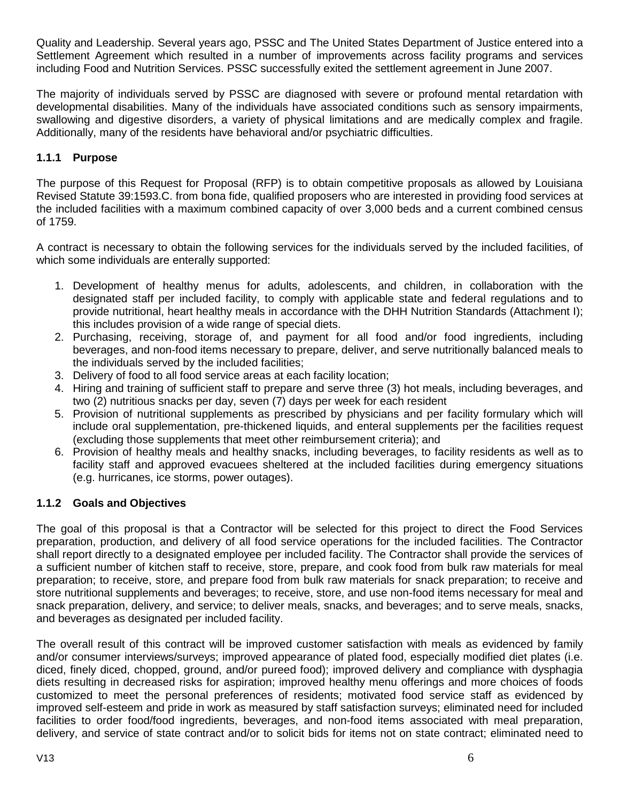Quality and Leadership. Several years ago, PSSC and The United States Department of Justice entered into a Settlement Agreement which resulted in a number of improvements across facility programs and services including Food and Nutrition Services. PSSC successfully exited the settlement agreement in June 2007.

The majority of individuals served by PSSC are diagnosed with severe or profound mental retardation with developmental disabilities. Many of the individuals have associated conditions such as sensory impairments, swallowing and digestive disorders, a variety of physical limitations and are medically complex and fragile. Additionally, many of the residents have behavioral and/or psychiatric difficulties.

# <span id="page-5-0"></span>**1.1.1 Purpose**

The purpose of this Request for Proposal (RFP) is to obtain competitive proposals as allowed by Louisiana Revised Statute 39:1593.C. from bona fide, qualified proposers who are interested in providing food services at the included facilities with a maximum combined capacity of over 3,000 beds and a current combined census of 1759.

A contract is necessary to obtain the following services for the individuals served by the included facilities, of which some individuals are enterally supported:

- 1. Development of healthy menus for adults, adolescents, and children, in collaboration with the designated staff per included facility, to comply with applicable state and federal regulations and to provide nutritional, heart healthy meals in accordance with the DHH Nutrition Standards (Attachment I); this includes provision of a wide range of special diets.
- 2. Purchasing, receiving, storage of, and payment for all food and/or food ingredients, including beverages, and non-food items necessary to prepare, deliver, and serve nutritionally balanced meals to the individuals served by the included facilities;
- 3. Delivery of food to all food service areas at each facility location;
- 4. Hiring and training of sufficient staff to prepare and serve three (3) hot meals, including beverages, and two (2) nutritious snacks per day, seven (7) days per week for each resident
- 5. Provision of nutritional supplements as prescribed by physicians and per facility formulary which will include oral supplementation, pre-thickened liquids, and enteral supplements per the facilities request (excluding those supplements that meet other reimbursement criteria); and
- 6. Provision of healthy meals and healthy snacks, including beverages, to facility residents as well as to facility staff and approved evacuees sheltered at the included facilities during emergency situations (e.g. hurricanes, ice storms, power outages).

# <span id="page-5-1"></span>**1.1.2 Goals and Objectives**

The goal of this proposal is that a Contractor will be selected for this project to direct the Food Services preparation, production, and delivery of all food service operations for the included facilities. The Contractor shall report directly to a designated employee per included facility. The Contractor shall provide the services of a sufficient number of kitchen staff to receive, store, prepare, and cook food from bulk raw materials for meal preparation; to receive, store, and prepare food from bulk raw materials for snack preparation; to receive and store nutritional supplements and beverages; to receive, store, and use non-food items necessary for meal and snack preparation, delivery, and service; to deliver meals, snacks, and beverages; and to serve meals, snacks, and beverages as designated per included facility.

The overall result of this contract will be improved customer satisfaction with meals as evidenced by family and/or consumer interviews/surveys; improved appearance of plated food, especially modified diet plates (i.e. diced, finely diced, chopped, ground, and/or pureed food); improved delivery and compliance with dysphagia diets resulting in decreased risks for aspiration; improved healthy menu offerings and more choices of foods customized to meet the personal preferences of residents; motivated food service staff as evidenced by improved self-esteem and pride in work as measured by staff satisfaction surveys; eliminated need for included facilities to order food/food ingredients, beverages, and non-food items associated with meal preparation, delivery, and service of state contract and/or to solicit bids for items not on state contract; eliminated need to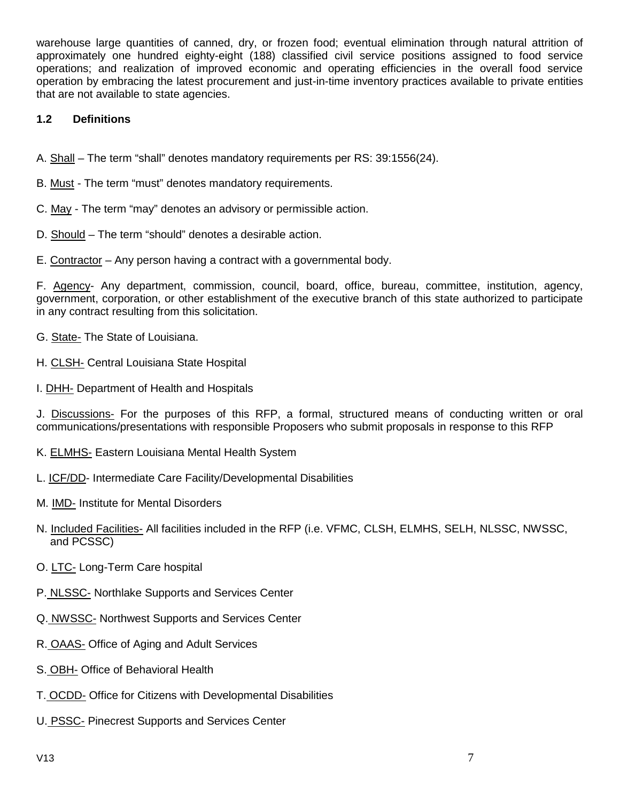warehouse large quantities of canned, dry, or frozen food; eventual elimination through natural attrition of approximately one hundred eighty-eight (188) classified civil service positions assigned to food service operations; and realization of improved economic and operating efficiencies in the overall food service operation by embracing the latest procurement and just-in-time inventory practices available to private entities that are not available to state agencies.

# <span id="page-6-0"></span>**1.2 Definitions**

A. Shall – The term "shall" denotes mandatory requirements per RS: 39:1556(24).

- B. Must The term "must" denotes mandatory requirements.
- C. May The term "may" denotes an advisory or permissible action.
- D. Should The term "should" denotes a desirable action.
- E. Contractor Any person having a contract with a governmental body.

F. Agency- Any department, commission, council, board, office, bureau, committee, institution, agency, government, corporation, or other establishment of the executive branch of this state authorized to participate in any contract resulting from this solicitation.

- G. State- The State of Louisiana.
- H. CLSH- Central Louisiana State Hospital
- I. DHH- Department of Health and Hospitals

J. Discussions- For the purposes of this RFP, a formal, structured means of conducting written or oral communications/presentations with responsible Proposers who submit proposals in response to this RFP

- K. ELMHS- Eastern Louisiana Mental Health System
- L. ICF/DD- Intermediate Care Facility/Developmental Disabilities
- M. IMD- Institute for Mental Disorders
- N. Included Facilities- All facilities included in the RFP (i.e. VFMC, CLSH, ELMHS, SELH, NLSSC, NWSSC, and PCSSC)
- O. LTC- Long-Term Care hospital
- P. NLSSC- Northlake Supports and Services Center
- Q. NWSSC- Northwest Supports and Services Center
- R. OAAS- Office of Aging and Adult Services
- S. OBH- Office of Behavioral Health
- T. OCDD- Office for Citizens with Developmental Disabilities
- U. PSSC- Pinecrest Supports and Services Center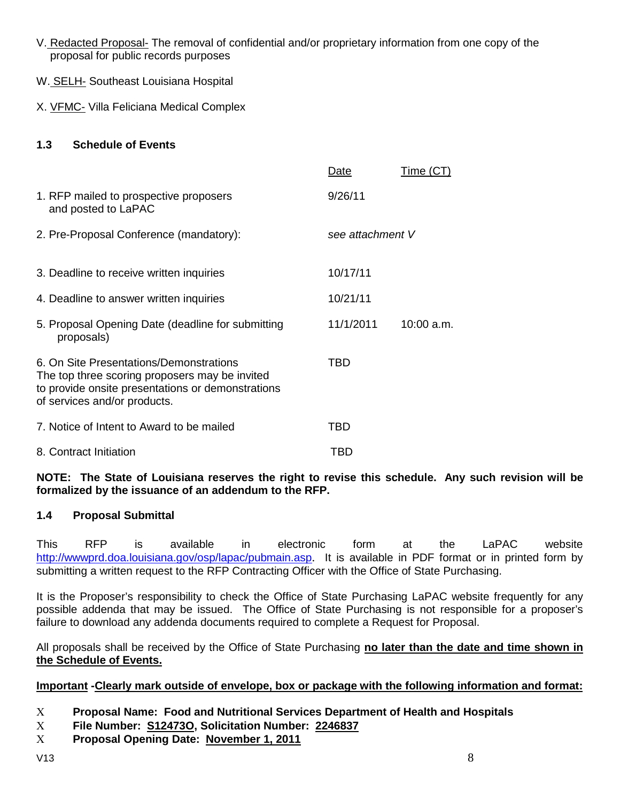- V. Redacted Proposal- The removal of confidential and/or proprietary information from one copy of the proposal for public records purposes
- W. SELH- Southeast Louisiana Hospital
- X. VFMC- Villa Feliciana Medical Complex

# <span id="page-7-0"></span>**1.3 Schedule of Events**

|                                                                                                                                                                                | Date             | Time (CT)    |
|--------------------------------------------------------------------------------------------------------------------------------------------------------------------------------|------------------|--------------|
| 1. RFP mailed to prospective proposers<br>and posted to LaPAC                                                                                                                  | 9/26/11          |              |
| 2. Pre-Proposal Conference (mandatory):                                                                                                                                        | see attachment V |              |
| 3. Deadline to receive written inquiries                                                                                                                                       | 10/17/11         |              |
| 4. Deadline to answer written inquiries                                                                                                                                        | 10/21/11         |              |
| 5. Proposal Opening Date (deadline for submitting<br>proposals)                                                                                                                | 11/1/2011        | $10:00$ a.m. |
| 6. On Site Presentations/Demonstrations<br>The top three scoring proposers may be invited<br>to provide onsite presentations or demonstrations<br>of services and/or products. | TBD              |              |
| 7. Notice of Intent to Award to be mailed                                                                                                                                      | TBD              |              |
| 8. Contract Initiation                                                                                                                                                         | TBD              |              |

## **NOTE: The State of Louisiana reserves the right to revise this schedule. Any such revision will be formalized by the issuance of an addendum to the RFP.**

# <span id="page-7-1"></span>**1.4 Proposal Submittal**

This RFP is available in electronic form at the LaPAC website <http://wwwprd.doa.louisiana.gov/osp/lapac/pubmain.asp>. It is available in PDF format or in printed form by submitting a written request to the RFP Contracting Officer with the Office of State Purchasing.

It is the Proposer's responsibility to check the Office of State Purchasing LaPAC website frequently for any possible addenda that may be issued. The Office of State Purchasing is not responsible for a proposer's failure to download any addenda documents required to complete a Request for Proposal.

All proposals shall be received by the Office of State Purchasing **no later than the date and time shown in the Schedule of Events.**

### **Important -Clearly mark outside of envelope, box or package with the following information and format:**

- Χ **Proposal Name: Food and Nutritional Services Department of Health and Hospitals**
- Χ **File Number: S12473O, Solicitation Number: 2246837**
- Χ **Proposal Opening Date: November 1, 2011**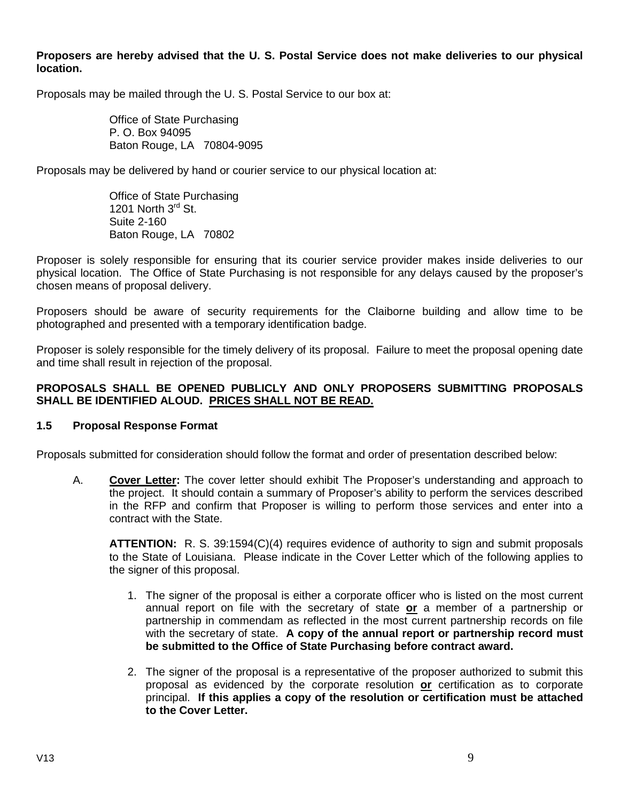**Proposers are hereby advised that the U. S. Postal Service does not make deliveries to our physical location.**

Proposals may be mailed through the U. S. Postal Service to our box at:

Office of State Purchasing P. O. Box 94095 Baton Rouge, LA 70804-9095

Proposals may be delivered by hand or courier service to our physical location at:

Office of State Purchasing 1201 North  $3<sup>rd</sup>$  St. Suite 2-160 Baton Rouge, LA 70802

Proposer is solely responsible for ensuring that its courier service provider makes inside deliveries to our physical location. The Office of State Purchasing is not responsible for any delays caused by the proposer's chosen means of proposal delivery.

Proposers should be aware of security requirements for the Claiborne building and allow time to be photographed and presented with a temporary identification badge.

Proposer is solely responsible for the timely delivery of its proposal. Failure to meet the proposal opening date and time shall result in rejection of the proposal.

### **PROPOSALS SHALL BE OPENED PUBLICLY AND ONLY PROPOSERS SUBMITTING PROPOSALS SHALL BE IDENTIFIED ALOUD. PRICES SHALL NOT BE READ.**

### <span id="page-8-0"></span>**1.5 Proposal Response Format**

Proposals submitted for consideration should follow the format and order of presentation described below:

A. **Cover Letter:** The cover letter should exhibit The Proposer's understanding and approach to the project. It should contain a summary of Proposer's ability to perform the services described in the RFP and confirm that Proposer is willing to perform those services and enter into a contract with the State.

**ATTENTION:** R. S. 39:1594(C)(4) requires evidence of authority to sign and submit proposals to the State of Louisiana. Please indicate in the Cover Letter which of the following applies to the signer of this proposal.

- 1. The signer of the proposal is either a corporate officer who is listed on the most current annual report on file with the secretary of state **or** a member of a partnership or partnership in commendam as reflected in the most current partnership records on file with the secretary of state. **A copy of the annual report or partnership record must be submitted to the Office of State Purchasing before contract award.**
- 2. The signer of the proposal is a representative of the proposer authorized to submit this proposal as evidenced by the corporate resolution **or** certification as to corporate principal. **If this applies a copy of the resolution or certification must be attached to the Cover Letter.**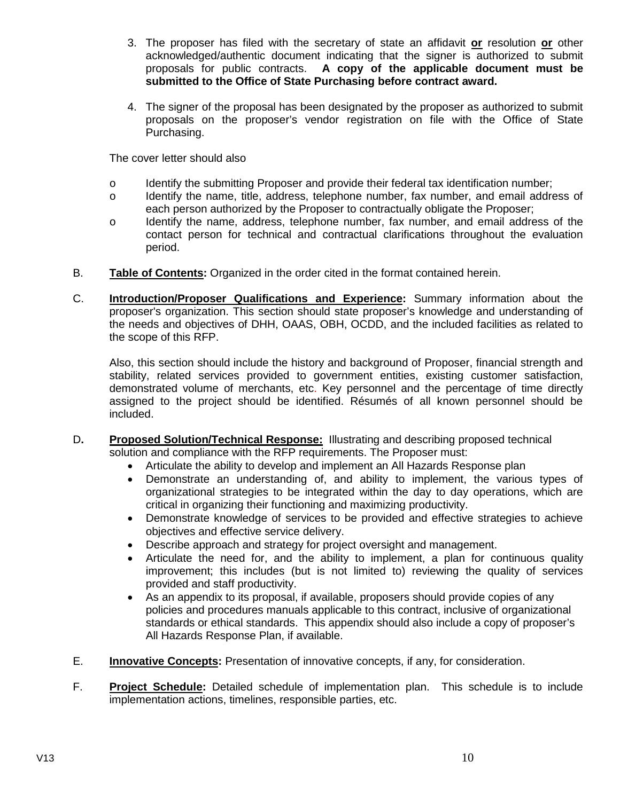- 3. The proposer has filed with the secretary of state an affidavit **or** resolution **or** other acknowledged/authentic document indicating that the signer is authorized to submit proposals for public contracts. **A copy of the applicable document must be submitted to the Office of State Purchasing before contract award.**
- 4. The signer of the proposal has been designated by the proposer as authorized to submit proposals on the proposer's vendor registration on file with the Office of State Purchasing.

The cover letter should also

- o Identify the submitting Proposer and provide their federal tax identification number;
- o Identify the name, title, address, telephone number, fax number, and email address of each person authorized by the Proposer to contractually obligate the Proposer;
- o Identify the name, address, telephone number, fax number, and email address of the contact person for technical and contractual clarifications throughout the evaluation period.
- B. **Table of Contents:** Organized in the order cited in the format contained herein.
- C. **Introduction/Proposer Qualifications and Experience:** Summary information about the proposer's organization. This section should state proposer's knowledge and understanding of the needs and objectives of DHH, OAAS, OBH, OCDD, and the included facilities as related to the scope of this RFP.

Also, this section should include the history and background of Proposer, financial strength and stability, related services provided to government entities, existing customer satisfaction, demonstrated volume of merchants, etc. Key personnel and the percentage of time directly assigned to the project should be identified. Résumés of all known personnel should be included.

- D**. Proposed Solution/Technical Response:** Illustrating and describing proposed technical solution and compliance with the RFP requirements. The Proposer must:
	- Articulate the ability to develop and implement an All Hazards Response plan
	- Demonstrate an understanding of, and ability to implement, the various types of organizational strategies to be integrated within the day to day operations, which are critical in organizing their functioning and maximizing productivity.
	- Demonstrate knowledge of services to be provided and effective strategies to achieve objectives and effective service delivery.
	- Describe approach and strategy for project oversight and management.
	- Articulate the need for, and the ability to implement, a plan for continuous quality improvement; this includes (but is not limited to) reviewing the quality of services provided and staff productivity.
	- As an appendix to its proposal, if available, proposers should provide copies of any policies and procedures manuals applicable to this contract, inclusive of organizational standards or ethical standards. This appendix should also include a copy of proposer's All Hazards Response Plan, if available.
- E. **Innovative Concepts:** Presentation of innovative concepts, if any, for consideration.
- F. **Project Schedule:** Detailed schedule of implementation plan. This schedule is to include implementation actions, timelines, responsible parties, etc.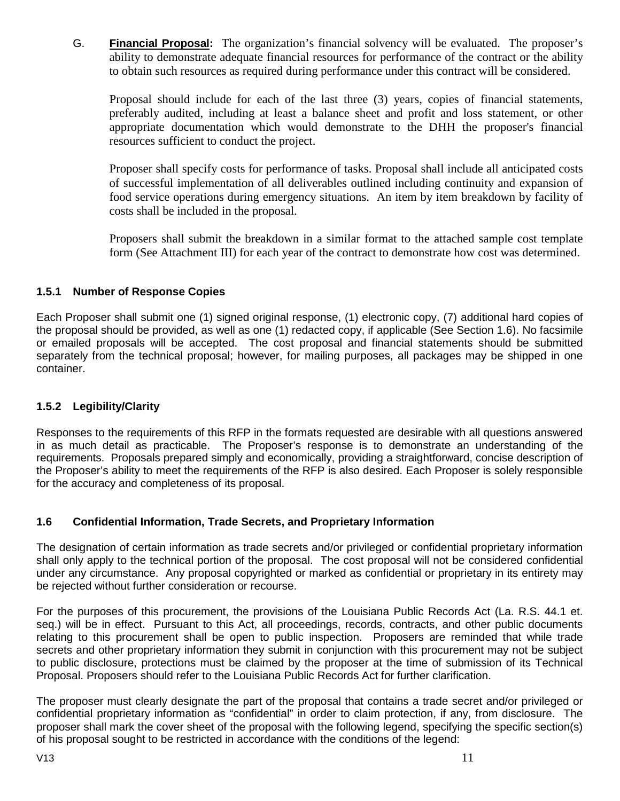G. **Financial Proposal:** The organization's financial solvency will be evaluated. The proposer's ability to demonstrate adequate financial resources for performance of the contract or the ability to obtain such resources as required during performance under this contract will be considered.

Proposal should include for each of the last three (3) years, copies of financial statements, preferably audited, including at least a balance sheet and profit and loss statement, or other appropriate documentation which would demonstrate to the DHH the proposer's financial resources sufficient to conduct the project.

Proposer shall specify costs for performance of tasks. Proposal shall include all anticipated costs of successful implementation of all deliverables outlined including continuity and expansion of food service operations during emergency situations. An item by item breakdown by facility of costs shall be included in the proposal.

Proposers shall submit the breakdown in a similar format to the attached sample cost template form (See Attachment III) for each year of the contract to demonstrate how cost was determined.

# <span id="page-10-0"></span>**1.5.1 Number of Response Copies**

Each Proposer shall submit one (1) signed original response, (1) electronic copy, (7) additional hard copies of the proposal should be provided, as well as one (1) redacted copy, if applicable (See Section 1.6). No facsimile or emailed proposals will be accepted. The cost proposal and financial statements should be submitted separately from the technical proposal; however, for mailing purposes, all packages may be shipped in one container.

# <span id="page-10-1"></span>**1.5.2 Legibility/Clarity**

Responses to the requirements of this RFP in the formats requested are desirable with all questions answered in as much detail as practicable. The Proposer's response is to demonstrate an understanding of the requirements. Proposals prepared simply and economically, providing a straightforward, concise description of the Proposer's ability to meet the requirements of the RFP is also desired. Each Proposer is solely responsible for the accuracy and completeness of its proposal.

# <span id="page-10-2"></span>**1.6 Confidential Information, Trade Secrets, and Proprietary Information**

The designation of certain information as trade secrets and/or privileged or confidential proprietary information shall only apply to the technical portion of the proposal. The cost proposal will not be considered confidential under any circumstance. Any proposal copyrighted or marked as confidential or proprietary in its entirety may be rejected without further consideration or recourse.

For the purposes of this procurement, the provisions of the Louisiana Public Records Act (La. R.S. 44.1 et. seq.) will be in effect. Pursuant to this Act, all proceedings, records, contracts, and other public documents relating to this procurement shall be open to public inspection. Proposers are reminded that while trade secrets and other proprietary information they submit in conjunction with this procurement may not be subject to public disclosure, protections must be claimed by the proposer at the time of submission of its Technical Proposal. Proposers should refer to the Louisiana Public Records Act for further clarification.

The proposer must clearly designate the part of the proposal that contains a trade secret and/or privileged or confidential proprietary information as "confidential" in order to claim protection, if any, from disclosure. The proposer shall mark the cover sheet of the proposal with the following legend, specifying the specific section(s) of his proposal sought to be restricted in accordance with the conditions of the legend: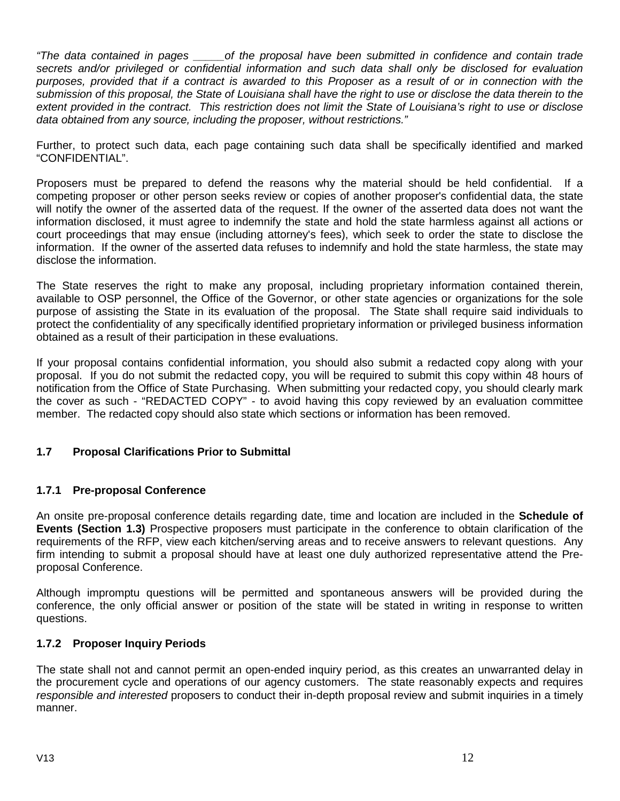*"The data contained in pages \_\_\_\_\_of the proposal have been submitted in confidence and contain trade secrets and/or privileged or confidential information and such data shall only be disclosed for evaluation purposes, provided that if a contract is awarded to this Proposer as a result of or in connection with the submission of this proposal, the State of Louisiana shall have the right to use or disclose the data therein to the*  extent provided in the contract. This restriction does not limit the State of Louisiana's right to use or disclose *data obtained from any source, including the proposer, without restrictions."*

Further, to protect such data, each page containing such data shall be specifically identified and marked "CONFIDENTIAL".

Proposers must be prepared to defend the reasons why the material should be held confidential. If a competing proposer or other person seeks review or copies of another proposer's confidential data, the state will notify the owner of the asserted data of the request. If the owner of the asserted data does not want the information disclosed, it must agree to indemnify the state and hold the state harmless against all actions or court proceedings that may ensue (including attorney's fees), which seek to order the state to disclose the information. If the owner of the asserted data refuses to indemnify and hold the state harmless, the state may disclose the information.

The State reserves the right to make any proposal, including proprietary information contained therein, available to OSP personnel, the Office of the Governor, or other state agencies or organizations for the sole purpose of assisting the State in its evaluation of the proposal. The State shall require said individuals to protect the confidentiality of any specifically identified proprietary information or privileged business information obtained as a result of their participation in these evaluations.

If your proposal contains confidential information, you should also submit a redacted copy along with your proposal. If you do not submit the redacted copy, you will be required to submit this copy within 48 hours of notification from the Office of State Purchasing. When submitting your redacted copy, you should clearly mark the cover as such - "REDACTED COPY" - to avoid having this copy reviewed by an evaluation committee member. The redacted copy should also state which sections or information has been removed.

# <span id="page-11-0"></span>**1.7 Proposal Clarifications Prior to Submittal**

# <span id="page-11-1"></span>**1.7.1 Pre-proposal Conference**

An onsite pre-proposal conference details regarding date, time and location are included in the **Schedule of Events (Section 1.3)** Prospective proposers must participate in the conference to obtain clarification of the requirements of the RFP, view each kitchen/serving areas and to receive answers to relevant questions. Any firm intending to submit a proposal should have at least one duly authorized representative attend the Preproposal Conference.

Although impromptu questions will be permitted and spontaneous answers will be provided during the conference, the only official answer or position of the state will be stated in writing in response to written questions.

# <span id="page-11-2"></span>**1.7.2 Proposer Inquiry Periods**

The state shall not and cannot permit an open-ended inquiry period, as this creates an unwarranted delay in the procurement cycle and operations of our agency customers. The state reasonably expects and requires *responsible and interested* proposers to conduct their in-depth proposal review and submit inquiries in a timely manner.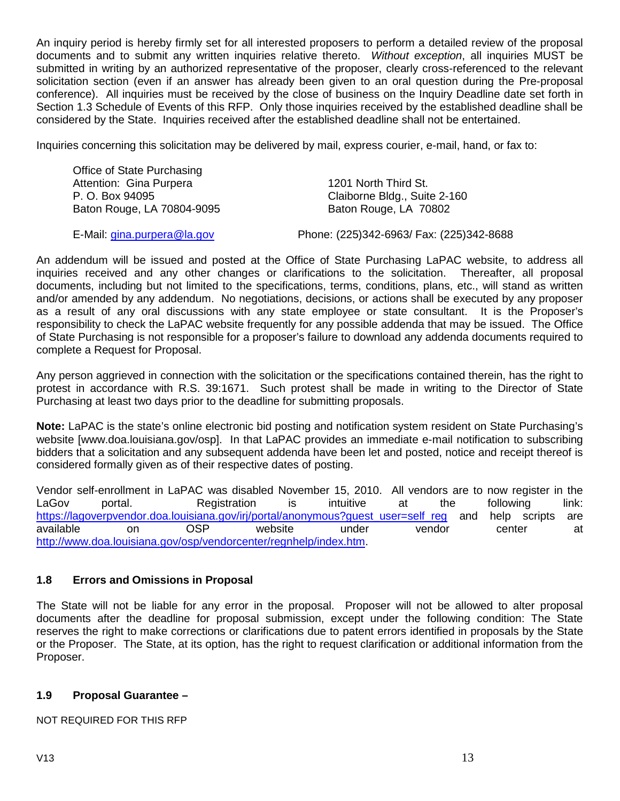An inquiry period is hereby firmly set for all interested proposers to perform a detailed review of the proposal documents and to submit any written inquiries relative thereto. *Without exception*, all inquiries MUST be submitted in writing by an authorized representative of the proposer, clearly cross-referenced to the relevant solicitation section (even if an answer has already been given to an oral question during the Pre-proposal conference). All inquiries must be received by the close of business on the Inquiry Deadline date set forth in Section 1.3 Schedule of Events of this RFP. Only those inquiries received by the established deadline shall be considered by the State. Inquiries received after the established deadline shall not be entertained.

Inquiries concerning this solicitation may be delivered by mail, express courier, e-mail, hand, or fax to:

| Office of State Purchasing |                              |
|----------------------------|------------------------------|
| Attention: Gina Purpera    | 1201 North Third St.         |
| P. O. Box 94095            | Claiborne Bldg., Suite 2-160 |
| Baton Rouge, LA 70804-9095 | Baton Rouge, LA 70802        |
|                            |                              |

E-Mail: [gina.purpera@la.gov](mailto:gina.purpera@la.gov) Phone: (225)342-6963/ Fax: (225)342-8688

An addendum will be issued and posted at the Office of State Purchasing LaPAC website, to address all inquiries received and any other changes or clarifications to the solicitation. Thereafter, all proposal documents, including but not limited to the specifications, terms, conditions, plans, etc., will stand as written and/or amended by any addendum. No negotiations, decisions, or actions shall be executed by any proposer as a result of any oral discussions with any state employee or state consultant. It is the Proposer's responsibility to check the LaPAC website frequently for any possible addenda that may be issued. The Office of State Purchasing is not responsible for a proposer's failure to download any addenda documents required to complete a Request for Proposal.

Any person aggrieved in connection with the solicitation or the specifications contained therein, has the right to protest in accordance with R.S. 39:1671. Such protest shall be made in writing to the Director of State Purchasing at least two days prior to the deadline for submitting proposals.

**Note:** LaPAC is the state's online electronic bid posting and notification system resident on State Purchasing's website [www.doa.louisiana.gov/osp]. In that LaPAC provides an immediate e-mail notification to subscribing bidders that a solicitation and any subsequent addenda have been let and posted, notice and receipt thereof is considered formally given as of their respective dates of posting.

Vendor self-enrollment in LaPAC was disabled November 15, 2010. All vendors are to now register in the LaGov portal. Registration is intuitive at the following link: [https://lagoverpvendor.doa.louisiana.gov/irj/portal/anonymous?guest\\_user=self\\_reg](https://lagoverpvendor.doa.louisiana.gov/irj/portal/anonymous?guest_user=self_reg) and help scripts are<br>available on OSP website under vendor center at available on OSP website under vendor center at [http://www.doa.louisiana.gov/osp/vendorcenter/regnhelp/index.htm.](http://www.doa.louisiana.gov/osp/vendorcenter/regnhelp/index.htm)

# <span id="page-12-0"></span>**1.8 Errors and Omissions in Proposal**

The State will not be liable for any error in the proposal. Proposer will not be allowed to alter proposal documents after the deadline for proposal submission, except under the following condition: The State reserves the right to make corrections or clarifications due to patent errors identified in proposals by the State or the Proposer. The State, at its option, has the right to request clarification or additional information from the Proposer.

# <span id="page-12-1"></span>**1.9 Proposal Guarantee –**

<span id="page-12-2"></span>NOT REQUIRED FOR THIS RFP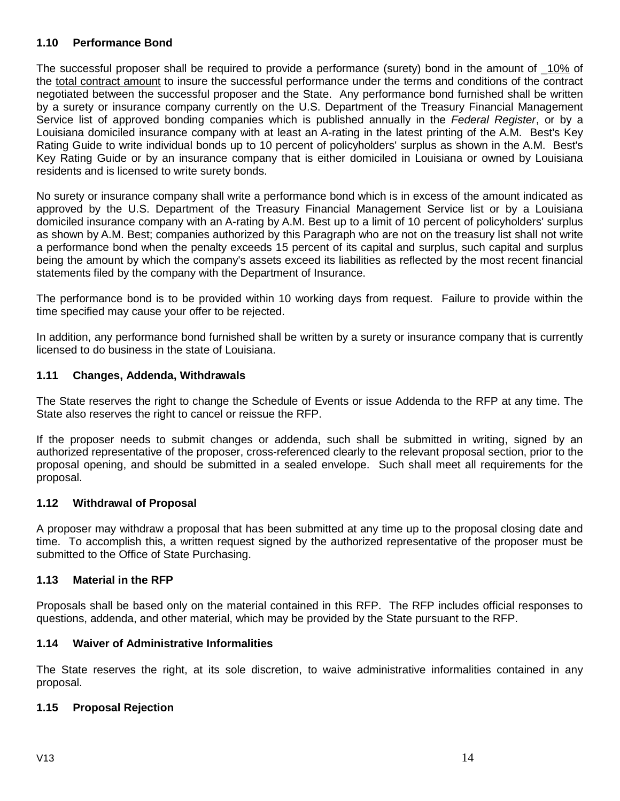## <span id="page-13-0"></span>**1.10 Performance Bond**

The successful proposer shall be required to provide a performance (surety) bond in the amount of \_10% of the total contract amount to insure the successful performance under the terms and conditions of the contract negotiated between the successful proposer and the State. Any performance bond furnished shall be written by a surety or insurance company currently on the U.S. Department of the Treasury Financial Management Service list of approved bonding companies which is published annually in the *Federal Register*, or by a Louisiana domiciled insurance company with at least an A-rating in the latest printing of the A.M. Best's Key Rating Guide to write individual bonds up to 10 percent of policyholders' surplus as shown in the A.M. Best's Key Rating Guide or by an insurance company that is either domiciled in Louisiana or owned by Louisiana residents and is licensed to write surety bonds.

No surety or insurance company shall write a performance bond which is in excess of the amount indicated as approved by the U.S. Department of the Treasury Financial Management Service list or by a Louisiana domiciled insurance company with an A-rating by A.M. Best up to a limit of 10 percent of policyholders' surplus as shown by A.M. Best; companies authorized by this Paragraph who are not on the treasury list shall not write a performance bond when the penalty exceeds 15 percent of its capital and surplus, such capital and surplus being the amount by which the company's assets exceed its liabilities as reflected by the most recent financial statements filed by the company with the Department of Insurance.

The performance bond is to be provided within 10 working days from request. Failure to provide within the time specified may cause your offer to be rejected.

In addition, any performance bond furnished shall be written by a surety or insurance company that is currently licensed to do business in the state of Louisiana.

## <span id="page-13-1"></span>**1.11 Changes, Addenda, Withdrawals**

The State reserves the right to change the Schedule of Events or issue Addenda to the RFP at any time. The State also reserves the right to cancel or reissue the RFP.

If the proposer needs to submit changes or addenda, such shall be submitted in writing, signed by an authorized representative of the proposer, cross-referenced clearly to the relevant proposal section, prior to the proposal opening, and should be submitted in a sealed envelope. Such shall meet all requirements for the proposal.

# <span id="page-13-2"></span>**1.12 Withdrawal of Proposal**

A proposer may withdraw a proposal that has been submitted at any time up to the proposal closing date and time. To accomplish this, a written request signed by the authorized representative of the proposer must be submitted to the Office of State Purchasing.

### <span id="page-13-3"></span>**1.13 Material in the RFP**

Proposals shall be based only on the material contained in this RFP. The RFP includes official responses to questions, addenda, and other material, which may be provided by the State pursuant to the RFP.

### <span id="page-13-4"></span>**1.14 Waiver of Administrative Informalities**

The State reserves the right, at its sole discretion, to waive administrative informalities contained in any proposal.

### <span id="page-13-5"></span>**1.15 Proposal Rejection**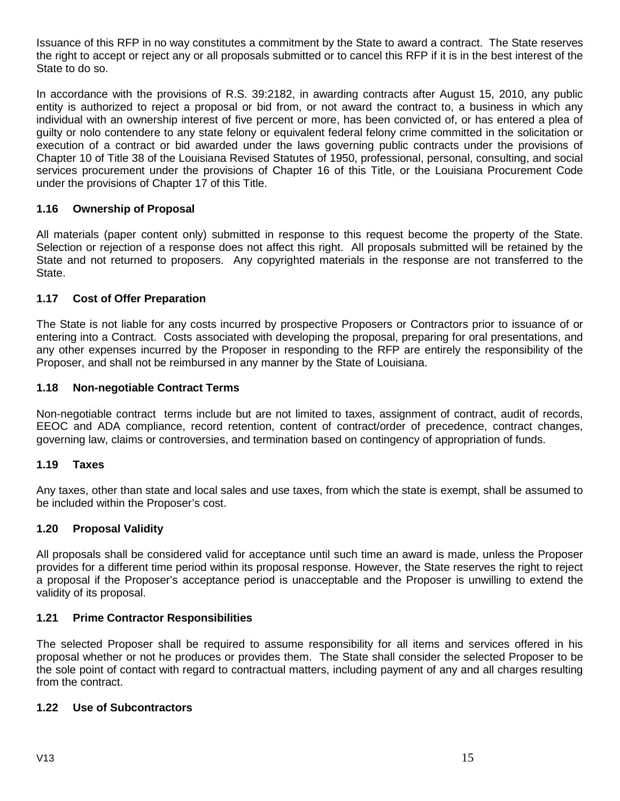Issuance of this RFP in no way constitutes a commitment by the State to award a contract. The State reserves the right to accept or reject any or all proposals submitted or to cancel this RFP if it is in the best interest of the State to do so.

In accordance with the provisions of R.S. 39:2182, in awarding contracts after August 15, 2010, any public entity is authorized to reject a proposal or bid from, or not award the contract to, a business in which any individual with an ownership interest of five percent or more, has been convicted of, or has entered a plea of guilty or nolo contendere to any state felony or equivalent federal felony crime committed in the solicitation or execution of a contract or bid awarded under the laws governing public contracts under the provisions of Chapter 10 of Title 38 of the Louisiana Revised Statutes of 1950, professional, personal, consulting, and social services procurement under the provisions of Chapter 16 of this Title, or the Louisiana Procurement Code under the provisions of Chapter 17 of this Title.

# <span id="page-14-0"></span>**1.16 Ownership of Proposal**

All materials (paper content only) submitted in response to this request become the property of the State. Selection or rejection of a response does not affect this right. All proposals submitted will be retained by the State and not returned to proposers. Any copyrighted materials in the response are not transferred to the State.

### <span id="page-14-1"></span>**1.17 Cost of Offer Preparation**

The State is not liable for any costs incurred by prospective Proposers or Contractors prior to issuance of or entering into a Contract. Costs associated with developing the proposal, preparing for oral presentations, and any other expenses incurred by the Proposer in responding to the RFP are entirely the responsibility of the Proposer, and shall not be reimbursed in any manner by the State of Louisiana.

### <span id="page-14-2"></span>**1.18 Non-negotiable Contract Terms**

Non-negotiable contract terms include but are not limited to taxes, assignment of contract, audit of records, EEOC and ADA compliance, record retention, content of contract/order of precedence, contract changes, governing law, claims or controversies, and termination based on contingency of appropriation of funds.

### <span id="page-14-3"></span>**1.19 Taxes**

Any taxes, other than state and local sales and use taxes, from which the state is exempt, shall be assumed to be included within the Proposer's cost.

### <span id="page-14-4"></span>**1.20 Proposal Validity**

All proposals shall be considered valid for acceptance until such time an award is made, unless the Proposer provides for a different time period within its proposal response. However, the State reserves the right to reject a proposal if the Proposer's acceptance period is unacceptable and the Proposer is unwilling to extend the validity of its proposal.

### <span id="page-14-5"></span>**1.21 Prime Contractor Responsibilities**

The selected Proposer shall be required to assume responsibility for all items and services offered in his proposal whether or not he produces or provides them. The State shall consider the selected Proposer to be the sole point of contact with regard to contractual matters, including payment of any and all charges resulting from the contract.

#### <span id="page-14-6"></span>**1.22 Use of Subcontractors**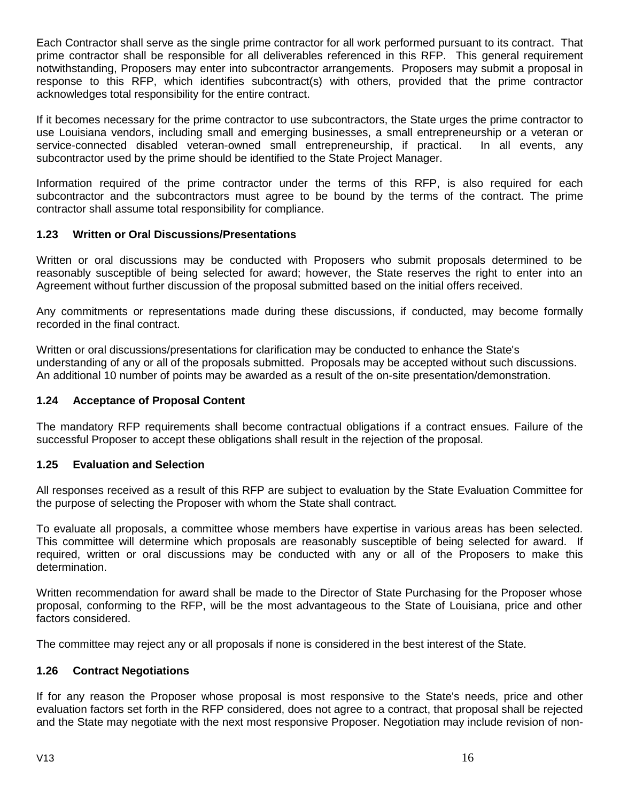Each Contractor shall serve as the single prime contractor for all work performed pursuant to its contract. That prime contractor shall be responsible for all deliverables referenced in this RFP. This general requirement notwithstanding, Proposers may enter into subcontractor arrangements. Proposers may submit a proposal in response to this RFP, which identifies subcontract(s) with others, provided that the prime contractor acknowledges total responsibility for the entire contract.

If it becomes necessary for the prime contractor to use subcontractors, the State urges the prime contractor to use Louisiana vendors, including small and emerging businesses, a small entrepreneurship or a veteran or service-connected disabled veteran-owned small entrepreneurship, if practical. In all events, any subcontractor used by the prime should be identified to the State Project Manager.

Information required of the prime contractor under the terms of this RFP, is also required for each subcontractor and the subcontractors must agree to be bound by the terms of the contract. The prime contractor shall assume total responsibility for compliance.

# <span id="page-15-0"></span>**1.23 Written or Oral Discussions/Presentations**

Written or oral discussions may be conducted with Proposers who submit proposals determined to be reasonably susceptible of being selected for award; however, the State reserves the right to enter into an Agreement without further discussion of the proposal submitted based on the initial offers received.

Any commitments or representations made during these discussions, if conducted, may become formally recorded in the final contract.

Written or oral discussions/presentations for clarification may be conducted to enhance the State's understanding of any or all of the proposals submitted. Proposals may be accepted without such discussions. An additional 10 number of points may be awarded as a result of the on-site presentation/demonstration.

## <span id="page-15-1"></span>**1.24 Acceptance of Proposal Content**

The mandatory RFP requirements shall become contractual obligations if a contract ensues. Failure of the successful Proposer to accept these obligations shall result in the rejection of the proposal.

### <span id="page-15-2"></span>**1.25 Evaluation and Selection**

All responses received as a result of this RFP are subject to evaluation by the State Evaluation Committee for the purpose of selecting the Proposer with whom the State shall contract.

To evaluate all proposals, a committee whose members have expertise in various areas has been selected. This committee will determine which proposals are reasonably susceptible of being selected for award. If required, written or oral discussions may be conducted with any or all of the Proposers to make this determination.

Written recommendation for award shall be made to the Director of State Purchasing for the Proposer whose proposal, conforming to the RFP, will be the most advantageous to the State of Louisiana, price and other factors considered.

The committee may reject any or all proposals if none is considered in the best interest of the State.

### <span id="page-15-3"></span>**1.26 Contract Negotiations**

If for any reason the Proposer whose proposal is most responsive to the State's needs, price and other evaluation factors set forth in the RFP considered, does not agree to a contract, that proposal shall be rejected and the State may negotiate with the next most responsive Proposer. Negotiation may include revision of non-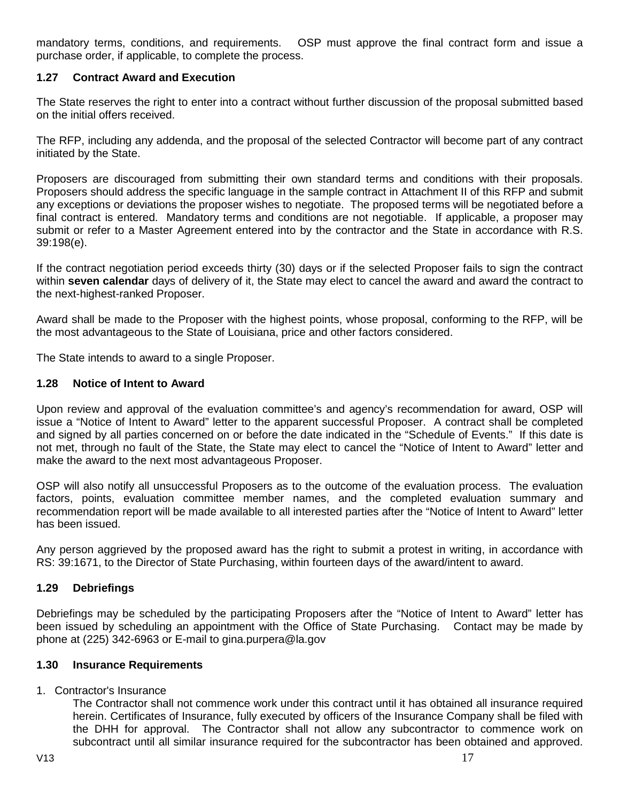mandatory terms, conditions, and requirements. OSP must approve the final contract form and issue a purchase order, if applicable, to complete the process.

# <span id="page-16-0"></span>**1.27 Contract Award and Execution**

The State reserves the right to enter into a contract without further discussion of the proposal submitted based on the initial offers received.

The RFP, including any addenda, and the proposal of the selected Contractor will become part of any contract initiated by the State.

Proposers are discouraged from submitting their own standard terms and conditions with their proposals. Proposers should address the specific language in the sample contract in Attachment II of this RFP and submit any exceptions or deviations the proposer wishes to negotiate. The proposed terms will be negotiated before a final contract is entered. Mandatory terms and conditions are not negotiable. If applicable, a proposer may submit or refer to a Master Agreement entered into by the contractor and the State in accordance with R.S. 39:198(e).

If the contract negotiation period exceeds thirty (30) days or if the selected Proposer fails to sign the contract within **seven calendar** days of delivery of it, the State may elect to cancel the award and award the contract to the next-highest-ranked Proposer.

Award shall be made to the Proposer with the highest points, whose proposal, conforming to the RFP, will be the most advantageous to the State of Louisiana, price and other factors considered.

The State intends to award to a single Proposer.

# <span id="page-16-1"></span>**1.28 Notice of Intent to Award**

Upon review and approval of the evaluation committee's and agency's recommendation for award, OSP will issue a "Notice of Intent to Award" letter to the apparent successful Proposer. A contract shall be completed and signed by all parties concerned on or before the date indicated in the "Schedule of Events." If this date is not met, through no fault of the State, the State may elect to cancel the "Notice of Intent to Award" letter and make the award to the next most advantageous Proposer.

OSP will also notify all unsuccessful Proposers as to the outcome of the evaluation process. The evaluation factors, points, evaluation committee member names, and the completed evaluation summary and recommendation report will be made available to all interested parties after the "Notice of Intent to Award" letter has been issued.

Any person aggrieved by the proposed award has the right to submit a protest in writing, in accordance with RS: 39:1671, to the Director of State Purchasing, within fourteen days of the award/intent to award.

# <span id="page-16-2"></span>**1.29 Debriefings**

Debriefings may be scheduled by the participating Proposers after the "Notice of Intent to Award" letter has been issued by scheduling an appointment with the Office of State Purchasing. Contact may be made by phone at (225) 342-6963 or E-mail to gina.purpera@la.gov

# <span id="page-16-3"></span>**1.30 Insurance Requirements**

1. Contractor's Insurance

The Contractor shall not commence work under this contract until it has obtained all insurance required herein. Certificates of Insurance, fully executed by officers of the Insurance Company shall be filed with the DHH for approval. The Contractor shall not allow any subcontractor to commence work on subcontract until all similar insurance required for the subcontractor has been obtained and approved.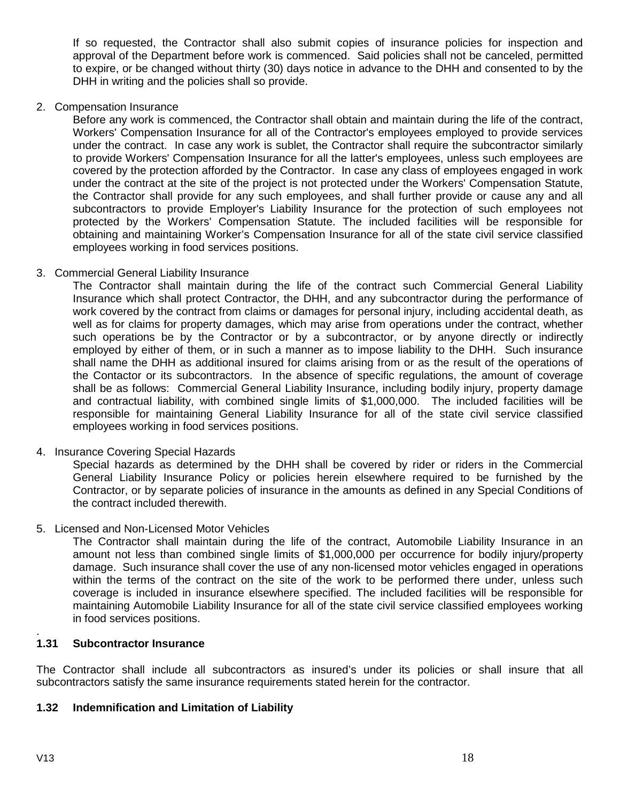If so requested, the Contractor shall also submit copies of insurance policies for inspection and approval of the Department before work is commenced. Said policies shall not be canceled, permitted to expire, or be changed without thirty (30) days notice in advance to the DHH and consented to by the DHH in writing and the policies shall so provide.

## 2. Compensation Insurance

Before any work is commenced, the Contractor shall obtain and maintain during the life of the contract, Workers' Compensation Insurance for all of the Contractor's employees employed to provide services under the contract. In case any work is sublet, the Contractor shall require the subcontractor similarly to provide Workers' Compensation Insurance for all the latter's employees, unless such employees are covered by the protection afforded by the Contractor. In case any class of employees engaged in work under the contract at the site of the project is not protected under the Workers' Compensation Statute, the Contractor shall provide for any such employees, and shall further provide or cause any and all subcontractors to provide Employer's Liability Insurance for the protection of such employees not protected by the Workers' Compensation Statute. The included facilities will be responsible for obtaining and maintaining Worker's Compensation Insurance for all of the state civil service classified employees working in food services positions.

## 3. Commercial General Liability Insurance

The Contractor shall maintain during the life of the contract such Commercial General Liability Insurance which shall protect Contractor, the DHH, and any subcontractor during the performance of work covered by the contract from claims or damages for personal injury, including accidental death, as well as for claims for property damages, which may arise from operations under the contract, whether such operations be by the Contractor or by a subcontractor, or by anyone directly or indirectly employed by either of them, or in such a manner as to impose liability to the DHH. Such insurance shall name the DHH as additional insured for claims arising from or as the result of the operations of the Contactor or its subcontractors. In the absence of specific regulations, the amount of coverage shall be as follows: Commercial General Liability Insurance, including bodily injury, property damage and contractual liability, with combined single limits of \$1,000,000. The included facilities will be responsible for maintaining General Liability Insurance for all of the state civil service classified employees working in food services positions.

### 4. Insurance Covering Special Hazards

Special hazards as determined by the DHH shall be covered by rider or riders in the Commercial General Liability Insurance Policy or policies herein elsewhere required to be furnished by the Contractor, or by separate policies of insurance in the amounts as defined in any Special Conditions of the contract included therewith.

# 5. Licensed and Non-Licensed Motor Vehicles

The Contractor shall maintain during the life of the contract, Automobile Liability Insurance in an amount not less than combined single limits of \$1,000,000 per occurrence for bodily injury/property damage. Such insurance shall cover the use of any non-licensed motor vehicles engaged in operations within the terms of the contract on the site of the work to be performed there under, unless such coverage is included in insurance elsewhere specified. The included facilities will be responsible for maintaining Automobile Liability Insurance for all of the state civil service classified employees working in food services positions.

#### <span id="page-17-0"></span>. **1.31 Subcontractor Insurance**

The Contractor shall include all subcontractors as insured's under its policies or shall insure that all subcontractors satisfy the same insurance requirements stated herein for the contractor.

# <span id="page-17-1"></span>**1.32 Indemnification and Limitation of Liability**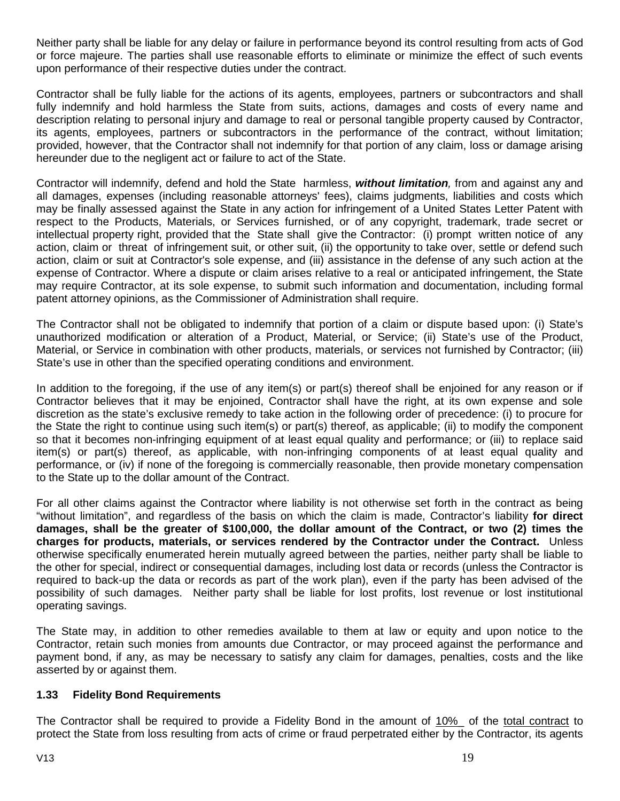Neither party shall be liable for any delay or failure in performance beyond its control resulting from acts of God or force majeure. The parties shall use reasonable efforts to eliminate or minimize the effect of such events upon performance of their respective duties under the contract.

Contractor shall be fully liable for the actions of its agents, employees, partners or subcontractors and shall fully indemnify and hold harmless the State from suits, actions, damages and costs of every name and description relating to personal injury and damage to real or personal tangible property caused by Contractor, its agents, employees, partners or subcontractors in the performance of the contract, without limitation; provided, however, that the Contractor shall not indemnify for that portion of any claim, loss or damage arising hereunder due to the negligent act or failure to act of the State.

Contractor will indemnify, defend and hold the State harmless, *without limitation,* from and against any and all damages, expenses (including reasonable attorneys' fees), claims judgments, liabilities and costs which may be finally assessed against the State in any action for infringement of a United States Letter Patent with respect to the Products, Materials, or Services furnished, or of any copyright, trademark, trade secret or intellectual property right, provided that the State shall give the Contractor: (i) prompt written notice of any action, claim or threat of infringement suit, or other suit, (ii) the opportunity to take over, settle or defend such action, claim or suit at Contractor's sole expense, and (iii) assistance in the defense of any such action at the expense of Contractor. Where a dispute or claim arises relative to a real or anticipated infringement, the State may require Contractor, at its sole expense, to submit such information and documentation, including formal patent attorney opinions, as the Commissioner of Administration shall require.

The Contractor shall not be obligated to indemnify that portion of a claim or dispute based upon: (i) State's unauthorized modification or alteration of a Product, Material, or Service; (ii) State's use of the Product, Material, or Service in combination with other products, materials, or services not furnished by Contractor; (iii) State's use in other than the specified operating conditions and environment.

In addition to the foregoing, if the use of any item(s) or part(s) thereof shall be enjoined for any reason or if Contractor believes that it may be enjoined, Contractor shall have the right, at its own expense and sole discretion as the state's exclusive remedy to take action in the following order of precedence: (i) to procure for the State the right to continue using such item(s) or part(s) thereof, as applicable; (ii) to modify the component so that it becomes non-infringing equipment of at least equal quality and performance; or (iii) to replace said item(s) or part(s) thereof, as applicable, with non-infringing components of at least equal quality and performance, or (iv) if none of the foregoing is commercially reasonable, then provide monetary compensation to the State up to the dollar amount of the Contract.

For all other claims against the Contractor where liability is not otherwise set forth in the contract as being "without limitation", and regardless of the basis on which the claim is made, Contractor's liability **for direct damages, shall be the greater of \$100,000, the dollar amount of the Contract, or two (2) times the charges for products, materials, or services rendered by the Contractor under the Contract.** Unless otherwise specifically enumerated herein mutually agreed between the parties, neither party shall be liable to the other for special, indirect or consequential damages, including lost data or records (unless the Contractor is required to back-up the data or records as part of the work plan), even if the party has been advised of the possibility of such damages. Neither party shall be liable for lost profits, lost revenue or lost institutional operating savings.

The State may, in addition to other remedies available to them at law or equity and upon notice to the Contractor, retain such monies from amounts due Contractor, or may proceed against the performance and payment bond, if any, as may be necessary to satisfy any claim for damages, penalties, costs and the like asserted by or against them.

# <span id="page-18-0"></span>**1.33 Fidelity Bond Requirements**

The Contractor shall be required to provide a Fidelity Bond in the amount of  $10\%$  of the total contract to protect the State from loss resulting from acts of crime or fraud perpetrated either by the Contractor, its agents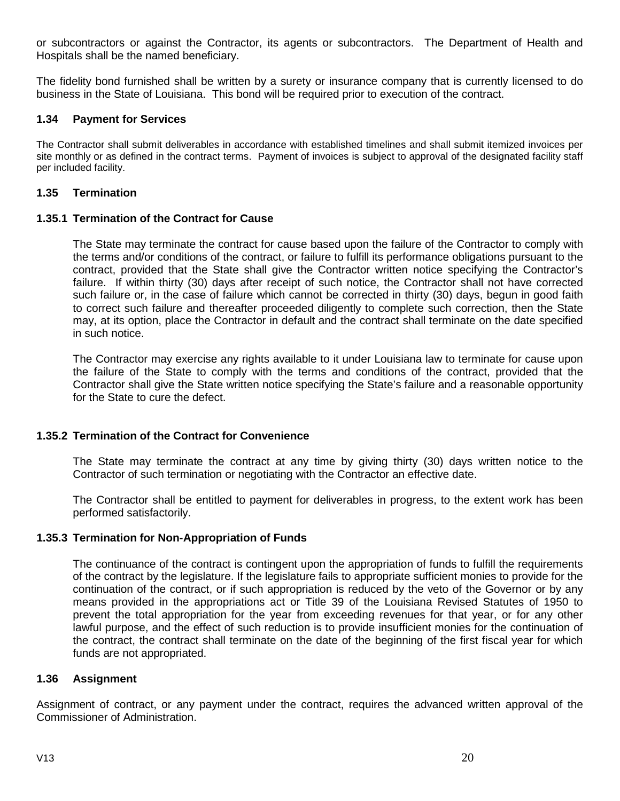or subcontractors or against the Contractor, its agents or subcontractors. The Department of Health and Hospitals shall be the named beneficiary.

The fidelity bond furnished shall be written by a surety or insurance company that is currently licensed to do business in the State of Louisiana. This bond will be required prior to execution of the contract.

## <span id="page-19-0"></span>**1.34 Payment for Services**

The Contractor shall submit deliverables in accordance with established timelines and shall submit itemized invoices per site monthly or as defined in the contract terms. Payment of invoices is subject to approval of the designated facility staff per included facility.

## <span id="page-19-1"></span>**1.35 Termination**

## <span id="page-19-2"></span>**1.35.1 Termination of the Contract for Cause**

The State may terminate the contract for cause based upon the failure of the Contractor to comply with the terms and/or conditions of the contract, or failure to fulfill its performance obligations pursuant to the contract, provided that the State shall give the Contractor written notice specifying the Contractor's failure. If within thirty (30) days after receipt of such notice, the Contractor shall not have corrected such failure or, in the case of failure which cannot be corrected in thirty (30) days, begun in good faith to correct such failure and thereafter proceeded diligently to complete such correction, then the State may, at its option, place the Contractor in default and the contract shall terminate on the date specified in such notice.

The Contractor may exercise any rights available to it under Louisiana law to terminate for cause upon the failure of the State to comply with the terms and conditions of the contract, provided that the Contractor shall give the State written notice specifying the State's failure and a reasonable opportunity for the State to cure the defect.

### <span id="page-19-3"></span>**1.35.2 Termination of the Contract for Convenience**

The State may terminate the contract at any time by giving thirty (30) days written notice to the Contractor of such termination or negotiating with the Contractor an effective date.

The Contractor shall be entitled to payment for deliverables in progress, to the extent work has been performed satisfactorily.

### <span id="page-19-4"></span>**1.35.3 Termination for Non-Appropriation of Funds**

The continuance of the contract is contingent upon the appropriation of funds to fulfill the requirements of the contract by the legislature. If the legislature fails to appropriate sufficient monies to provide for the continuation of the contract, or if such appropriation is reduced by the veto of the Governor or by any means provided in the appropriations act or Title 39 of the Louisiana Revised Statutes of 1950 to prevent the total appropriation for the year from exceeding revenues for that year, or for any other lawful purpose, and the effect of such reduction is to provide insufficient monies for the continuation of the contract, the contract shall terminate on the date of the beginning of the first fiscal year for which funds are not appropriated.

### <span id="page-19-5"></span>**1.36 Assignment**

Assignment of contract, or any payment under the contract, requires the advanced written approval of the Commissioner of Administration.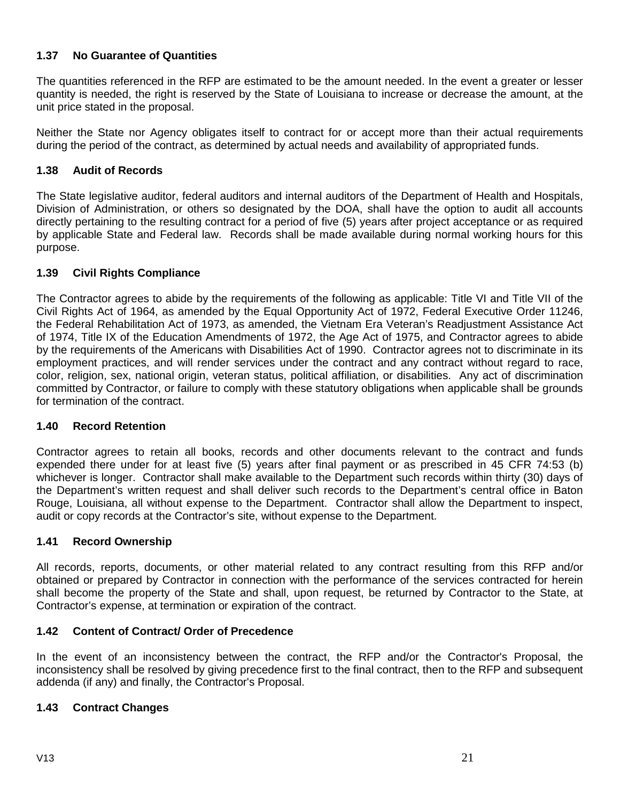## <span id="page-20-0"></span>**1.37 No Guarantee of Quantities**

The quantities referenced in the RFP are estimated to be the amount needed. In the event a greater or lesser quantity is needed, the right is reserved by the State of Louisiana to increase or decrease the amount, at the unit price stated in the proposal.

Neither the State nor Agency obligates itself to contract for or accept more than their actual requirements during the period of the contract, as determined by actual needs and availability of appropriated funds.

## <span id="page-20-1"></span>**1.38 Audit of Records**

The State legislative auditor, federal auditors and internal auditors of the Department of Health and Hospitals, Division of Administration, or others so designated by the DOA, shall have the option to audit all accounts directly pertaining to the resulting contract for a period of five (5) years after project acceptance or as required by applicable State and Federal law. Records shall be made available during normal working hours for this purpose.

## <span id="page-20-2"></span>**1.39 Civil Rights Compliance**

The Contractor agrees to abide by the requirements of the following as applicable: Title VI and Title VII of the Civil Rights Act of 1964, as amended by the Equal Opportunity Act of 1972, Federal Executive Order 11246, the Federal Rehabilitation Act of 1973, as amended, the Vietnam Era Veteran's Readjustment Assistance Act of 1974, Title IX of the Education Amendments of 1972, the Age Act of 1975, and Contractor agrees to abide by the requirements of the Americans with Disabilities Act of 1990. Contractor agrees not to discriminate in its employment practices, and will render services under the contract and any contract without regard to race, color, religion, sex, national origin, veteran status, political affiliation, or disabilities. Any act of discrimination committed by Contractor, or failure to comply with these statutory obligations when applicable shall be grounds for termination of the contract.

### <span id="page-20-3"></span>**1.40 Record Retention**

Contractor agrees to retain all books, records and other documents relevant to the contract and funds expended there under for at least five (5) years after final payment or as prescribed in 45 CFR 74:53 (b) whichever is longer. Contractor shall make available to the Department such records within thirty (30) days of the Department's written request and shall deliver such records to the Department's central office in Baton Rouge, Louisiana, all without expense to the Department. Contractor shall allow the Department to inspect, audit or copy records at the Contractor's site, without expense to the Department.

### <span id="page-20-4"></span>**1.41 Record Ownership**

All records, reports, documents, or other material related to any contract resulting from this RFP and/or obtained or prepared by Contractor in connection with the performance of the services contracted for herein shall become the property of the State and shall, upon request, be returned by Contractor to the State, at Contractor's expense, at termination or expiration of the contract.

### <span id="page-20-5"></span>**1.42 Content of Contract/ Order of Precedence**

In the event of an inconsistency between the contract, the RFP and/or the Contractor's Proposal, the inconsistency shall be resolved by giving precedence first to the final contract, then to the RFP and subsequent addenda (if any) and finally, the Contractor's Proposal.

### <span id="page-20-6"></span>**1.43 Contract Changes**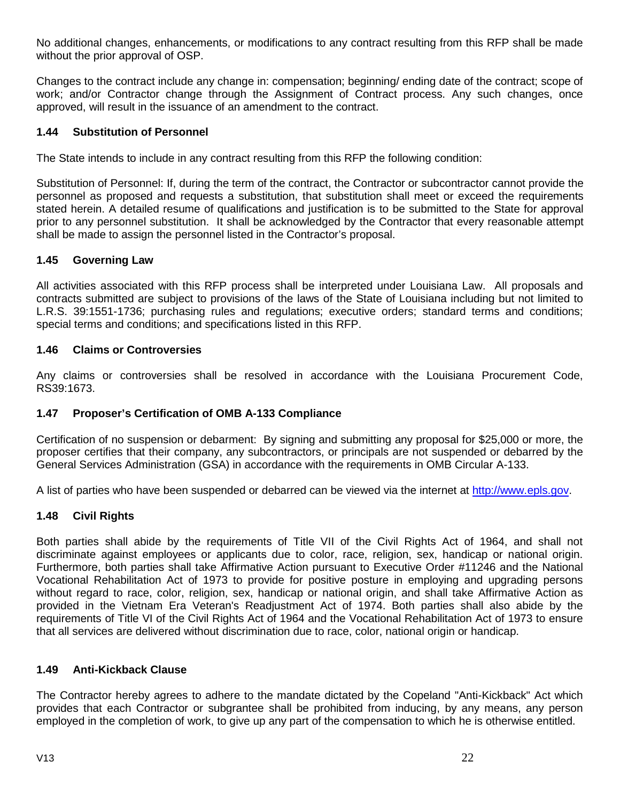No additional changes, enhancements, or modifications to any contract resulting from this RFP shall be made without the prior approval of OSP.

Changes to the contract include any change in: compensation; beginning/ ending date of the contract; scope of work; and/or Contractor change through the Assignment of Contract process. Any such changes, once approved, will result in the issuance of an amendment to the contract.

# <span id="page-21-0"></span>**1.44 Substitution of Personnel**

The State intends to include in any contract resulting from this RFP the following condition:

Substitution of Personnel: If, during the term of the contract, the Contractor or subcontractor cannot provide the personnel as proposed and requests a substitution, that substitution shall meet or exceed the requirements stated herein. A detailed resume of qualifications and justification is to be submitted to the State for approval prior to any personnel substitution. It shall be acknowledged by the Contractor that every reasonable attempt shall be made to assign the personnel listed in the Contractor's proposal.

# <span id="page-21-1"></span>**1.45 Governing Law**

All activities associated with this RFP process shall be interpreted under Louisiana Law. All proposals and contracts submitted are subject to provisions of the laws of the State of Louisiana including but not limited to L.R.S. 39:1551-1736; purchasing rules and regulations; executive orders; standard terms and conditions; special terms and conditions; and specifications listed in this RFP.

## <span id="page-21-2"></span>**1.46 Claims or Controversies**

Any claims or controversies shall be resolved in accordance with the Louisiana Procurement Code, RS39:1673.

# <span id="page-21-3"></span>**1.47 Proposer's Certification of OMB A-133 Compliance**

Certification of no suspension or debarment: By signing and submitting any proposal for \$25,000 or more, the proposer certifies that their company, any subcontractors, or principals are not suspended or debarred by the General Services Administration (GSA) in accordance with the requirements in OMB Circular A-133.

A list of parties who have been suspended or debarred can be viewed via the internet at [http://www.epls.gov.](http://www.epls.gov/)

# <span id="page-21-4"></span>**1.48 Civil Rights**

Both parties shall abide by the requirements of Title VII of the Civil Rights Act of 1964, and shall not discriminate against employees or applicants due to color, race, religion, sex, handicap or national origin. Furthermore, both parties shall take Affirmative Action pursuant to Executive Order #11246 and the National Vocational Rehabilitation Act of 1973 to provide for positive posture in employing and upgrading persons without regard to race, color, religion, sex, handicap or national origin, and shall take Affirmative Action as provided in the Vietnam Era Veteran's Readjustment Act of 1974. Both parties shall also abide by the requirements of Title VI of the Civil Rights Act of 1964 and the Vocational Rehabilitation Act of 1973 to ensure that all services are delivered without discrimination due to race, color, national origin or handicap.

# **1.49 Anti-Kickback Clause**

The Contractor hereby agrees to adhere to the mandate dictated by the Copeland "Anti-Kickback" Act which provides that each Contractor or subgrantee shall be prohibited from inducing, by any means, any person employed in the completion of work, to give up any part of the compensation to which he is otherwise entitled.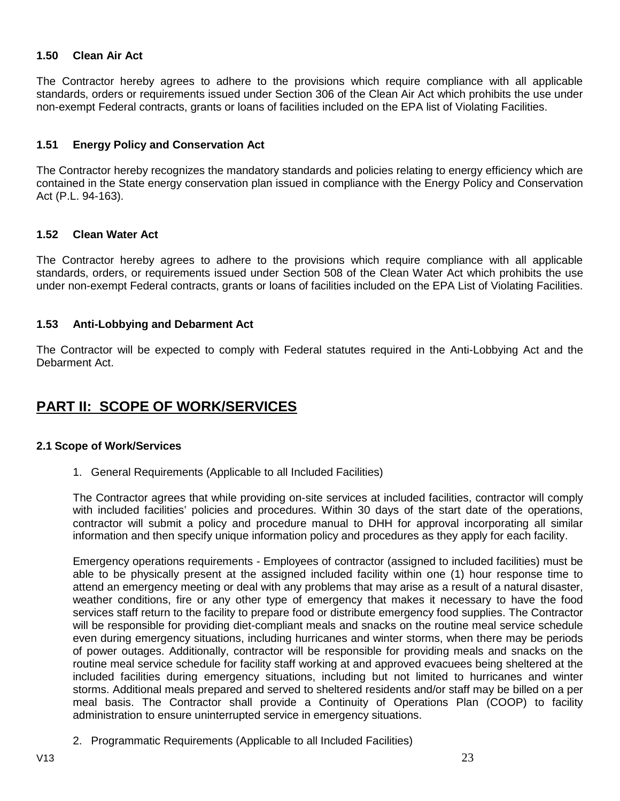## **1.50 Clean Air Act**

The Contractor hereby agrees to adhere to the provisions which require compliance with all applicable standards, orders or requirements issued under Section 306 of the Clean Air Act which prohibits the use under non-exempt Federal contracts, grants or loans of facilities included on the EPA list of Violating Facilities.

## **1.51 Energy Policy and Conservation Act**

The Contractor hereby recognizes the mandatory standards and policies relating to energy efficiency which are contained in the State energy conservation plan issued in compliance with the Energy Policy and Conservation Act (P.L. 94-163).

### **1.52 Clean Water Act**

The Contractor hereby agrees to adhere to the provisions which require compliance with all applicable standards, orders, or requirements issued under Section 508 of the Clean Water Act which prohibits the use under non-exempt Federal contracts, grants or loans of facilities included on the EPA List of Violating Facilities.

### **1.53 Anti-Lobbying and Debarment Act**

The Contractor will be expected to comply with Federal statutes required in the Anti-Lobbying Act and the Debarment Act.

# <span id="page-22-0"></span>**PART II: SCOPE OF WORK/SERVICES**

### <span id="page-22-1"></span>**2.1 Scope of Work/Services**

1. General Requirements (Applicable to all Included Facilities)

The Contractor agrees that while providing on-site services at included facilities, contractor will comply with included facilities' policies and procedures. Within 30 days of the start date of the operations, contractor will submit a policy and procedure manual to DHH for approval incorporating all similar information and then specify unique information policy and procedures as they apply for each facility.

Emergency operations requirements - Employees of contractor (assigned to included facilities) must be able to be physically present at the assigned included facility within one (1) hour response time to attend an emergency meeting or deal with any problems that may arise as a result of a natural disaster, weather conditions, fire or any other type of emergency that makes it necessary to have the food services staff return to the facility to prepare food or distribute emergency food supplies. The Contractor will be responsible for providing diet-compliant meals and snacks on the routine meal service schedule even during emergency situations, including hurricanes and winter storms, when there may be periods of power outages. Additionally, contractor will be responsible for providing meals and snacks on the routine meal service schedule for facility staff working at and approved evacuees being sheltered at the included facilities during emergency situations, including but not limited to hurricanes and winter storms. Additional meals prepared and served to sheltered residents and/or staff may be billed on a per meal basis. The Contractor shall provide a Continuity of Operations Plan (COOP) to facility administration to ensure uninterrupted service in emergency situations.

2. Programmatic Requirements (Applicable to all Included Facilities)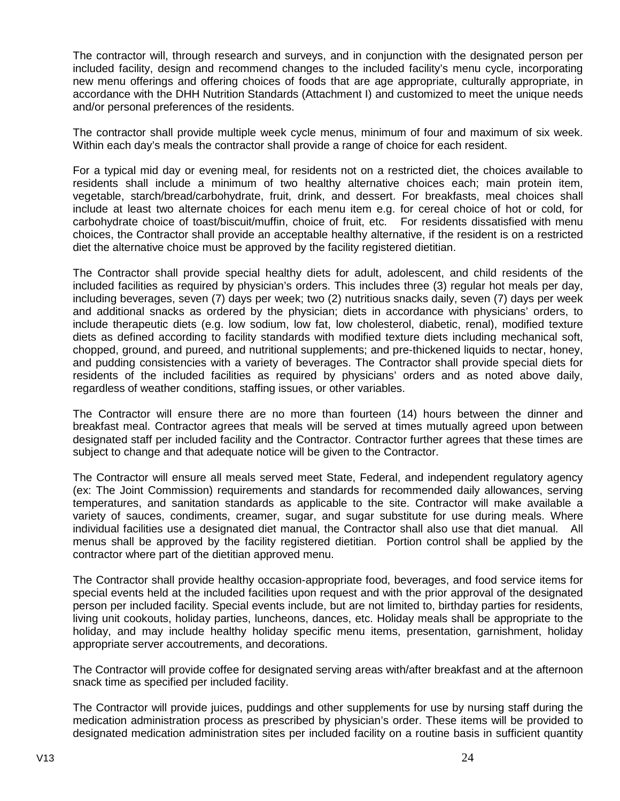The contractor will, through research and surveys, and in conjunction with the designated person per included facility, design and recommend changes to the included facility's menu cycle, incorporating new menu offerings and offering choices of foods that are age appropriate, culturally appropriate, in accordance with the DHH Nutrition Standards (Attachment I) and customized to meet the unique needs and/or personal preferences of the residents.

The contractor shall provide multiple week cycle menus, minimum of four and maximum of six week. Within each day's meals the contractor shall provide a range of choice for each resident.

For a typical mid day or evening meal, for residents not on a restricted diet, the choices available to residents shall include a minimum of two healthy alternative choices each; main protein item, vegetable, starch/bread/carbohydrate, fruit, drink, and dessert. For breakfasts, meal choices shall include at least two alternate choices for each menu item e.g. for cereal choice of hot or cold, for carbohydrate choice of toast/biscuit/muffin, choice of fruit, etc. For residents dissatisfied with menu choices, the Contractor shall provide an acceptable healthy alternative, if the resident is on a restricted diet the alternative choice must be approved by the facility registered dietitian.

The Contractor shall provide special healthy diets for adult, adolescent, and child residents of the included facilities as required by physician's orders. This includes three (3) regular hot meals per day, including beverages, seven (7) days per week; two (2) nutritious snacks daily, seven (7) days per week and additional snacks as ordered by the physician; diets in accordance with physicians' orders, to include therapeutic diets (e.g. low sodium, low fat, low cholesterol, diabetic, renal), modified texture diets as defined according to facility standards with modified texture diets including mechanical soft, chopped, ground, and pureed, and nutritional supplements; and pre-thickened liquids to nectar, honey, and pudding consistencies with a variety of beverages. The Contractor shall provide special diets for residents of the included facilities as required by physicians' orders and as noted above daily, regardless of weather conditions, staffing issues, or other variables.

The Contractor will ensure there are no more than fourteen (14) hours between the dinner and breakfast meal. Contractor agrees that meals will be served at times mutually agreed upon between designated staff per included facility and the Contractor. Contractor further agrees that these times are subject to change and that adequate notice will be given to the Contractor.

The Contractor will ensure all meals served meet State, Federal, and independent regulatory agency (ex: The Joint Commission) requirements and standards for recommended daily allowances, serving temperatures, and sanitation standards as applicable to the site. Contractor will make available a variety of sauces, condiments, creamer, sugar, and sugar substitute for use during meals. Where individual facilities use a designated diet manual, the Contractor shall also use that diet manual. All menus shall be approved by the facility registered dietitian. Portion control shall be applied by the contractor where part of the dietitian approved menu.

The Contractor shall provide healthy occasion-appropriate food, beverages, and food service items for special events held at the included facilities upon request and with the prior approval of the designated person per included facility. Special events include, but are not limited to, birthday parties for residents, living unit cookouts, holiday parties, luncheons, dances, etc. Holiday meals shall be appropriate to the holiday, and may include healthy holiday specific menu items, presentation, garnishment, holiday appropriate server accoutrements, and decorations.

The Contractor will provide coffee for designated serving areas with/after breakfast and at the afternoon snack time as specified per included facility.

The Contractor will provide juices, puddings and other supplements for use by nursing staff during the medication administration process as prescribed by physician's order. These items will be provided to designated medication administration sites per included facility on a routine basis in sufficient quantity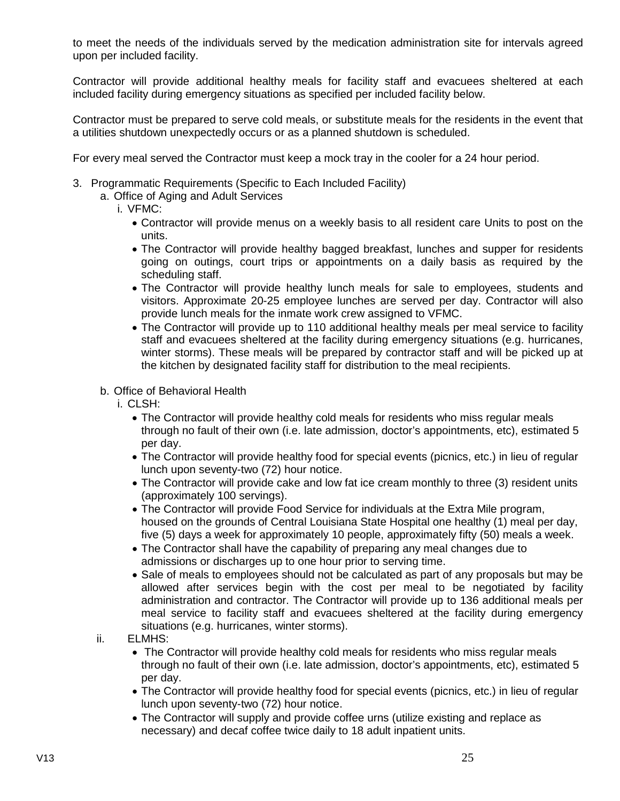to meet the needs of the individuals served by the medication administration site for intervals agreed upon per included facility.

Contractor will provide additional healthy meals for facility staff and evacuees sheltered at each included facility during emergency situations as specified per included facility below.

Contractor must be prepared to serve cold meals, or substitute meals for the residents in the event that a utilities shutdown unexpectedly occurs or as a planned shutdown is scheduled.

For every meal served the Contractor must keep a mock tray in the cooler for a 24 hour period.

- 3. Programmatic Requirements (Specific to Each Included Facility)
	- a. Office of Aging and Adult Services
		- i. VFMC:
			- Contractor will provide menus on a weekly basis to all resident care Units to post on the units.
			- The Contractor will provide healthy bagged breakfast, lunches and supper for residents going on outings, court trips or appointments on a daily basis as required by the scheduling staff.
			- The Contractor will provide healthy lunch meals for sale to employees, students and visitors. Approximate 20-25 employee lunches are served per day. Contractor will also provide lunch meals for the inmate work crew assigned to VFMC.
			- The Contractor will provide up to 110 additional healthy meals per meal service to facility staff and evacuees sheltered at the facility during emergency situations (e.g. hurricanes, winter storms). These meals will be prepared by contractor staff and will be picked up at the kitchen by designated facility staff for distribution to the meal recipients.
	- b. Office of Behavioral Health
		- i. CLSH:
			- The Contractor will provide healthy cold meals for residents who miss regular meals through no fault of their own (i.e. late admission, doctor's appointments, etc), estimated 5 per day.
			- The Contractor will provide healthy food for special events (picnics, etc.) in lieu of regular lunch upon seventy-two (72) hour notice.
			- The Contractor will provide cake and low fat ice cream monthly to three (3) resident units (approximately 100 servings).
			- The Contractor will provide Food Service for individuals at the Extra Mile program, housed on the grounds of Central Louisiana State Hospital one healthy (1) meal per day, five (5) days a week for approximately 10 people, approximately fifty (50) meals a week.
			- The Contractor shall have the capability of preparing any meal changes due to admissions or discharges up to one hour prior to serving time.
			- Sale of meals to employees should not be calculated as part of any proposals but may be allowed after services begin with the cost per meal to be negotiated by facility administration and contractor. The Contractor will provide up to 136 additional meals per meal service to facility staff and evacuees sheltered at the facility during emergency situations (e.g. hurricanes, winter storms).
	- ii. ELMHS:
		- The Contractor will provide healthy cold meals for residents who miss regular meals through no fault of their own (i.e. late admission, doctor's appointments, etc), estimated 5 per day.
		- The Contractor will provide healthy food for special events (picnics, etc.) in lieu of regular lunch upon seventy-two (72) hour notice.
		- The Contractor will supply and provide coffee urns (utilize existing and replace as necessary) and decaf coffee twice daily to 18 adult inpatient units.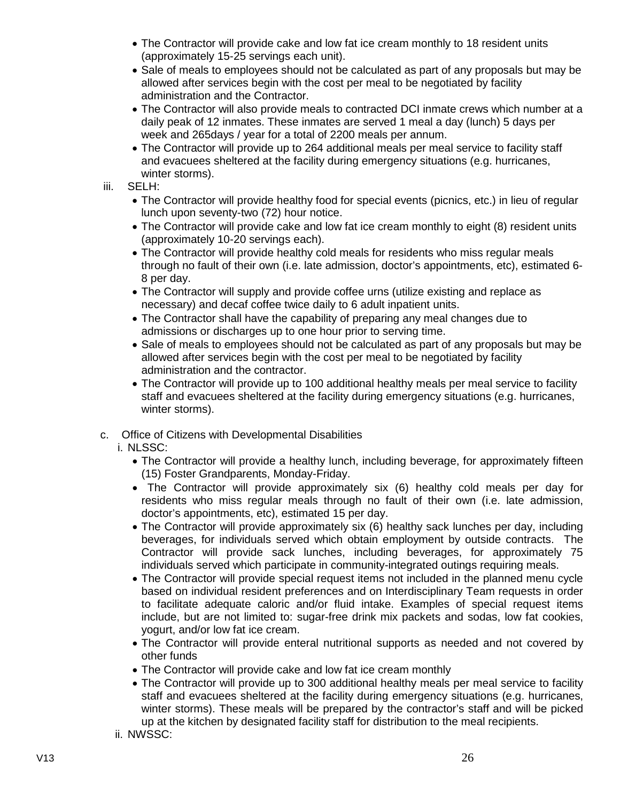- The Contractor will provide cake and low fat ice cream monthly to 18 resident units (approximately 15-25 servings each unit).
- Sale of meals to employees should not be calculated as part of any proposals but may be allowed after services begin with the cost per meal to be negotiated by facility administration and the Contractor.
- The Contractor will also provide meals to contracted DCI inmate crews which number at a daily peak of 12 inmates. These inmates are served 1 meal a day (lunch) 5 days per week and 265days / year for a total of 2200 meals per annum.
- The Contractor will provide up to 264 additional meals per meal service to facility staff and evacuees sheltered at the facility during emergency situations (e.g. hurricanes, winter storms).
- iii. SELH:
	- The Contractor will provide healthy food for special events (picnics, etc.) in lieu of regular lunch upon seventy-two (72) hour notice.
	- The Contractor will provide cake and low fat ice cream monthly to eight (8) resident units (approximately 10-20 servings each).
	- The Contractor will provide healthy cold meals for residents who miss regular meals through no fault of their own (i.e. late admission, doctor's appointments, etc), estimated 6- 8 per day.
	- The Contractor will supply and provide coffee urns (utilize existing and replace as necessary) and decaf coffee twice daily to 6 adult inpatient units.
	- The Contractor shall have the capability of preparing any meal changes due to admissions or discharges up to one hour prior to serving time.
	- Sale of meals to employees should not be calculated as part of any proposals but may be allowed after services begin with the cost per meal to be negotiated by facility administration and the contractor.
	- The Contractor will provide up to 100 additional healthy meals per meal service to facility staff and evacuees sheltered at the facility during emergency situations (e.g. hurricanes, winter storms).
- c. Office of Citizens with Developmental Disabilities
	- i. NLSSC:
		- The Contractor will provide a healthy lunch, including beverage, for approximately fifteen (15) Foster Grandparents, Monday-Friday.
		- The Contractor will provide approximately six (6) healthy cold meals per day for residents who miss regular meals through no fault of their own (i.e. late admission, doctor's appointments, etc), estimated 15 per day.
		- The Contractor will provide approximately six (6) healthy sack lunches per day, including beverages, for individuals served which obtain employment by outside contracts. The Contractor will provide sack lunches, including beverages, for approximately 75 individuals served which participate in community-integrated outings requiring meals.
		- The Contractor will provide special request items not included in the planned menu cycle based on individual resident preferences and on Interdisciplinary Team requests in order to facilitate adequate caloric and/or fluid intake. Examples of special request items include, but are not limited to: sugar-free drink mix packets and sodas, low fat cookies, yogurt, and/or low fat ice cream.
		- The Contractor will provide enteral nutritional supports as needed and not covered by other funds
		- The Contractor will provide cake and low fat ice cream monthly
		- The Contractor will provide up to 300 additional healthy meals per meal service to facility staff and evacuees sheltered at the facility during emergency situations (e.g. hurricanes, winter storms). These meals will be prepared by the contractor's staff and will be picked up at the kitchen by designated facility staff for distribution to the meal recipients.
	- ii. NWSSC: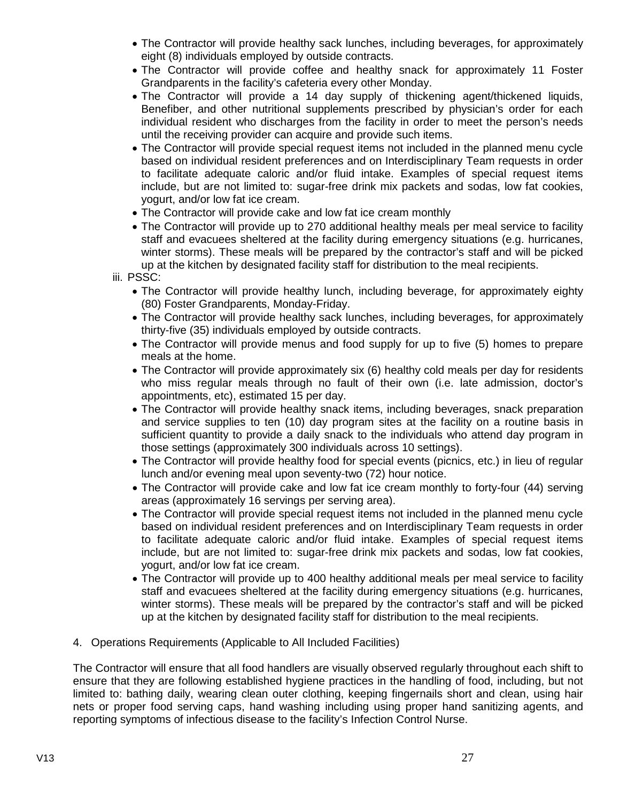- The Contractor will provide healthy sack lunches, including beverages, for approximately eight (8) individuals employed by outside contracts.
- The Contractor will provide coffee and healthy snack for approximately 11 Foster Grandparents in the facility's cafeteria every other Monday.
- The Contractor will provide a 14 day supply of thickening agent/thickened liquids, Benefiber, and other nutritional supplements prescribed by physician's order for each individual resident who discharges from the facility in order to meet the person's needs until the receiving provider can acquire and provide such items.
- The Contractor will provide special request items not included in the planned menu cycle based on individual resident preferences and on Interdisciplinary Team requests in order to facilitate adequate caloric and/or fluid intake. Examples of special request items include, but are not limited to: sugar-free drink mix packets and sodas, low fat cookies, yogurt, and/or low fat ice cream.
- The Contractor will provide cake and low fat ice cream monthly
- The Contractor will provide up to 270 additional healthy meals per meal service to facility staff and evacuees sheltered at the facility during emergency situations (e.g. hurricanes, winter storms). These meals will be prepared by the contractor's staff and will be picked up at the kitchen by designated facility staff for distribution to the meal recipients.
- iii. PSSC:
	- The Contractor will provide healthy lunch, including beverage, for approximately eighty (80) Foster Grandparents, Monday-Friday.
	- The Contractor will provide healthy sack lunches, including beverages, for approximately thirty-five (35) individuals employed by outside contracts.
	- The Contractor will provide menus and food supply for up to five (5) homes to prepare meals at the home.
	- The Contractor will provide approximately six (6) healthy cold meals per day for residents who miss regular meals through no fault of their own (i.e. late admission, doctor's appointments, etc), estimated 15 per day.
	- The Contractor will provide healthy snack items, including beverages, snack preparation and service supplies to ten (10) day program sites at the facility on a routine basis in sufficient quantity to provide a daily snack to the individuals who attend day program in those settings (approximately 300 individuals across 10 settings).
	- The Contractor will provide healthy food for special events (picnics, etc.) in lieu of regular lunch and/or evening meal upon seventy-two (72) hour notice.
	- The Contractor will provide cake and low fat ice cream monthly to forty-four (44) serving areas (approximately 16 servings per serving area).
	- The Contractor will provide special request items not included in the planned menu cycle based on individual resident preferences and on Interdisciplinary Team requests in order to facilitate adequate caloric and/or fluid intake. Examples of special request items include, but are not limited to: sugar-free drink mix packets and sodas, low fat cookies, yogurt, and/or low fat ice cream.
	- The Contractor will provide up to 400 healthy additional meals per meal service to facility staff and evacuees sheltered at the facility during emergency situations (e.g. hurricanes, winter storms). These meals will be prepared by the contractor's staff and will be picked up at the kitchen by designated facility staff for distribution to the meal recipients.
- 4. Operations Requirements (Applicable to All Included Facilities)

The Contractor will ensure that all food handlers are visually observed regularly throughout each shift to ensure that they are following established hygiene practices in the handling of food, including, but not limited to: bathing daily, wearing clean outer clothing, keeping fingernails short and clean, using hair nets or proper food serving caps, hand washing including using proper hand sanitizing agents, and reporting symptoms of infectious disease to the facility's Infection Control Nurse.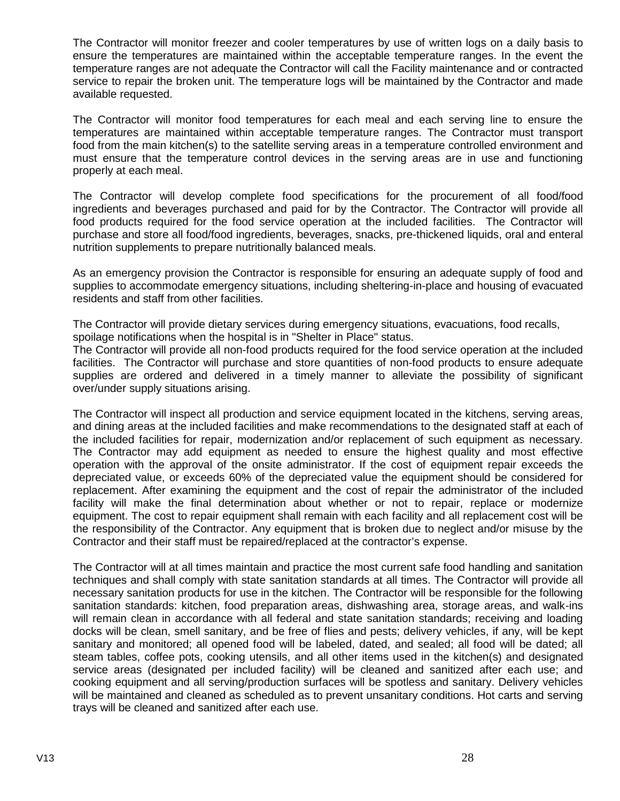The Contractor will monitor freezer and cooler temperatures by use of written logs on a daily basis to ensure the temperatures are maintained within the acceptable temperature ranges. In the event the temperature ranges are not adequate the Contractor will call the Facility maintenance and or contracted service to repair the broken unit. The temperature logs will be maintained by the Contractor and made available requested.

The Contractor will monitor food temperatures for each meal and each serving line to ensure the temperatures are maintained within acceptable temperature ranges. The Contractor must transport food from the main kitchen(s) to the satellite serving areas in a temperature controlled environment and must ensure that the temperature control devices in the serving areas are in use and functioning properly at each meal.

The Contractor will develop complete food specifications for the procurement of all food/food ingredients and beverages purchased and paid for by the Contractor. The Contractor will provide all food products required for the food service operation at the included facilities. The Contractor will purchase and store all food/food ingredients, beverages, snacks, pre-thickened liquids, oral and enteral nutrition supplements to prepare nutritionally balanced meals.

As an emergency provision the Contractor is responsible for ensuring an adequate supply of food and supplies to accommodate emergency situations, including sheltering-in-place and housing of evacuated residents and staff from other facilities.

The Contractor will provide dietary services during emergency situations, evacuations, food recalls, spoilage notifications when the hospital is in "Shelter in Place" status.

The Contractor will provide all non-food products required for the food service operation at the included facilities. The Contractor will purchase and store quantities of non-food products to ensure adequate supplies are ordered and delivered in a timely manner to alleviate the possibility of significant over/under supply situations arising.

The Contractor will inspect all production and service equipment located in the kitchens, serving areas, and dining areas at the included facilities and make recommendations to the designated staff at each of the included facilities for repair, modernization and/or replacement of such equipment as necessary. The Contractor may add equipment as needed to ensure the highest quality and most effective operation with the approval of the onsite administrator. If the cost of equipment repair exceeds the depreciated value, or exceeds 60% of the depreciated value the equipment should be considered for replacement. After examining the equipment and the cost of repair the administrator of the included facility will make the final determination about whether or not to repair, replace or modernize equipment. The cost to repair equipment shall remain with each facility and all replacement cost will be the responsibility of the Contractor. Any equipment that is broken due to neglect and/or misuse by the Contractor and their staff must be repaired/replaced at the contractor's expense.

The Contractor will at all times maintain and practice the most current safe food handling and sanitation techniques and shall comply with state sanitation standards at all times. The Contractor will provide all necessary sanitation products for use in the kitchen. The Contractor will be responsible for the following sanitation standards: kitchen, food preparation areas, dishwashing area, storage areas, and walk-ins will remain clean in accordance with all federal and state sanitation standards; receiving and loading docks will be clean, smell sanitary, and be free of flies and pests; delivery vehicles, if any, will be kept sanitary and monitored; all opened food will be labeled, dated, and sealed; all food will be dated; all steam tables, coffee pots, cooking utensils, and all other items used in the kitchen(s) and designated service areas (designated per included facility) will be cleaned and sanitized after each use; and cooking equipment and all serving/production surfaces will be spotless and sanitary. Delivery vehicles will be maintained and cleaned as scheduled as to prevent unsanitary conditions. Hot carts and serving trays will be cleaned and sanitized after each use.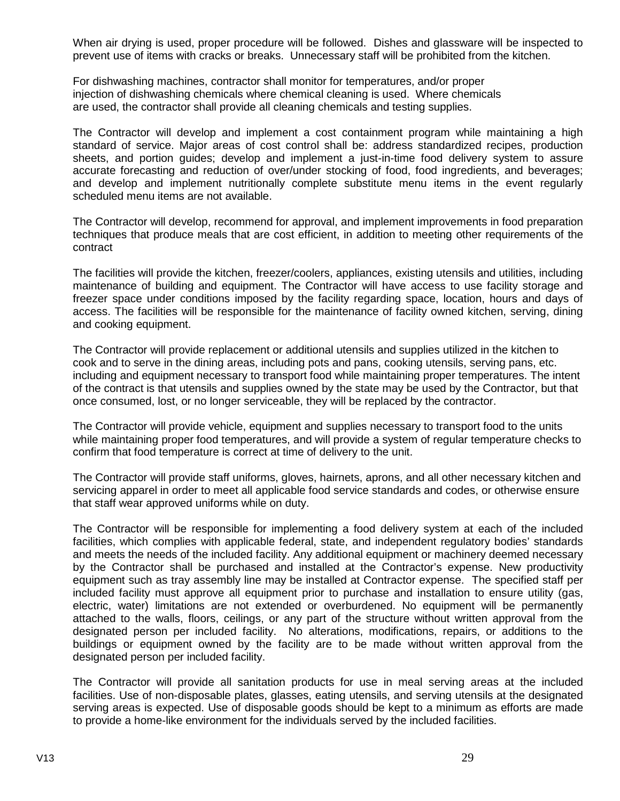When air drying is used, proper procedure will be followed. Dishes and glassware will be inspected to prevent use of items with cracks or breaks. Unnecessary staff will be prohibited from the kitchen.

For dishwashing machines, contractor shall monitor for temperatures, and/or proper injection of dishwashing chemicals where chemical cleaning is used. Where chemicals are used, the contractor shall provide all cleaning chemicals and testing supplies.

The Contractor will develop and implement a cost containment program while maintaining a high standard of service. Major areas of cost control shall be: address standardized recipes, production sheets, and portion guides; develop and implement a just-in-time food delivery system to assure accurate forecasting and reduction of over/under stocking of food, food ingredients, and beverages; and develop and implement nutritionally complete substitute menu items in the event regularly scheduled menu items are not available.

The Contractor will develop, recommend for approval, and implement improvements in food preparation techniques that produce meals that are cost efficient, in addition to meeting other requirements of the contract

The facilities will provide the kitchen, freezer/coolers, appliances, existing utensils and utilities, including maintenance of building and equipment. The Contractor will have access to use facility storage and freezer space under conditions imposed by the facility regarding space, location, hours and days of access. The facilities will be responsible for the maintenance of facility owned kitchen, serving, dining and cooking equipment.

The Contractor will provide replacement or additional utensils and supplies utilized in the kitchen to cook and to serve in the dining areas, including pots and pans, cooking utensils, serving pans, etc. including and equipment necessary to transport food while maintaining proper temperatures. The intent of the contract is that utensils and supplies owned by the state may be used by the Contractor, but that once consumed, lost, or no longer serviceable, they will be replaced by the contractor.

The Contractor will provide vehicle, equipment and supplies necessary to transport food to the units while maintaining proper food temperatures, and will provide a system of regular temperature checks to confirm that food temperature is correct at time of delivery to the unit.

The Contractor will provide staff uniforms, gloves, hairnets, aprons, and all other necessary kitchen and servicing apparel in order to meet all applicable food service standards and codes, or otherwise ensure that staff wear approved uniforms while on duty.

The Contractor will be responsible for implementing a food delivery system at each of the included facilities, which complies with applicable federal, state, and independent regulatory bodies' standards and meets the needs of the included facility. Any additional equipment or machinery deemed necessary by the Contractor shall be purchased and installed at the Contractor's expense. New productivity equipment such as tray assembly line may be installed at Contractor expense. The specified staff per included facility must approve all equipment prior to purchase and installation to ensure utility (gas, electric, water) limitations are not extended or overburdened. No equipment will be permanently attached to the walls, floors, ceilings, or any part of the structure without written approval from the designated person per included facility. No alterations, modifications, repairs, or additions to the buildings or equipment owned by the facility are to be made without written approval from the designated person per included facility.

The Contractor will provide all sanitation products for use in meal serving areas at the included facilities. Use of non-disposable plates, glasses, eating utensils, and serving utensils at the designated serving areas is expected. Use of disposable goods should be kept to a minimum as efforts are made to provide a home-like environment for the individuals served by the included facilities.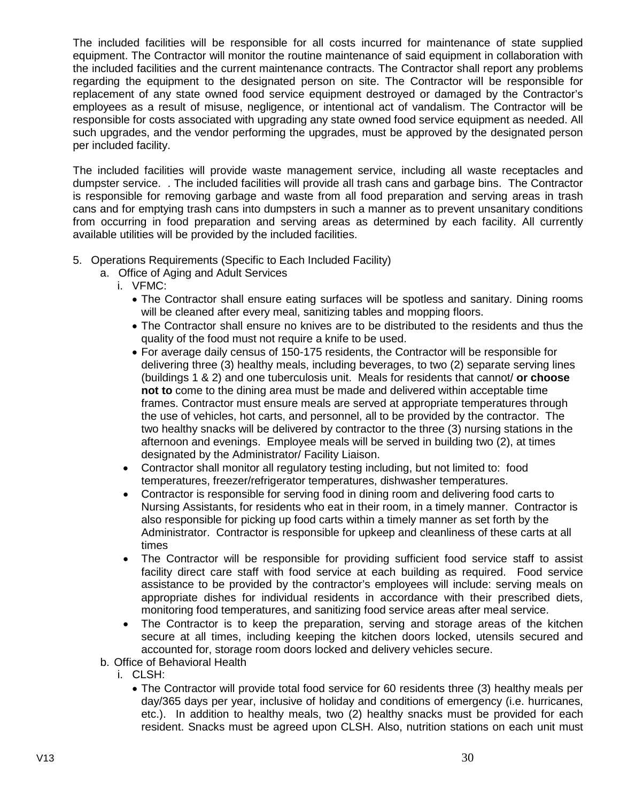The included facilities will be responsible for all costs incurred for maintenance of state supplied equipment. The Contractor will monitor the routine maintenance of said equipment in collaboration with the included facilities and the current maintenance contracts. The Contractor shall report any problems regarding the equipment to the designated person on site. The Contractor will be responsible for replacement of any state owned food service equipment destroyed or damaged by the Contractor's employees as a result of misuse, negligence, or intentional act of vandalism. The Contractor will be responsible for costs associated with upgrading any state owned food service equipment as needed. All such upgrades, and the vendor performing the upgrades, must be approved by the designated person per included facility.

The included facilities will provide waste management service, including all waste receptacles and dumpster service. . The included facilities will provide all trash cans and garbage bins. The Contractor is responsible for removing garbage and waste from all food preparation and serving areas in trash cans and for emptying trash cans into dumpsters in such a manner as to prevent unsanitary conditions from occurring in food preparation and serving areas as determined by each facility. All currently available utilities will be provided by the included facilities.

- 5. Operations Requirements (Specific to Each Included Facility)
	- a. Office of Aging and Adult Services
		- i. VFMC:
			- The Contractor shall ensure eating surfaces will be spotless and sanitary. Dining rooms will be cleaned after every meal, sanitizing tables and mopping floors.
			- The Contractor shall ensure no knives are to be distributed to the residents and thus the quality of the food must not require a knife to be used.
			- For average daily census of 150-175 residents, the Contractor will be responsible for delivering three (3) healthy meals, including beverages, to two (2) separate serving lines (buildings 1 & 2) and one tuberculosis unit. Meals for residents that cannot/ **or choose not to** come to the dining area must be made and delivered within acceptable time frames. Contractor must ensure meals are served at appropriate temperatures through the use of vehicles, hot carts, and personnel, all to be provided by the contractor. The two healthy snacks will be delivered by contractor to the three (3) nursing stations in the afternoon and evenings. Employee meals will be served in building two (2), at times designated by the Administrator/ Facility Liaison.
			- Contractor shall monitor all regulatory testing including, but not limited to: food temperatures, freezer/refrigerator temperatures, dishwasher temperatures.
			- Contractor is responsible for serving food in dining room and delivering food carts to Nursing Assistants, for residents who eat in their room, in a timely manner. Contractor is also responsible for picking up food carts within a timely manner as set forth by the Administrator. Contractor is responsible for upkeep and cleanliness of these carts at all times
			- The Contractor will be responsible for providing sufficient food service staff to assist facility direct care staff with food service at each building as required. Food service assistance to be provided by the contractor's employees will include: serving meals on appropriate dishes for individual residents in accordance with their prescribed diets, monitoring food temperatures, and sanitizing food service areas after meal service.
			- The Contractor is to keep the preparation, serving and storage areas of the kitchen secure at all times, including keeping the kitchen doors locked, utensils secured and accounted for, storage room doors locked and delivery vehicles secure.
	- b. Office of Behavioral Health
		- i. CLSH:
			- The Contractor will provide total food service for 60 residents three (3) healthy meals per day/365 days per year, inclusive of holiday and conditions of emergency (i.e. hurricanes, etc.). In addition to healthy meals, two (2) healthy snacks must be provided for each resident. Snacks must be agreed upon CLSH. Also, nutrition stations on each unit must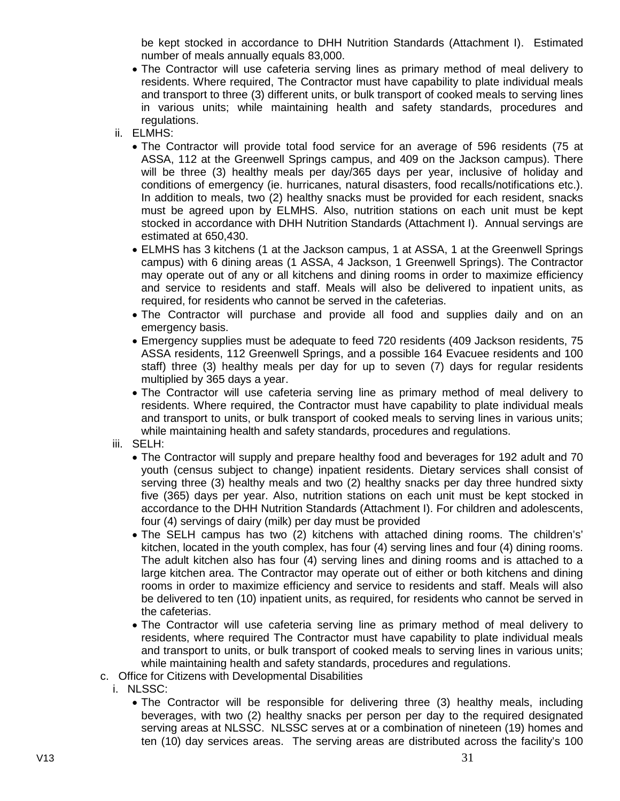be kept stocked in accordance to DHH Nutrition Standards (Attachment I). Estimated number of meals annually equals 83,000.

- The Contractor will use cafeteria serving lines as primary method of meal delivery to residents. Where required, The Contractor must have capability to plate individual meals and transport to three (3) different units, or bulk transport of cooked meals to serving lines in various units; while maintaining health and safety standards, procedures and regulations.
- ii. ELMHS:
	- The Contractor will provide total food service for an average of 596 residents (75 at ASSA, 112 at the Greenwell Springs campus, and 409 on the Jackson campus). There will be three (3) healthy meals per day/365 days per year, inclusive of holiday and conditions of emergency (ie. hurricanes, natural disasters, food recalls/notifications etc.). In addition to meals, two (2) healthy snacks must be provided for each resident, snacks must be agreed upon by ELMHS. Also, nutrition stations on each unit must be kept stocked in accordance with DHH Nutrition Standards (Attachment I). Annual servings are estimated at 650,430.
	- ELMHS has 3 kitchens (1 at the Jackson campus, 1 at ASSA, 1 at the Greenwell Springs campus) with 6 dining areas (1 ASSA, 4 Jackson, 1 Greenwell Springs). The Contractor may operate out of any or all kitchens and dining rooms in order to maximize efficiency and service to residents and staff. Meals will also be delivered to inpatient units, as required, for residents who cannot be served in the cafeterias.
	- The Contractor will purchase and provide all food and supplies daily and on an emergency basis.
	- Emergency supplies must be adequate to feed 720 residents (409 Jackson residents, 75 ASSA residents, 112 Greenwell Springs, and a possible 164 Evacuee residents and 100 staff) three (3) healthy meals per day for up to seven (7) days for regular residents multiplied by 365 days a year.
	- The Contractor will use cafeteria serving line as primary method of meal delivery to residents. Where required, the Contractor must have capability to plate individual meals and transport to units, or bulk transport of cooked meals to serving lines in various units; while maintaining health and safety standards, procedures and regulations.
- iii. SELH:
	- The Contractor will supply and prepare healthy food and beverages for 192 adult and 70 youth (census subject to change) inpatient residents. Dietary services shall consist of serving three (3) healthy meals and two (2) healthy snacks per day three hundred sixty five (365) days per year. Also, nutrition stations on each unit must be kept stocked in accordance to the DHH Nutrition Standards (Attachment I). For children and adolescents, four (4) servings of dairy (milk) per day must be provided
	- The SELH campus has two (2) kitchens with attached dining rooms. The children's' kitchen, located in the youth complex, has four (4) serving lines and four (4) dining rooms. The adult kitchen also has four (4) serving lines and dining rooms and is attached to a large kitchen area. The Contractor may operate out of either or both kitchens and dining rooms in order to maximize efficiency and service to residents and staff. Meals will also be delivered to ten (10) inpatient units, as required, for residents who cannot be served in the cafeterias.
	- The Contractor will use cafeteria serving line as primary method of meal delivery to residents, where required The Contractor must have capability to plate individual meals and transport to units, or bulk transport of cooked meals to serving lines in various units; while maintaining health and safety standards, procedures and regulations.
- c. Office for Citizens with Developmental Disabilities
	- i. NLSSC:
		- The Contractor will be responsible for delivering three (3) healthy meals, including beverages, with two (2) healthy snacks per person per day to the required designated serving areas at NLSSC. NLSSC serves at or a combination of nineteen (19) homes and ten (10) day services areas. The serving areas are distributed across the facility's 100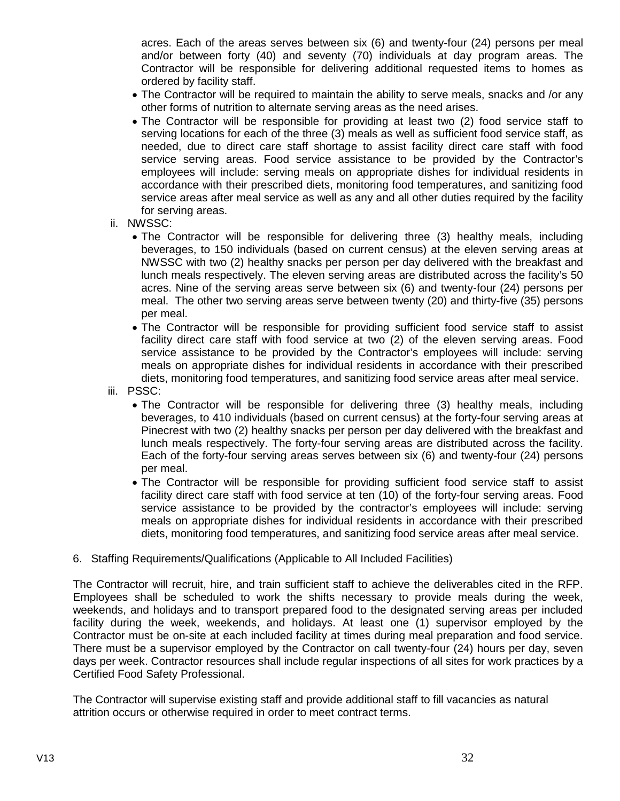acres. Each of the areas serves between six (6) and twenty-four (24) persons per meal and/or between forty (40) and seventy (70) individuals at day program areas. The Contractor will be responsible for delivering additional requested items to homes as ordered by facility staff.

- The Contractor will be required to maintain the ability to serve meals, snacks and /or any other forms of nutrition to alternate serving areas as the need arises.
- The Contractor will be responsible for providing at least two (2) food service staff to serving locations for each of the three (3) meals as well as sufficient food service staff, as needed, due to direct care staff shortage to assist facility direct care staff with food service serving areas. Food service assistance to be provided by the Contractor's employees will include: serving meals on appropriate dishes for individual residents in accordance with their prescribed diets, monitoring food temperatures, and sanitizing food service areas after meal service as well as any and all other duties required by the facility for serving areas.
- ii. NWSSC:
	- The Contractor will be responsible for delivering three (3) healthy meals, including beverages, to 150 individuals (based on current census) at the eleven serving areas at NWSSC with two (2) healthy snacks per person per day delivered with the breakfast and lunch meals respectively. The eleven serving areas are distributed across the facility's 50 acres. Nine of the serving areas serve between six (6) and twenty-four (24) persons per meal. The other two serving areas serve between twenty (20) and thirty-five (35) persons per meal.
	- The Contractor will be responsible for providing sufficient food service staff to assist facility direct care staff with food service at two (2) of the eleven serving areas. Food service assistance to be provided by the Contractor's employees will include: serving meals on appropriate dishes for individual residents in accordance with their prescribed diets, monitoring food temperatures, and sanitizing food service areas after meal service.
- iii. PSSC:
	- The Contractor will be responsible for delivering three (3) healthy meals, including beverages, to 410 individuals (based on current census) at the forty-four serving areas at Pinecrest with two (2) healthy snacks per person per day delivered with the breakfast and lunch meals respectively. The forty-four serving areas are distributed across the facility. Each of the forty-four serving areas serves between six (6) and twenty-four (24) persons per meal.
	- The Contractor will be responsible for providing sufficient food service staff to assist facility direct care staff with food service at ten (10) of the forty-four serving areas. Food service assistance to be provided by the contractor's employees will include: serving meals on appropriate dishes for individual residents in accordance with their prescribed diets, monitoring food temperatures, and sanitizing food service areas after meal service.
- 6. Staffing Requirements/Qualifications (Applicable to All Included Facilities)

The Contractor will recruit, hire, and train sufficient staff to achieve the deliverables cited in the RFP. Employees shall be scheduled to work the shifts necessary to provide meals during the week, weekends, and holidays and to transport prepared food to the designated serving areas per included facility during the week, weekends, and holidays. At least one (1) supervisor employed by the Contractor must be on-site at each included facility at times during meal preparation and food service. There must be a supervisor employed by the Contractor on call twenty-four (24) hours per day, seven days per week. Contractor resources shall include regular inspections of all sites for work practices by a Certified Food Safety Professional.

The Contractor will supervise existing staff and provide additional staff to fill vacancies as natural attrition occurs or otherwise required in order to meet contract terms.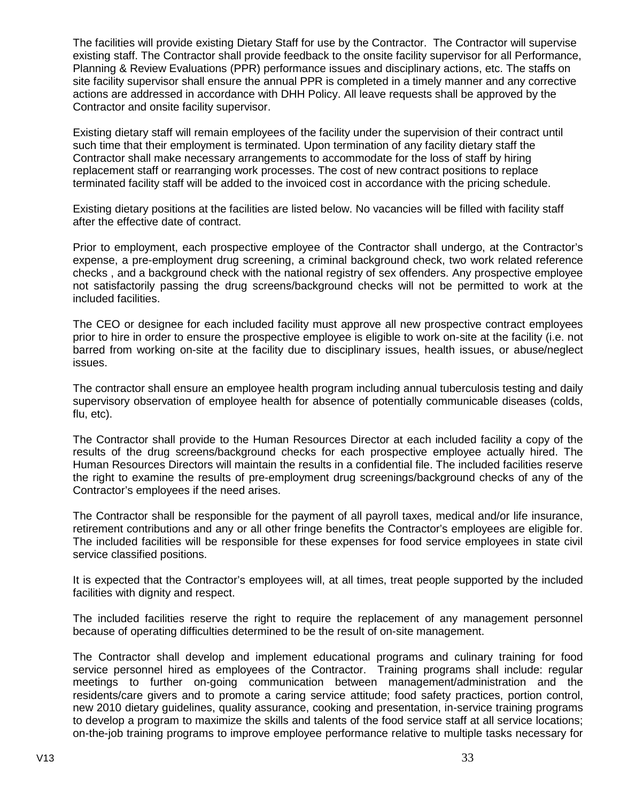The facilities will provide existing Dietary Staff for use by the Contractor. The Contractor will supervise existing staff. The Contractor shall provide feedback to the onsite facility supervisor for all Performance, Planning & Review Evaluations (PPR) performance issues and disciplinary actions, etc. The staffs on site facility supervisor shall ensure the annual PPR is completed in a timely manner and any corrective actions are addressed in accordance with DHH Policy. All leave requests shall be approved by the Contractor and onsite facility supervisor.

Existing dietary staff will remain employees of the facility under the supervision of their contract until such time that their employment is terminated. Upon termination of any facility dietary staff the Contractor shall make necessary arrangements to accommodate for the loss of staff by hiring replacement staff or rearranging work processes. The cost of new contract positions to replace terminated facility staff will be added to the invoiced cost in accordance with the pricing schedule.

Existing dietary positions at the facilities are listed below. No vacancies will be filled with facility staff after the effective date of contract.

Prior to employment, each prospective employee of the Contractor shall undergo, at the Contractor's expense, a pre-employment drug screening, a criminal background check, two work related reference checks , and a background check with the national registry of sex offenders. Any prospective employee not satisfactorily passing the drug screens/background checks will not be permitted to work at the included facilities.

The CEO or designee for each included facility must approve all new prospective contract employees prior to hire in order to ensure the prospective employee is eligible to work on-site at the facility (i.e. not barred from working on-site at the facility due to disciplinary issues, health issues, or abuse/neglect issues.

The contractor shall ensure an employee health program including annual tuberculosis testing and daily supervisory observation of employee health for absence of potentially communicable diseases (colds, flu, etc).

The Contractor shall provide to the Human Resources Director at each included facility a copy of the results of the drug screens/background checks for each prospective employee actually hired. The Human Resources Directors will maintain the results in a confidential file. The included facilities reserve the right to examine the results of pre-employment drug screenings/background checks of any of the Contractor's employees if the need arises.

The Contractor shall be responsible for the payment of all payroll taxes, medical and/or life insurance, retirement contributions and any or all other fringe benefits the Contractor's employees are eligible for. The included facilities will be responsible for these expenses for food service employees in state civil service classified positions.

It is expected that the Contractor's employees will, at all times, treat people supported by the included facilities with dignity and respect.

The included facilities reserve the right to require the replacement of any management personnel because of operating difficulties determined to be the result of on-site management.

The Contractor shall develop and implement educational programs and culinary training for food service personnel hired as employees of the Contractor. Training programs shall include: regular meetings to further on-going communication between management/administration and the residents/care givers and to promote a caring service attitude; food safety practices, portion control, new 2010 dietary guidelines, quality assurance, cooking and presentation, in-service training programs to develop a program to maximize the skills and talents of the food service staff at all service locations; on-the-job training programs to improve employee performance relative to multiple tasks necessary for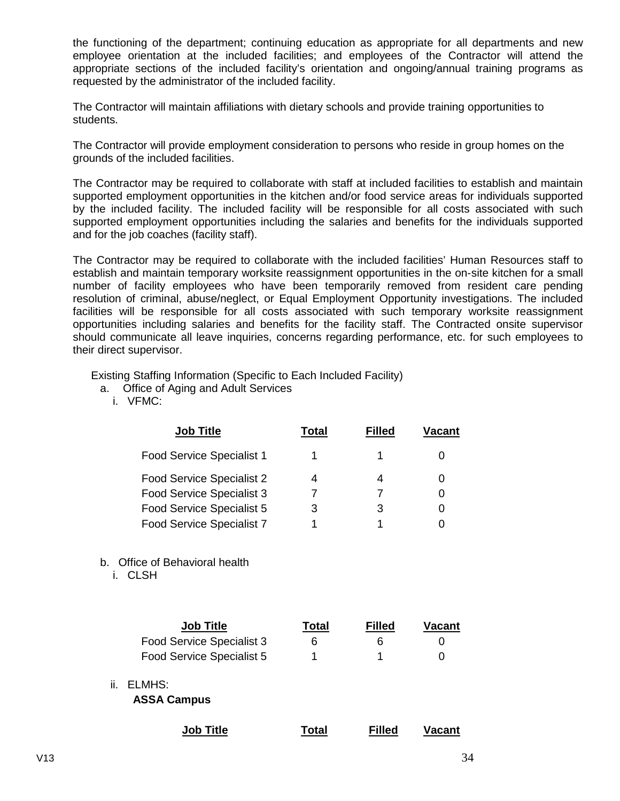the functioning of the department; continuing education as appropriate for all departments and new employee orientation at the included facilities; and employees of the Contractor will attend the appropriate sections of the included facility's orientation and ongoing/annual training programs as requested by the administrator of the included facility.

The Contractor will maintain affiliations with dietary schools and provide training opportunities to students.

The Contractor will provide employment consideration to persons who reside in group homes on the grounds of the included facilities.

The Contractor may be required to collaborate with staff at included facilities to establish and maintain supported employment opportunities in the kitchen and/or food service areas for individuals supported by the included facility. The included facility will be responsible for all costs associated with such supported employment opportunities including the salaries and benefits for the individuals supported and for the job coaches (facility staff).

The Contractor may be required to collaborate with the included facilities' Human Resources staff to establish and maintain temporary worksite reassignment opportunities in the on-site kitchen for a small number of facility employees who have been temporarily removed from resident care pending resolution of criminal, abuse/neglect, or Equal Employment Opportunity investigations. The included facilities will be responsible for all costs associated with such temporary worksite reassignment opportunities including salaries and benefits for the facility staff. The Contracted onsite supervisor should communicate all leave inquiries, concerns regarding performance, etc. for such employees to their direct supervisor.

Existing Staffing Information (Specific to Each Included Facility)

- a. Office of Aging and Adult Services
	- i. VFMC:

| <b>Job Title</b>                 | Total | <b>Filled</b> | Vacant |
|----------------------------------|-------|---------------|--------|
| <b>Food Service Specialist 1</b> |       |               |        |
| <b>Food Service Specialist 2</b> |       |               |        |
| Food Service Specialist 3        |       |               |        |
| Food Service Specialist 5        | З     | З             |        |
| <b>Food Service Specialist 7</b> |       |               |        |

- b. Office of Behavioral health
	- i. CLSH

|     | <b>Job Title</b>             | Total | <b>Filled</b> | Vacant |
|-----|------------------------------|-------|---------------|--------|
|     | Food Service Specialist 3    | 6     | 6             | 0      |
|     | Food Service Specialist 5    | 1     |               | 0      |
| ii. | ELMHS:<br><b>ASSA Campus</b> |       |               |        |
|     | Job Title                    | Гоtаl | <b>Filled</b> | Vacant |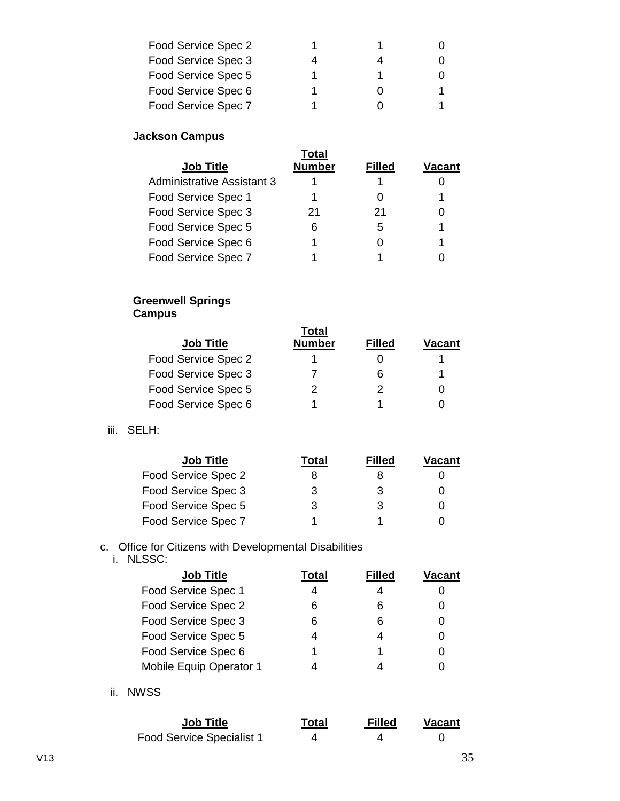| Food Service Spec 2 |  |  |
|---------------------|--|--|
| Food Service Spec 3 |  |  |
| Food Service Spec 5 |  |  |
| Food Service Spec 6 |  |  |
| Food Service Spec 7 |  |  |

# **Jackson Campus**

|                            | Total         |               |        |
|----------------------------|---------------|---------------|--------|
| <b>Job Title</b>           | <b>Number</b> | <b>Filled</b> | Vacant |
| Administrative Assistant 3 |               |               |        |
| Food Service Spec 1        |               |               |        |
| Food Service Spec 3        | 21            | 21            |        |
| Food Service Spec 5        |               | 5             |        |
| Food Service Spec 6        |               |               |        |
| Food Service Spec 7        |               |               |        |
|                            |               |               |        |

#### **Greenwell Springs Campus**

|                     | Total         |               |        |
|---------------------|---------------|---------------|--------|
| <b>Job Title</b>    | <b>Number</b> | <b>Filled</b> | Vacant |
| Food Service Spec 2 |               |               |        |
| Food Service Spec 3 |               | 6             |        |
| Food Service Spec 5 |               | 2             |        |
| Food Service Spec 6 |               |               |        |

iii. SELH:

| <b>Job Title</b>    | Total | <b>Filled</b> | Vacant |
|---------------------|-------|---------------|--------|
| Food Service Spec 2 |       | 8             |        |
| Food Service Spec 3 | 3     | 3             |        |
| Food Service Spec 5 | 3     | 3             |        |
| Food Service Spec 7 |       |               |        |

# c. Office for Citizens with Developmental Disabilities

i. NLSSC:

| <b>Job Title</b>        | Total | <b>Filled</b> | Vacant |
|-------------------------|-------|---------------|--------|
| Food Service Spec 1     |       |               |        |
| Food Service Spec 2     |       | 6             |        |
| Food Service Spec 3     |       | 6             |        |
| Food Service Spec 5     |       |               |        |
| Food Service Spec 6     |       |               |        |
| Mobile Equip Operator 1 |       |               |        |

ii. NWSS

| <b>Job Title</b>          | Total | <b>Filled</b> | <b>Vacant</b> |
|---------------------------|-------|---------------|---------------|
| Food Service Specialist 1 |       |               |               |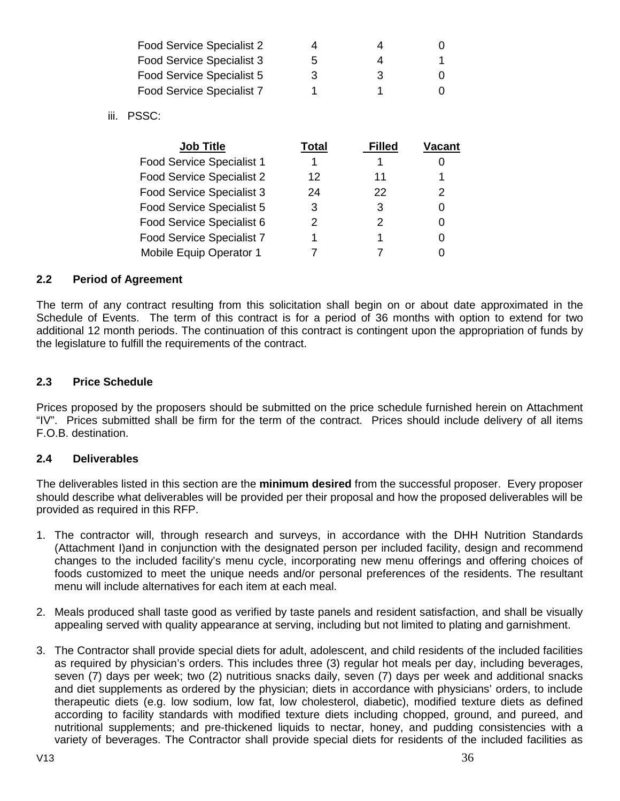| Food Service Specialist 2 | 4 |    |  |
|---------------------------|---|----|--|
| Food Service Specialist 3 | 5 |    |  |
| Food Service Specialist 5 | 3 | -3 |  |
| Food Service Specialist 7 |   |    |  |

iii. PSSC:

| <b>Job Title</b>                 | Total | <b>Filled</b> | Vacant |
|----------------------------------|-------|---------------|--------|
| <b>Food Service Specialist 1</b> |       |               |        |
| Food Service Specialist 2        | 12    | 11            |        |
| Food Service Specialist 3        | 24    | 22            | 2      |
| <b>Food Service Specialist 5</b> | 3     | З             |        |
| Food Service Specialist 6        |       |               |        |
| <b>Food Service Specialist 7</b> |       |               |        |
| Mobile Equip Operator 1          |       |               |        |

#### <span id="page-35-0"></span>**2.2 Period of Agreement**

The term of any contract resulting from this solicitation shall begin on or about date approximated in the Schedule of Events. The term of this contract is for a period of 36 months with option to extend for two additional 12 month periods. The continuation of this contract is contingent upon the appropriation of funds by the legislature to fulfill the requirements of the contract.

### <span id="page-35-1"></span>**2.3 Price Schedule**

Prices proposed by the proposers should be submitted on the price schedule furnished herein on Attachment "IV". Prices submitted shall be firm for the term of the contract. Prices should include delivery of all items F.O.B. destination.

#### <span id="page-35-2"></span>**2.4 Deliverables**

The deliverables listed in this section are the **minimum desired** from the successful proposer. Every proposer should describe what deliverables will be provided per their proposal and how the proposed deliverables will be provided as required in this RFP.

- 1. The contractor will, through research and surveys, in accordance with the DHH Nutrition Standards (Attachment I)and in conjunction with the designated person per included facility, design and recommend changes to the included facility's menu cycle, incorporating new menu offerings and offering choices of foods customized to meet the unique needs and/or personal preferences of the residents. The resultant menu will include alternatives for each item at each meal.
- 2. Meals produced shall taste good as verified by taste panels and resident satisfaction, and shall be visually appealing served with quality appearance at serving, including but not limited to plating and garnishment.
- 3. The Contractor shall provide special diets for adult, adolescent, and child residents of the included facilities as required by physician's orders. This includes three (3) regular hot meals per day, including beverages, seven (7) days per week; two (2) nutritious snacks daily, seven (7) days per week and additional snacks and diet supplements as ordered by the physician; diets in accordance with physicians' orders, to include therapeutic diets (e.g. low sodium, low fat, low cholesterol, diabetic), modified texture diets as defined according to facility standards with modified texture diets including chopped, ground, and pureed, and nutritional supplements; and pre-thickened liquids to nectar, honey, and pudding consistencies with a variety of beverages. The Contractor shall provide special diets for residents of the included facilities as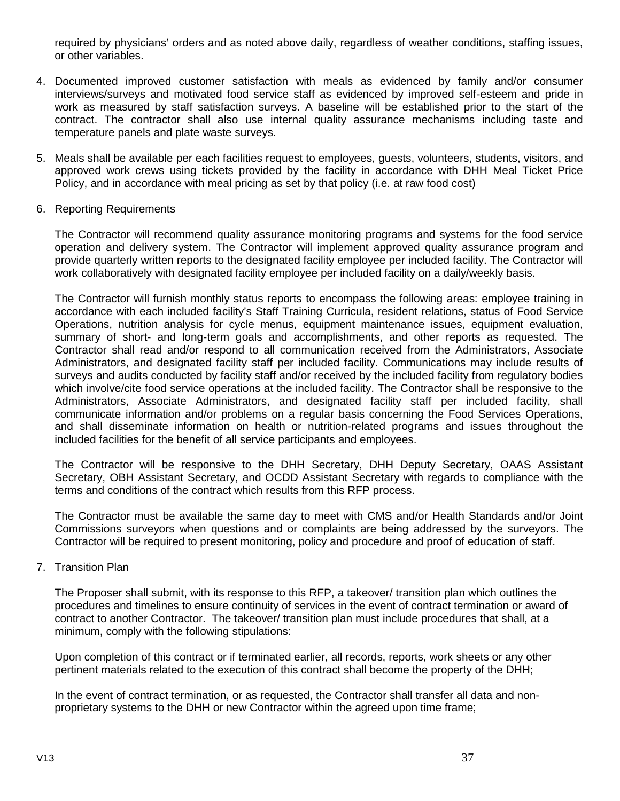required by physicians' orders and as noted above daily, regardless of weather conditions, staffing issues, or other variables.

- 4. Documented improved customer satisfaction with meals as evidenced by family and/or consumer interviews/surveys and motivated food service staff as evidenced by improved self-esteem and pride in work as measured by staff satisfaction surveys. A baseline will be established prior to the start of the contract. The contractor shall also use internal quality assurance mechanisms including taste and temperature panels and plate waste surveys.
- 5. Meals shall be available per each facilities request to employees, guests, volunteers, students, visitors, and approved work crews using tickets provided by the facility in accordance with DHH Meal Ticket Price Policy, and in accordance with meal pricing as set by that policy (i.e. at raw food cost)
- 6. Reporting Requirements

The Contractor will recommend quality assurance monitoring programs and systems for the food service operation and delivery system. The Contractor will implement approved quality assurance program and provide quarterly written reports to the designated facility employee per included facility. The Contractor will work collaboratively with designated facility employee per included facility on a daily/weekly basis.

The Contractor will furnish monthly status reports to encompass the following areas: employee training in accordance with each included facility's Staff Training Curricula, resident relations, status of Food Service Operations, nutrition analysis for cycle menus, equipment maintenance issues, equipment evaluation, summary of short- and long-term goals and accomplishments, and other reports as requested. The Contractor shall read and/or respond to all communication received from the Administrators, Associate Administrators, and designated facility staff per included facility. Communications may include results of surveys and audits conducted by facility staff and/or received by the included facility from regulatory bodies which involve/cite food service operations at the included facility. The Contractor shall be responsive to the Administrators, Associate Administrators, and designated facility staff per included facility, shall communicate information and/or problems on a regular basis concerning the Food Services Operations, and shall disseminate information on health or nutrition-related programs and issues throughout the included facilities for the benefit of all service participants and employees.

The Contractor will be responsive to the DHH Secretary, DHH Deputy Secretary, OAAS Assistant Secretary, OBH Assistant Secretary, and OCDD Assistant Secretary with regards to compliance with the terms and conditions of the contract which results from this RFP process.

The Contractor must be available the same day to meet with CMS and/or Health Standards and/or Joint Commissions surveyors when questions and or complaints are being addressed by the surveyors. The Contractor will be required to present monitoring, policy and procedure and proof of education of staff.

7. Transition Plan

The Proposer shall submit, with its response to this RFP, a takeover/ transition plan which outlines the procedures and timelines to ensure continuity of services in the event of contract termination or award of contract to another Contractor. The takeover/ transition plan must include procedures that shall, at a minimum, comply with the following stipulations:

Upon completion of this contract or if terminated earlier, all records, reports, work sheets or any other pertinent materials related to the execution of this contract shall become the property of the DHH;

In the event of contract termination, or as requested, the Contractor shall transfer all data and nonproprietary systems to the DHH or new Contractor within the agreed upon time frame;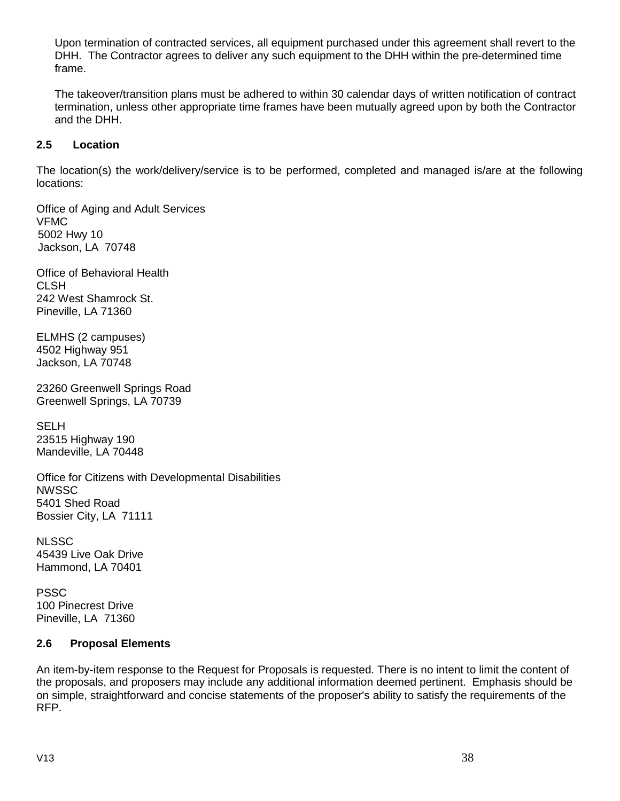Upon termination of contracted services, all equipment purchased under this agreement shall revert to the DHH. The Contractor agrees to deliver any such equipment to the DHH within the pre-determined time frame.

The takeover/transition plans must be adhered to within 30 calendar days of written notification of contract termination, unless other appropriate time frames have been mutually agreed upon by both the Contractor and the DHH.

## <span id="page-37-0"></span>**2.5 Location**

The location(s) the work/delivery/service is to be performed, completed and managed is/are at the following locations:

Office of Aging and Adult Services VFMC 5002 Hwy 10 Jackson, LA 70748

Office of Behavioral Health CLSH 242 West Shamrock St. Pineville, LA 71360

ELMHS (2 campuses) 4502 Highway 951 Jackson, LA 70748

23260 Greenwell Springs Road Greenwell Springs, LA 70739

**SELH** 23515 Highway 190 Mandeville, LA 70448

Office for Citizens with Developmental Disabilities NWSSC 5401 Shed Road Bossier City, LA 71111

**NLSSC** 45439 Live Oak Drive Hammond, LA 70401

PSSC 100 Pinecrest Drive Pineville, LA 71360

### <span id="page-37-1"></span>**2.6 Proposal Elements**

An item-by-item response to the Request for Proposals is requested. There is no intent to limit the content of the proposals, and proposers may include any additional information deemed pertinent. Emphasis should be on simple, straightforward and concise statements of the proposer's ability to satisfy the requirements of the RFP.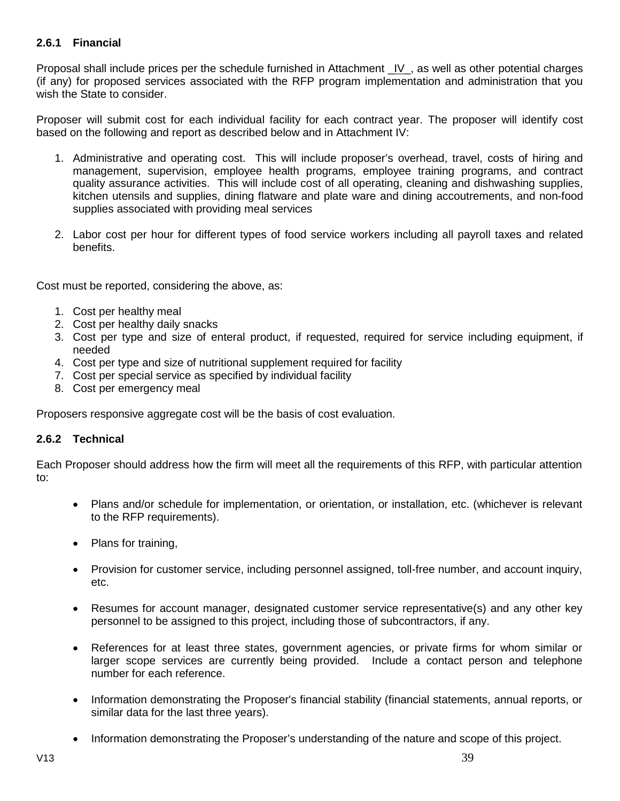# <span id="page-38-0"></span>**2.6.1 Financial**

Proposal shall include prices per the schedule furnished in Attachment IV, as well as other potential charges (if any) for proposed services associated with the RFP program implementation and administration that you wish the State to consider.

Proposer will submit cost for each individual facility for each contract year. The proposer will identify cost based on the following and report as described below and in Attachment IV:

- 1. Administrative and operating cost. This will include proposer's overhead, travel, costs of hiring and management, supervision, employee health programs, employee training programs, and contract quality assurance activities. This will include cost of all operating, cleaning and dishwashing supplies, kitchen utensils and supplies, dining flatware and plate ware and dining accoutrements, and non-food supplies associated with providing meal services
- 2. Labor cost per hour for different types of food service workers including all payroll taxes and related benefits.

Cost must be reported, considering the above, as:

- 1. Cost per healthy meal
- 2. Cost per healthy daily snacks
- 3. Cost per type and size of enteral product, if requested, required for service including equipment, if needed
- 4. Cost per type and size of nutritional supplement required for facility
- 7. Cost per special service as specified by individual facility
- 8. Cost per emergency meal

Proposers responsive aggregate cost will be the basis of cost evaluation.

### <span id="page-38-1"></span>**2.6.2 Technical**

Each Proposer should address how the firm will meet all the requirements of this RFP, with particular attention to:

- Plans and/or schedule for implementation, or orientation, or installation, etc. (whichever is relevant to the RFP requirements).
- Plans for training,
- Provision for customer service, including personnel assigned, toll-free number, and account inquiry, etc.
- Resumes for account manager, designated customer service representative(s) and any other key personnel to be assigned to this project, including those of subcontractors, if any.
- References for at least three states, government agencies, or private firms for whom similar or larger scope services are currently being provided. Include a contact person and telephone number for each reference.
- Information demonstrating the Proposer's financial stability (financial statements, annual reports, or similar data for the last three years).
- Information demonstrating the Proposer's understanding of the nature and scope of this project.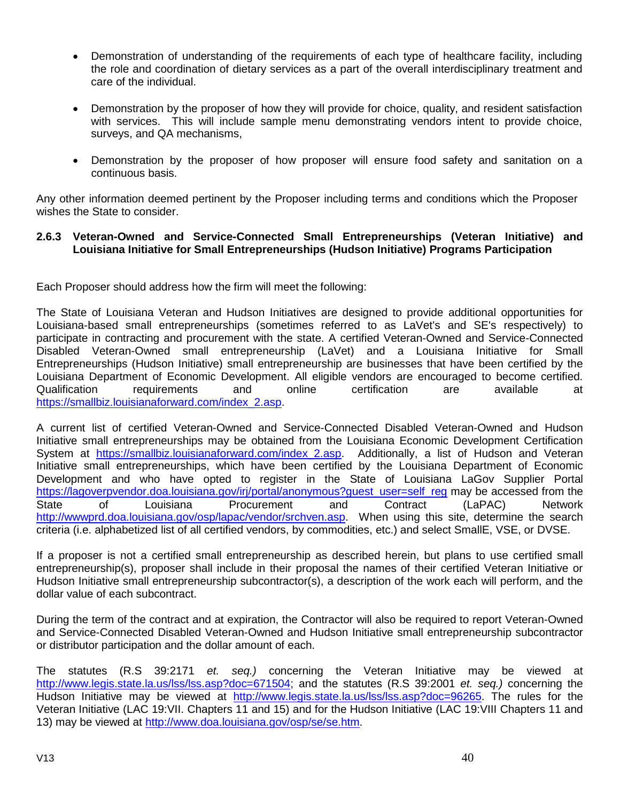- Demonstration of understanding of the requirements of each type of healthcare facility, including the role and coordination of dietary services as a part of the overall interdisciplinary treatment and care of the individual.
- Demonstration by the proposer of how they will provide for choice, quality, and resident satisfaction with services. This will include sample menu demonstrating vendors intent to provide choice, surveys, and QA mechanisms,
- Demonstration by the proposer of how proposer will ensure food safety and sanitation on a continuous basis.

Any other information deemed pertinent by the Proposer including terms and conditions which the Proposer wishes the State to consider.

## <span id="page-39-0"></span>**2.6.3 Veteran-Owned and Service-Connected Small Entrepreneurships (Veteran Initiative) and Louisiana Initiative for Small Entrepreneurships (Hudson Initiative) Programs Participation**

Each Proposer should address how the firm will meet the following:

The State of Louisiana Veteran and Hudson Initiatives are designed to provide additional opportunities for Louisiana-based small entrepreneurships (sometimes referred to as LaVet's and SE's respectively) to participate in contracting and procurement with the state. A certified Veteran-Owned and Service-Connected Disabled Veteran-Owned small entrepreneurship (LaVet) and a Louisiana Initiative for Small Entrepreneurships (Hudson Initiative) small entrepreneurship are businesses that have been certified by the Louisiana Department of Economic Development. All eligible vendors are encouraged to become certified.<br>Qualification expressive requirements and contine certification are available at requirements and online certification are available at [https://smallbiz.louisianaforward.com/index\\_2.asp.](https://smallbiz.louisianaforward.com/index_2.asp)

A current list of certified Veteran-Owned and Service-Connected Disabled Veteran-Owned and Hudson Initiative small entrepreneurships may be obtained from the Louisiana Economic Development Certification System at [https://smallbiz.louisianaforward.com/index\\_2.asp.](https://smallbiz.louisianaforward.com/index_2.asp) Additionally, a list of Hudson and Veteran Initiative small entrepreneurships, which have been certified by the Louisiana Department of Economic Development and who have opted to register in the State of Louisiana LaGov Supplier Portal [https://lagoverpvendor.doa.louisiana.gov/irj/portal/anonymous?guest\\_user=self\\_reg](https://lagoverpvendor.doa.louisiana.gov/irj/portal/anonymous?guest_user=self_reg) may be accessed from the State of Louisiana Procurement and Contract (LaPAC) Network [http://wwwprd.doa.louisiana.gov/osp/lapac/vendor/srchven.asp.](http://wwwprd.doa.louisiana.gov/osp/lapac/vendor/srchven.asp) When using this site, determine the search criteria (i.e. alphabetized list of all certified vendors, by commodities, etc.) and select SmallE, VSE, or DVSE.

If a proposer is not a certified small entrepreneurship as described herein, but plans to use certified small entrepreneurship(s), proposer shall include in their proposal the names of their certified Veteran Initiative or Hudson Initiative small entrepreneurship subcontractor(s), a description of the work each will perform, and the dollar value of each subcontract.

During the term of the contract and at expiration, the Contractor will also be required to report Veteran-Owned and Service-Connected Disabled Veteran-Owned and Hudson Initiative small entrepreneurship subcontractor or distributor participation and the dollar amount of each.

The statutes (R.S 39:2171 *et. seq.)* concerning the Veteran Initiative may be viewed at [http://www.legis.state.la.us/lss/lss.asp?doc=671504;](http://www.legis.state.la.us/lss/lss.asp?doc=671504) and the statutes (R.S 39:2001 *et. seq.)* concerning the Hudson Initiative may be viewed at [http://www.legis.state.la.us/lss/lss.asp?doc=96265.](http://www.legis.state.la.us/lss/lss.asp?doc=96265) The rules for the Veteran Initiative (LAC 19:VII. Chapters 11 and 15) and for the Hudson Initiative (LAC 19:VIII Chapters 11 and 13) may be viewed at [http://www.doa.louisiana.gov/osp/se/se.htm.](http://www.doa.louisiana.gov/osp/se/se.htm)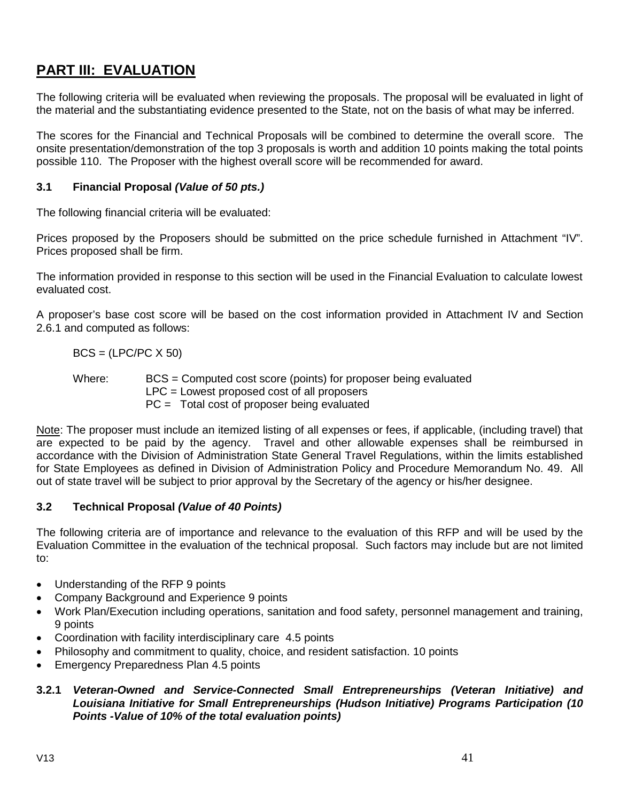# <span id="page-40-0"></span>**PART III: EVALUATION**

The following criteria will be evaluated when reviewing the proposals. The proposal will be evaluated in light of the material and the substantiating evidence presented to the State, not on the basis of what may be inferred.

The scores for the Financial and Technical Proposals will be combined to determine the overall score. The onsite presentation/demonstration of the top 3 proposals is worth and addition 10 points making the total points possible 110. The Proposer with the highest overall score will be recommended for award.

# <span id="page-40-1"></span>**3.1 Financial Proposal** *(Value of 50 pts.)*

The following financial criteria will be evaluated:

Prices proposed by the Proposers should be submitted on the price schedule furnished in Attachment "IV". Prices proposed shall be firm.

The information provided in response to this section will be used in the Financial Evaluation to calculate lowest evaluated cost.

A proposer's base cost score will be based on the cost information provided in Attachment IV and Section 2.6.1 and computed as follows:

 $BCS = (LPC/PC \times 50)$ 

Where: BCS = Computed cost score (points) for proposer being evaluated LPC = Lowest proposed cost of all proposers PC = Total cost of proposer being evaluated

Note: The proposer must include an itemized listing of all expenses or fees, if applicable, (including travel) that are expected to be paid by the agency. Travel and other allowable expenses shall be reimbursed in accordance with the Division of Administration State General Travel Regulations, within the limits established for State Employees as defined in Division of Administration Policy and Procedure Memorandum No. 49. All out of state travel will be subject to prior approval by the Secretary of the agency or his/her designee.

# <span id="page-40-2"></span>**3.2 Technical Proposal** *(Value of 40 Points)*

The following criteria are of importance and relevance to the evaluation of this RFP and will be used by the Evaluation Committee in the evaluation of the technical proposal. Such factors may include but are not limited to:

- Understanding of the RFP 9 points
- Company Background and Experience 9 points
- Work Plan/Execution including operations, sanitation and food safety, personnel management and training, 9 points
- Coordination with facility interdisciplinary care 4.5 points
- Philosophy and commitment to quality, choice, and resident satisfaction. 10 points
- Emergency Preparedness Plan 4.5 points

## <span id="page-40-3"></span>**3.2.1** *Veteran-Owned and Service-Connected Small Entrepreneurships (Veteran Initiative) and Louisiana Initiative for Small Entrepreneurships (Hudson Initiative) Programs Participation (10 Points -Value of 10% of the total evaluation points)*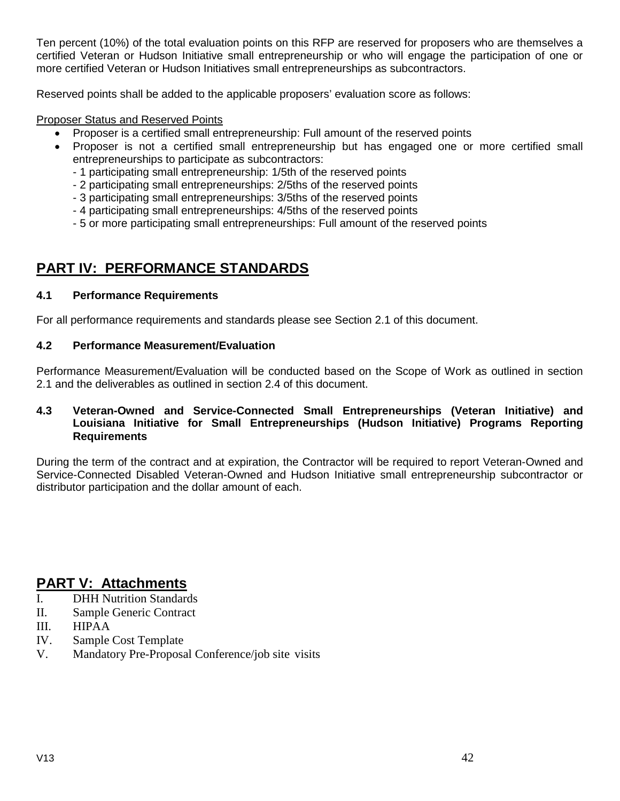Ten percent (10%) of the total evaluation points on this RFP are reserved for proposers who are themselves a certified Veteran or Hudson Initiative small entrepreneurship or who will engage the participation of one or more certified Veteran or Hudson Initiatives small entrepreneurships as subcontractors.

Reserved points shall be added to the applicable proposers' evaluation score as follows:

## Proposer Status and Reserved Points

- Proposer is a certified small entrepreneurship: Full amount of the reserved points
- Proposer is not a certified small entrepreneurship but has engaged one or more certified small entrepreneurships to participate as subcontractors:
	- 1 participating small entrepreneurship: 1/5th of the reserved points
	- 2 participating small entrepreneurships: 2/5ths of the reserved points
	- 3 participating small entrepreneurships: 3/5ths of the reserved points
	- 4 participating small entrepreneurships: 4/5ths of the reserved points
	- 5 or more participating small entrepreneurships: Full amount of the reserved points

# <span id="page-41-0"></span>**PART IV: PERFORMANCE STANDARDS**

## <span id="page-41-1"></span>**4.1 Performance Requirements**

For all performance requirements and standards please see Section 2.1 of this document.

### <span id="page-41-2"></span>**4.2 Performance Measurement/Evaluation**

Performance Measurement/Evaluation will be conducted based on the Scope of Work as outlined in section 2.1 and the deliverables as outlined in section 2.4 of this document.

### <span id="page-41-3"></span>**4.3 Veteran-Owned and Service-Connected Small Entrepreneurships (Veteran Initiative) and Louisiana Initiative for Small Entrepreneurships (Hudson Initiative) Programs Reporting Requirements**

<span id="page-41-4"></span>During the term of the contract and at expiration, the Contractor will be required to report Veteran-Owned and Service-Connected Disabled Veteran-Owned and Hudson Initiative small entrepreneurship subcontractor or distributor participation and the dollar amount of each.

# **PART V: Attachments**

- I. DHH Nutrition Standards
- II. Sample Generic Contract
- III. HIPAA
- IV. Sample Cost Template<br>V. Mandatory Pre-Proposa
- Mandatory Pre-Proposal Conference/job site visits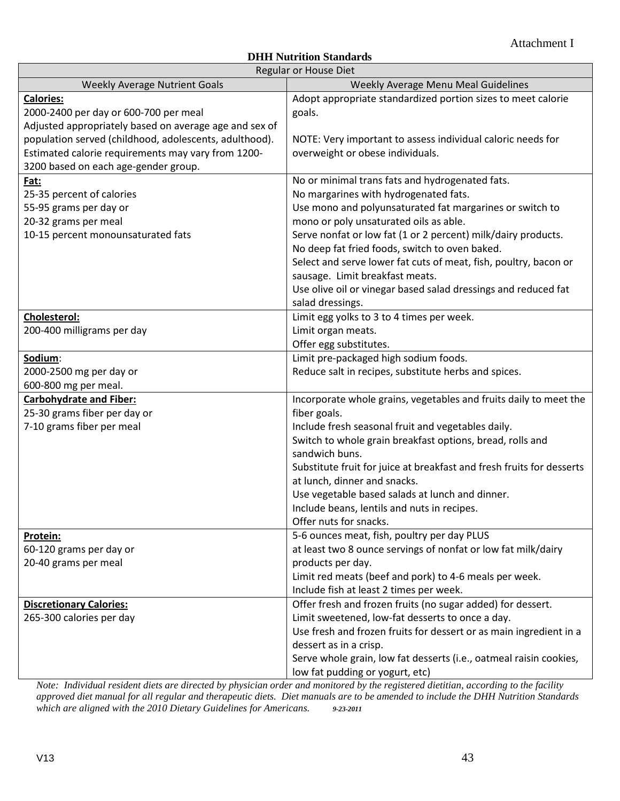#### **DHH Nutrition Standards**

| Regular or House Diet                                                                                                                                |                                                                                                       |  |
|------------------------------------------------------------------------------------------------------------------------------------------------------|-------------------------------------------------------------------------------------------------------|--|
| <b>Weekly Average Nutrient Goals</b>                                                                                                                 | Weekly Average Menu Meal Guidelines                                                                   |  |
| Calories:<br>2000-2400 per day or 600-700 per meal<br>Adjusted appropriately based on average age and sex of                                         | Adopt appropriate standardized portion sizes to meet calorie<br>goals.                                |  |
| population served (childhood, adolescents, adulthood).<br>Estimated calorie requirements may vary from 1200-<br>3200 based on each age-gender group. | NOTE: Very important to assess individual caloric needs for<br>overweight or obese individuals.       |  |
| Fat:                                                                                                                                                 | No or minimal trans fats and hydrogenated fats.                                                       |  |
| 25-35 percent of calories                                                                                                                            | No margarines with hydrogenated fats.                                                                 |  |
| 55-95 grams per day or                                                                                                                               | Use mono and polyunsaturated fat margarines or switch to                                              |  |
| 20-32 grams per meal                                                                                                                                 | mono or poly unsaturated oils as able.                                                                |  |
| 10-15 percent monounsaturated fats                                                                                                                   | Serve nonfat or low fat (1 or 2 percent) milk/dairy products.                                         |  |
|                                                                                                                                                      | No deep fat fried foods, switch to oven baked.                                                        |  |
|                                                                                                                                                      | Select and serve lower fat cuts of meat, fish, poultry, bacon or                                      |  |
|                                                                                                                                                      | sausage. Limit breakfast meats.                                                                       |  |
|                                                                                                                                                      | Use olive oil or vinegar based salad dressings and reduced fat                                        |  |
|                                                                                                                                                      | salad dressings.                                                                                      |  |
| <b>Cholesterol:</b>                                                                                                                                  | Limit egg yolks to 3 to 4 times per week.                                                             |  |
| 200-400 milligrams per day                                                                                                                           | Limit organ meats.                                                                                    |  |
|                                                                                                                                                      | Offer egg substitutes.                                                                                |  |
| Sodium:                                                                                                                                              | Limit pre-packaged high sodium foods.                                                                 |  |
| 2000-2500 mg per day or                                                                                                                              | Reduce salt in recipes, substitute herbs and spices.                                                  |  |
| 600-800 mg per meal.                                                                                                                                 |                                                                                                       |  |
| <b>Carbohydrate and Fiber:</b>                                                                                                                       | Incorporate whole grains, vegetables and fruits daily to meet the                                     |  |
| 25-30 grams fiber per day or                                                                                                                         | fiber goals.                                                                                          |  |
| 7-10 grams fiber per meal                                                                                                                            | Include fresh seasonal fruit and vegetables daily.                                                    |  |
|                                                                                                                                                      | Switch to whole grain breakfast options, bread, rolls and<br>sandwich buns.                           |  |
|                                                                                                                                                      | Substitute fruit for juice at breakfast and fresh fruits for desserts<br>at lunch, dinner and snacks. |  |
|                                                                                                                                                      | Use vegetable based salads at lunch and dinner.                                                       |  |
|                                                                                                                                                      | Include beans, lentils and nuts in recipes.                                                           |  |
|                                                                                                                                                      | Offer nuts for snacks.                                                                                |  |
| Protein:                                                                                                                                             | 5-6 ounces meat, fish, poultry per day PLUS                                                           |  |
| 60-120 grams per day or                                                                                                                              | at least two 8 ounce servings of nonfat or low fat milk/dairy                                         |  |
| 20-40 grams per meal                                                                                                                                 | products per day.                                                                                     |  |
|                                                                                                                                                      | Limit red meats (beef and pork) to 4-6 meals per week.                                                |  |
|                                                                                                                                                      | Include fish at least 2 times per week.                                                               |  |
| <b>Discretionary Calories:</b>                                                                                                                       | Offer fresh and frozen fruits (no sugar added) for dessert.                                           |  |
| 265-300 calories per day                                                                                                                             | Limit sweetened, low-fat desserts to once a day.                                                      |  |
|                                                                                                                                                      | Use fresh and frozen fruits for dessert or as main ingredient in a                                    |  |
|                                                                                                                                                      | dessert as in a crisp.                                                                                |  |
|                                                                                                                                                      | Serve whole grain, low fat desserts (i.e., oatmeal raisin cookies,                                    |  |
|                                                                                                                                                      | low fat pudding or yogurt, etc)                                                                       |  |

*Note: Individual resident diets are directed by physician order and monitored by the registered dietitian, according to the facility approved diet manual for all regular and therapeutic diets. Diet manuals are to be amended to include the DHH Nutrition Standards which are aligned with the 2010 Dietary Guidelines for Americans. 9-23-2011*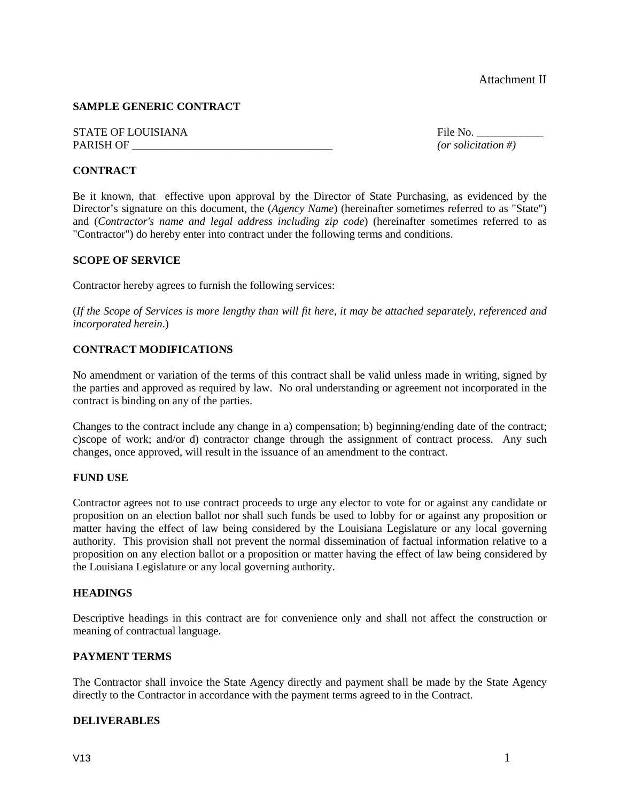#### Attachment II

#### **SAMPLE GENERIC CONTRACT**

#### STATE OF LOUISIANA File No. PARISH OF \_\_\_\_\_\_\_\_\_\_\_\_\_\_\_\_\_\_\_\_\_\_\_\_\_\_\_\_\_\_\_\_\_\_\_\_ *(or solicitation #)*

#### **CONTRACT**

Be it known, that effective upon approval by the Director of State Purchasing, as evidenced by the Director's signature on this document, the (*Agency Name*) (hereinafter sometimes referred to as "State") and (*Contractor's name and legal address including zip code*) (hereinafter sometimes referred to as "Contractor") do hereby enter into contract under the following terms and conditions.

#### **SCOPE OF SERVICE**

Contractor hereby agrees to furnish the following services:

(*If the Scope of Services is more lengthy than will fit here, it may be attached separately, referenced and incorporated herein*.)

#### **CONTRACT MODIFICATIONS**

No amendment or variation of the terms of this contract shall be valid unless made in writing, signed by the parties and approved as required by law. No oral understanding or agreement not incorporated in the contract is binding on any of the parties.

Changes to the contract include any change in a) compensation; b) beginning/ending date of the contract; c)scope of work; and/or d) contractor change through the assignment of contract process. Any such changes, once approved, will result in the issuance of an amendment to the contract.

#### **FUND USE**

Contractor agrees not to use contract proceeds to urge any elector to vote for or against any candidate or proposition on an election ballot nor shall such funds be used to lobby for or against any proposition or matter having the effect of law being considered by the Louisiana Legislature or any local governing authority. This provision shall not prevent the normal dissemination of factual information relative to a proposition on any election ballot or a proposition or matter having the effect of law being considered by the Louisiana Legislature or any local governing authority.

#### **HEADINGS**

Descriptive headings in this contract are for convenience only and shall not affect the construction or meaning of contractual language.

#### **PAYMENT TERMS**

The Contractor shall invoice the State Agency directly and payment shall be made by the State Agency directly to the Contractor in accordance with the payment terms agreed to in the Contract.

#### **DELIVERABLES**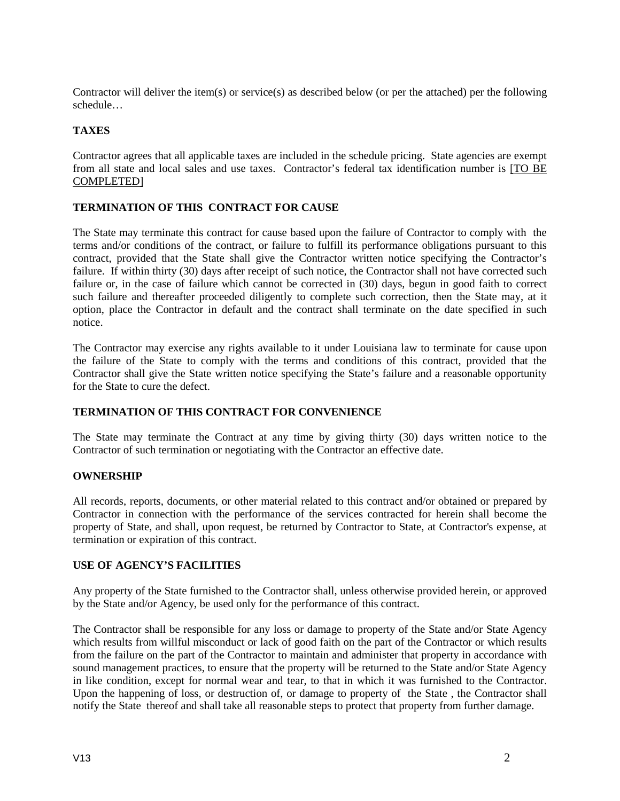Contractor will deliver the item(s) or service(s) as described below (or per the attached) per the following schedule…

## **TAXES**

Contractor agrees that all applicable taxes are included in the schedule pricing. State agencies are exempt from all state and local sales and use taxes. Contractor's federal tax identification number is [TO BE COMPLETED]

#### **TERMINATION OF THIS CONTRACT FOR CAUSE**

The State may terminate this contract for cause based upon the failure of Contractor to comply with the terms and/or conditions of the contract, or failure to fulfill its performance obligations pursuant to this contract, provided that the State shall give the Contractor written notice specifying the Contractor's failure. If within thirty (30) days after receipt of such notice, the Contractor shall not have corrected such failure or, in the case of failure which cannot be corrected in (30) days, begun in good faith to correct such failure and thereafter proceeded diligently to complete such correction, then the State may, at it option, place the Contractor in default and the contract shall terminate on the date specified in such notice.

The Contractor may exercise any rights available to it under Louisiana law to terminate for cause upon the failure of the State to comply with the terms and conditions of this contract, provided that the Contractor shall give the State written notice specifying the State's failure and a reasonable opportunity for the State to cure the defect.

### **TERMINATION OF THIS CONTRACT FOR CONVENIENCE**

The State may terminate the Contract at any time by giving thirty (30) days written notice to the Contractor of such termination or negotiating with the Contractor an effective date.

#### **OWNERSHIP**

All records, reports, documents, or other material related to this contract and/or obtained or prepared by Contractor in connection with the performance of the services contracted for herein shall become the property of State, and shall, upon request, be returned by Contractor to State, at Contractor's expense, at termination or expiration of this contract.

#### **USE OF AGENCY'S FACILITIES**

Any property of the State furnished to the Contractor shall, unless otherwise provided herein, or approved by the State and/or Agency, be used only for the performance of this contract.

The Contractor shall be responsible for any loss or damage to property of the State and/or State Agency which results from willful misconduct or lack of good faith on the part of the Contractor or which results from the failure on the part of the Contractor to maintain and administer that property in accordance with sound management practices, to ensure that the property will be returned to the State and/or State Agency in like condition, except for normal wear and tear, to that in which it was furnished to the Contractor. Upon the happening of loss, or destruction of, or damage to property of the State , the Contractor shall notify the State thereof and shall take all reasonable steps to protect that property from further damage.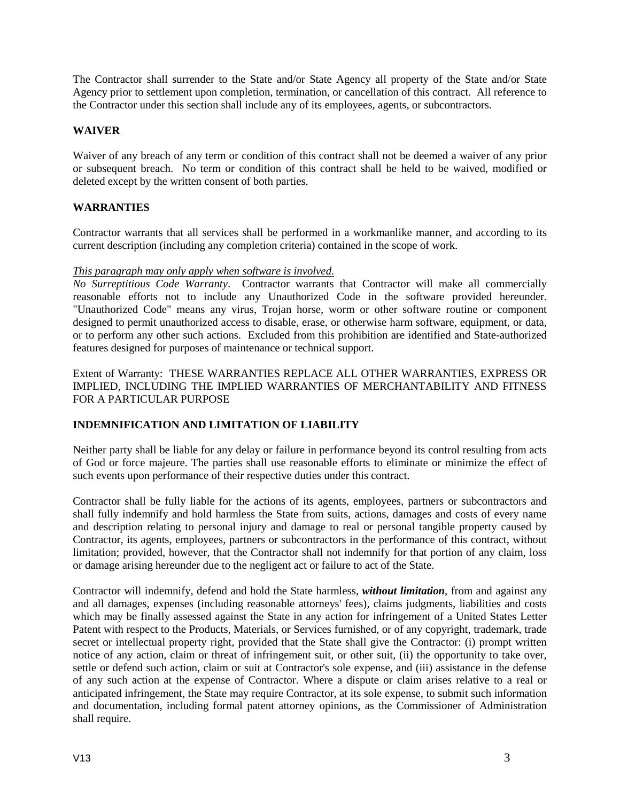The Contractor shall surrender to the State and/or State Agency all property of the State and/or State Agency prior to settlement upon completion, termination, or cancellation of this contract. All reference to the Contractor under this section shall include any of its employees, agents, or subcontractors.

#### **WAIVER**

Waiver of any breach of any term or condition of this contract shall not be deemed a waiver of any prior or subsequent breach. No term or condition of this contract shall be held to be waived, modified or deleted except by the written consent of both parties.

#### **WARRANTIES**

Contractor warrants that all services shall be performed in a workmanlike manner, and according to its current description (including any completion criteria) contained in the scope of work.

#### *This paragraph may only apply when software is involved.*

*No Surreptitious Code Warranty*. Contractor warrants that Contractor will make all commercially reasonable efforts not to include any Unauthorized Code in the software provided hereunder. "Unauthorized Code" means any virus, Trojan horse, worm or other software routine or component designed to permit unauthorized access to disable, erase, or otherwise harm software, equipment, or data, or to perform any other such actions. Excluded from this prohibition are identified and State-authorized features designed for purposes of maintenance or technical support.

Extent of Warranty: THESE WARRANTIES REPLACE ALL OTHER WARRANTIES, EXPRESS OR IMPLIED, INCLUDING THE IMPLIED WARRANTIES OF MERCHANTABILITY AND FITNESS FOR A PARTICULAR PURPOSE

### **INDEMNIFICATION AND LIMITATION OF LIABILITY**

Neither party shall be liable for any delay or failure in performance beyond its control resulting from acts of God or force majeure. The parties shall use reasonable efforts to eliminate or minimize the effect of such events upon performance of their respective duties under this contract.

Contractor shall be fully liable for the actions of its agents, employees, partners or subcontractors and shall fully indemnify and hold harmless the State from suits, actions, damages and costs of every name and description relating to personal injury and damage to real or personal tangible property caused by Contractor, its agents, employees, partners or subcontractors in the performance of this contract, without limitation; provided, however, that the Contractor shall not indemnify for that portion of any claim, loss or damage arising hereunder due to the negligent act or failure to act of the State.

Contractor will indemnify, defend and hold the State harmless, *without limitation,* from and against any and all damages, expenses (including reasonable attorneys' fees), claims judgments, liabilities and costs which may be finally assessed against the State in any action for infringement of a United States Letter Patent with respect to the Products, Materials, or Services furnished, or of any copyright, trademark, trade secret or intellectual property right, provided that the State shall give the Contractor: (i) prompt written notice of any action, claim or threat of infringement suit, or other suit, (ii) the opportunity to take over, settle or defend such action, claim or suit at Contractor's sole expense, and (iii) assistance in the defense of any such action at the expense of Contractor. Where a dispute or claim arises relative to a real or anticipated infringement, the State may require Contractor, at its sole expense, to submit such information and documentation, including formal patent attorney opinions, as the Commissioner of Administration shall require.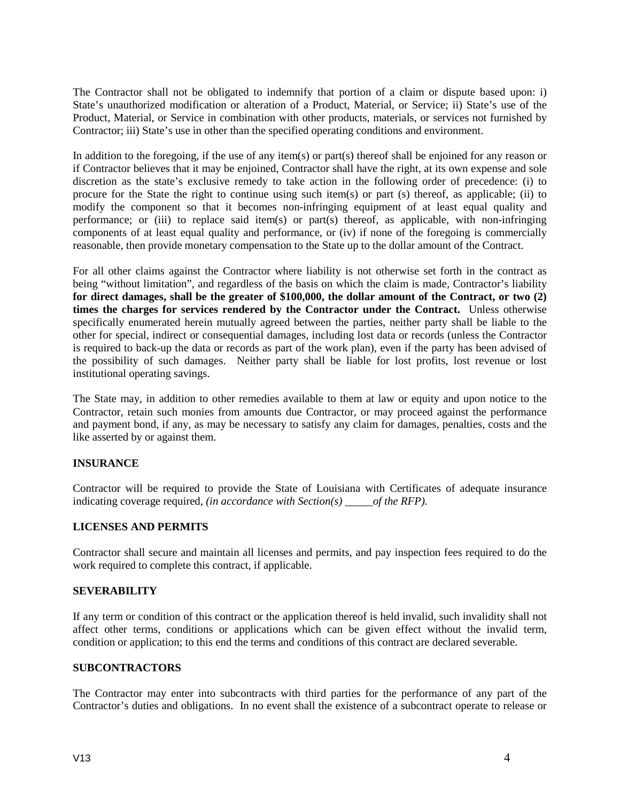The Contractor shall not be obligated to indemnify that portion of a claim or dispute based upon: i) State's unauthorized modification or alteration of a Product, Material, or Service; ii) State's use of the Product, Material, or Service in combination with other products, materials, or services not furnished by Contractor; iii) State's use in other than the specified operating conditions and environment.

In addition to the foregoing, if the use of any item(s) or part(s) thereof shall be enjoined for any reason or if Contractor believes that it may be enjoined, Contractor shall have the right, at its own expense and sole discretion as the state's exclusive remedy to take action in the following order of precedence: (i) to procure for the State the right to continue using such item(s) or part (s) thereof, as applicable; (ii) to modify the component so that it becomes non-infringing equipment of at least equal quality and performance; or (iii) to replace said item(s) or part(s) thereof, as applicable, with non-infringing components of at least equal quality and performance, or (iv) if none of the foregoing is commercially reasonable, then provide monetary compensation to the State up to the dollar amount of the Contract.

For all other claims against the Contractor where liability is not otherwise set forth in the contract as being "without limitation", and regardless of the basis on which the claim is made, Contractor's liability **for direct damages, shall be the greater of \$100,000, the dollar amount of the Contract, or two (2) times the charges for services rendered by the Contractor under the Contract.** Unless otherwise specifically enumerated herein mutually agreed between the parties, neither party shall be liable to the other for special, indirect or consequential damages, including lost data or records (unless the Contractor is required to back-up the data or records as part of the work plan), even if the party has been advised of the possibility of such damages. Neither party shall be liable for lost profits, lost revenue or lost institutional operating savings.

The State may, in addition to other remedies available to them at law or equity and upon notice to the Contractor, retain such monies from amounts due Contractor, or may proceed against the performance and payment bond, if any, as may be necessary to satisfy any claim for damages, penalties, costs and the like asserted by or against them.

#### **INSURANCE**

Contractor will be required to provide the State of Louisiana with Certificates of adequate insurance indicating coverage required, *(in accordance with Section(s) \_\_\_\_\_of the RFP).*

#### **LICENSES AND PERMITS**

Contractor shall secure and maintain all licenses and permits, and pay inspection fees required to do the work required to complete this contract, if applicable.

#### **SEVERABILITY**

If any term or condition of this contract or the application thereof is held invalid, such invalidity shall not affect other terms, conditions or applications which can be given effect without the invalid term, condition or application; to this end the terms and conditions of this contract are declared severable.

#### **SUBCONTRACTORS**

The Contractor may enter into subcontracts with third parties for the performance of any part of the Contractor's duties and obligations. In no event shall the existence of a subcontract operate to release or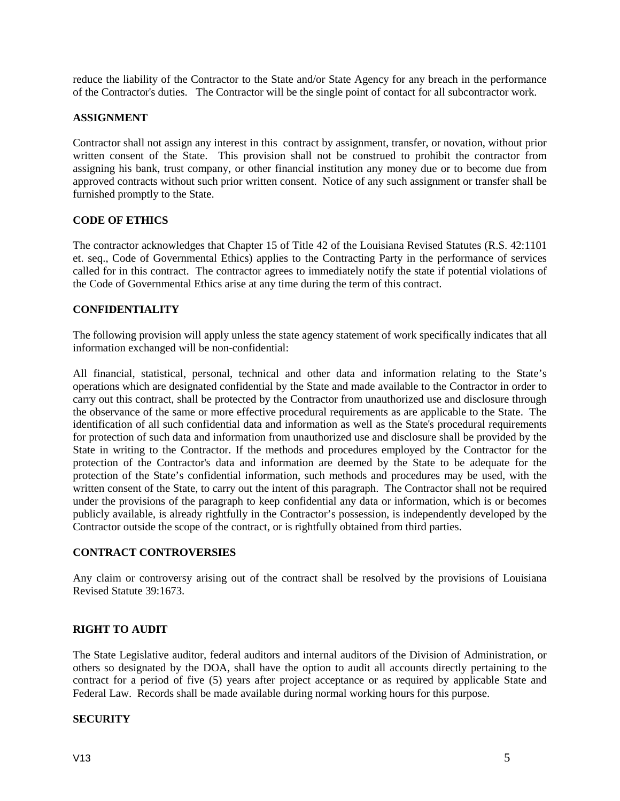reduce the liability of the Contractor to the State and/or State Agency for any breach in the performance of the Contractor's duties. The Contractor will be the single point of contact for all subcontractor work.

#### **ASSIGNMENT**

Contractor shall not assign any interest in this contract by assignment, transfer, or novation, without prior written consent of the State. This provision shall not be construed to prohibit the contractor from assigning his bank, trust company, or other financial institution any money due or to become due from approved contracts without such prior written consent. Notice of any such assignment or transfer shall be furnished promptly to the State.

#### **CODE OF ETHICS**

The contractor acknowledges that Chapter 15 of Title 42 of the Louisiana Revised Statutes (R.S. 42:1101 et. seq., Code of Governmental Ethics) applies to the Contracting Party in the performance of services called for in this contract. The contractor agrees to immediately notify the state if potential violations of the Code of Governmental Ethics arise at any time during the term of this contract.

#### **CONFIDENTIALITY**

The following provision will apply unless the state agency statement of work specifically indicates that all information exchanged will be non-confidential:

All financial, statistical, personal, technical and other data and information relating to the State's operations which are designated confidential by the State and made available to the Contractor in order to carry out this contract, shall be protected by the Contractor from unauthorized use and disclosure through the observance of the same or more effective procedural requirements as are applicable to the State. The identification of all such confidential data and information as well as the State's procedural requirements for protection of such data and information from unauthorized use and disclosure shall be provided by the State in writing to the Contractor. If the methods and procedures employed by the Contractor for the protection of the Contractor's data and information are deemed by the State to be adequate for the protection of the State's confidential information, such methods and procedures may be used, with the written consent of the State, to carry out the intent of this paragraph. The Contractor shall not be required under the provisions of the paragraph to keep confidential any data or information, which is or becomes publicly available, is already rightfully in the Contractor's possession, is independently developed by the Contractor outside the scope of the contract, or is rightfully obtained from third parties.

#### **CONTRACT CONTROVERSIES**

Any claim or controversy arising out of the contract shall be resolved by the provisions of Louisiana Revised Statute 39:1673.

#### **RIGHT TO AUDIT**

The State Legislative auditor, federal auditors and internal auditors of the Division of Administration, or others so designated by the DOA, shall have the option to audit all accounts directly pertaining to the contract for a period of five (5) years after project acceptance or as required by applicable State and Federal Law. Records shall be made available during normal working hours for this purpose.

#### **SECURITY**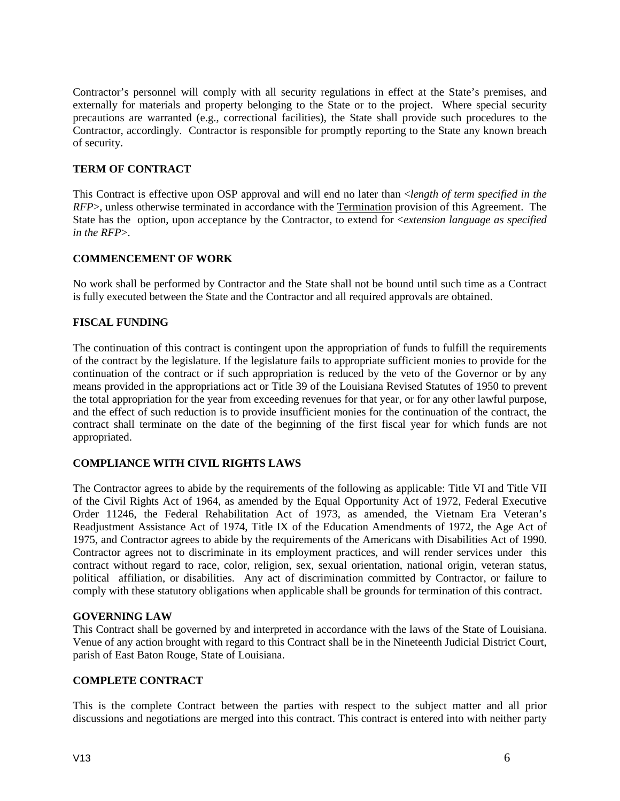Contractor's personnel will comply with all security regulations in effect at the State's premises, and externally for materials and property belonging to the State or to the project. Where special security precautions are warranted (e.g., correctional facilities), the State shall provide such procedures to the Contractor, accordingly. Contractor is responsible for promptly reporting to the State any known breach of security.

## **TERM OF CONTRACT**

This Contract is effective upon OSP approval and will end no later than <*length of term specified in the RFP*>, unless otherwise terminated in accordance with the Termination provision of this Agreement. The State has the option, upon acceptance by the Contractor, to extend for <*extension language as specified in the RFP*>.

### **COMMENCEMENT OF WORK**

No work shall be performed by Contractor and the State shall not be bound until such time as a Contract is fully executed between the State and the Contractor and all required approvals are obtained.

### **FISCAL FUNDING**

The continuation of this contract is contingent upon the appropriation of funds to fulfill the requirements of the contract by the legislature. If the legislature fails to appropriate sufficient monies to provide for the continuation of the contract or if such appropriation is reduced by the veto of the Governor or by any means provided in the appropriations act or Title 39 of the Louisiana Revised Statutes of 1950 to prevent the total appropriation for the year from exceeding revenues for that year, or for any other lawful purpose, and the effect of such reduction is to provide insufficient monies for the continuation of the contract, the contract shall terminate on the date of the beginning of the first fiscal year for which funds are not appropriated.

### **COMPLIANCE WITH CIVIL RIGHTS LAWS**

The Contractor agrees to abide by the requirements of the following as applicable: Title VI and Title VII of the Civil Rights Act of 1964, as amended by the Equal Opportunity Act of 1972, Federal Executive Order 11246, the Federal Rehabilitation Act of 1973, as amended, the Vietnam Era Veteran's Readjustment Assistance Act of 1974, Title IX of the Education Amendments of 1972, the Age Act of 1975, and Contractor agrees to abide by the requirements of the Americans with Disabilities Act of 1990. Contractor agrees not to discriminate in its employment practices, and will render services under this contract without regard to race, color, religion, sex, sexual orientation, national origin, veteran status, political affiliation, or disabilities. Any act of discrimination committed by Contractor, or failure to comply with these statutory obligations when applicable shall be grounds for termination of this contract.

#### **GOVERNING LAW**

This Contract shall be governed by and interpreted in accordance with the laws of the State of Louisiana. Venue of any action brought with regard to this Contract shall be in the Nineteenth Judicial District Court, parish of East Baton Rouge, State of Louisiana.

#### **COMPLETE CONTRACT**

This is the complete Contract between the parties with respect to the subject matter and all prior discussions and negotiations are merged into this contract. This contract is entered into with neither party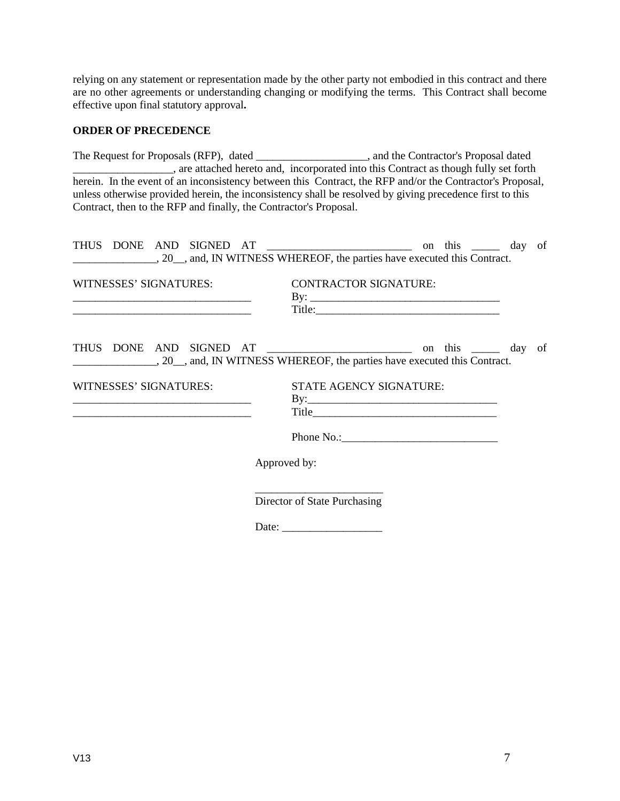relying on any statement or representation made by the other party not embodied in this contract and there are no other agreements or understanding changing or modifying the terms. This Contract shall become effective upon final statutory approval**.**

### **ORDER OF PRECEDENCE**

The Request for Proposals (RFP), dated \_\_\_\_\_\_\_\_\_\_\_\_\_\_\_\_\_\_\_\_, and the Contractor's Proposal dated are attached hereto and, incorporated into this Contract as though fully set forth herein. In the event of an inconsistency between this Contract, the RFP and/or the Contractor's Proposal, unless otherwise provided herein, the inconsistency shall be resolved by giving precedence first to this Contract, then to the RFP and finally, the Contractor's Proposal.

| WITNESSES' SIGNATURES:<br><u> 1989 - Johann Barbara, martin amerikan basar dan berasal dan berasal dalam basar dalam basar dalam basar dala</u> | <b>CONTRACTOR SIGNATURE:</b>                                             |
|-------------------------------------------------------------------------------------------------------------------------------------------------|--------------------------------------------------------------------------|
|                                                                                                                                                 | 3. 20, and, IN WITNESS WHEREOF, the parties have executed this Contract. |
| WITNESSES' SIGNATURES:<br><u> 1989 - Johann Barbara, martxa alemaniar argumento este alemaniar alemaniar alemaniar alemaniar alemaniar a</u>    | STATE AGENCY SIGNATURE:                                                  |
|                                                                                                                                                 | Phone No.:                                                               |
|                                                                                                                                                 | Approved by:                                                             |
|                                                                                                                                                 | Director of State Purchasing                                             |

Date: \_\_\_\_\_\_\_\_\_\_\_\_\_\_\_\_\_\_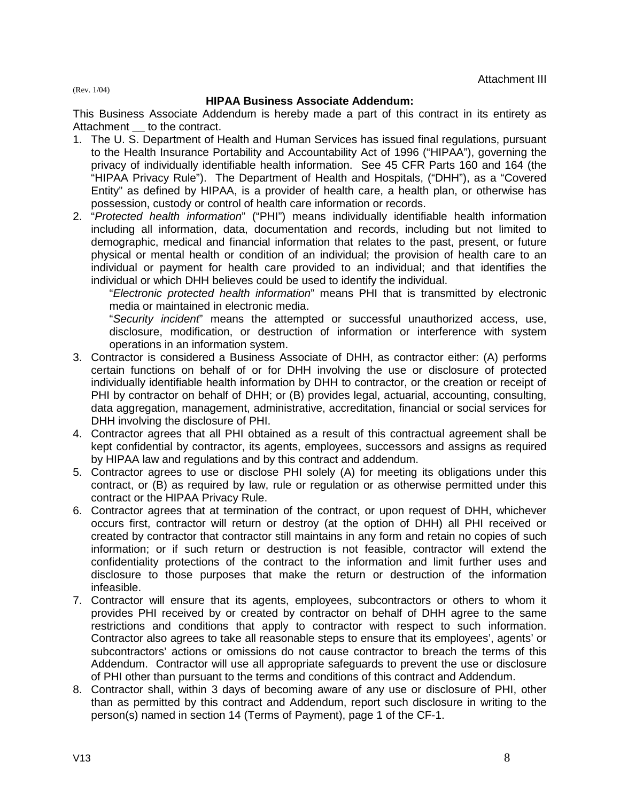(Rev. 1/04)

## **HIPAA Business Associate Addendum:**

This Business Associate Addendum is hereby made a part of this contract in its entirety as Attachment **\_\_** to the contract.

- 1. The U. S. Department of Health and Human Services has issued final regulations, pursuant to the Health Insurance Portability and Accountability Act of 1996 ("HIPAA"), governing the privacy of individually identifiable health information. See 45 CFR Parts 160 and 164 (the "HIPAA Privacy Rule"). The Department of Health and Hospitals, ("DHH"), as a "Covered Entity" as defined by HIPAA, is a provider of health care, a health plan, or otherwise has possession, custody or control of health care information or records.
- 2. "*Protected health information*" ("PHI") means individually identifiable health information including all information, data, documentation and records, including but not limited to demographic, medical and financial information that relates to the past, present, or future physical or mental health or condition of an individual; the provision of health care to an individual or payment for health care provided to an individual; and that identifies the individual or which DHH believes could be used to identify the individual.

"*Electronic protected health information*" means PHI that is transmitted by electronic media or maintained in electronic media.

"*Security incident*" means the attempted or successful unauthorized access, use, disclosure, modification, or destruction of information or interference with system operations in an information system.

- 3. Contractor is considered a Business Associate of DHH, as contractor either: (A) performs certain functions on behalf of or for DHH involving the use or disclosure of protected individually identifiable health information by DHH to contractor, or the creation or receipt of PHI by contractor on behalf of DHH; or (B) provides legal, actuarial, accounting, consulting, data aggregation, management, administrative, accreditation, financial or social services for DHH involving the disclosure of PHI.
- 4. Contractor agrees that all PHI obtained as a result of this contractual agreement shall be kept confidential by contractor, its agents, employees, successors and assigns as required by HIPAA law and regulations and by this contract and addendum.
- 5. Contractor agrees to use or disclose PHI solely (A) for meeting its obligations under this contract, or (B) as required by law, rule or regulation or as otherwise permitted under this contract or the HIPAA Privacy Rule.
- 6. Contractor agrees that at termination of the contract, or upon request of DHH, whichever occurs first, contractor will return or destroy (at the option of DHH) all PHI received or created by contractor that contractor still maintains in any form and retain no copies of such information; or if such return or destruction is not feasible, contractor will extend the confidentiality protections of the contract to the information and limit further uses and disclosure to those purposes that make the return or destruction of the information infeasible.
- 7. Contractor will ensure that its agents, employees, subcontractors or others to whom it provides PHI received by or created by contractor on behalf of DHH agree to the same restrictions and conditions that apply to contractor with respect to such information. Contractor also agrees to take all reasonable steps to ensure that its employees', agents' or subcontractors' actions or omissions do not cause contractor to breach the terms of this Addendum. Contractor will use all appropriate safeguards to prevent the use or disclosure of PHI other than pursuant to the terms and conditions of this contract and Addendum.
- 8. Contractor shall, within 3 days of becoming aware of any use or disclosure of PHI, other than as permitted by this contract and Addendum, report such disclosure in writing to the person(s) named in section 14 (Terms of Payment), page 1 of the CF-1.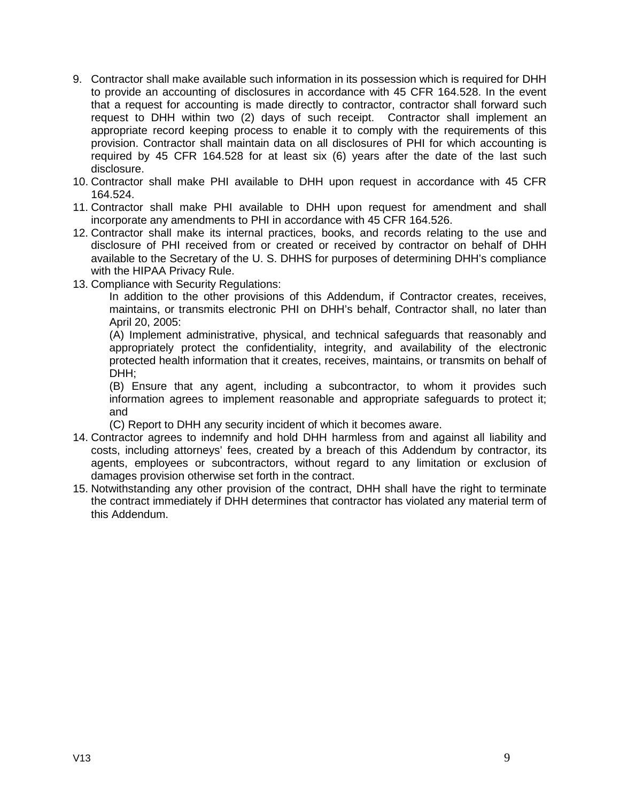- 9. Contractor shall make available such information in its possession which is required for DHH to provide an accounting of disclosures in accordance with 45 CFR 164.528. In the event that a request for accounting is made directly to contractor, contractor shall forward such request to DHH within two (2) days of such receipt. Contractor shall implement an appropriate record keeping process to enable it to comply with the requirements of this provision. Contractor shall maintain data on all disclosures of PHI for which accounting is required by 45 CFR 164.528 for at least six (6) years after the date of the last such disclosure.
- 10. Contractor shall make PHI available to DHH upon request in accordance with 45 CFR 164.524.
- 11. Contractor shall make PHI available to DHH upon request for amendment and shall incorporate any amendments to PHI in accordance with 45 CFR 164.526.
- 12. Contractor shall make its internal practices, books, and records relating to the use and disclosure of PHI received from or created or received by contractor on behalf of DHH available to the Secretary of the U. S. DHHS for purposes of determining DHH's compliance with the HIPAA Privacy Rule.
- 13. Compliance with Security Regulations:

In addition to the other provisions of this Addendum, if Contractor creates, receives, maintains, or transmits electronic PHI on DHH's behalf, Contractor shall, no later than April 20, 2005:

(A) Implement administrative, physical, and technical safeguards that reasonably and appropriately protect the confidentiality, integrity, and availability of the electronic protected health information that it creates, receives, maintains, or transmits on behalf of DHH;

(B) Ensure that any agent, including a subcontractor, to whom it provides such information agrees to implement reasonable and appropriate safeguards to protect it; and

(C) Report to DHH any security incident of which it becomes aware.

- 14. Contractor agrees to indemnify and hold DHH harmless from and against all liability and costs, including attorneys' fees, created by a breach of this Addendum by contractor, its agents, employees or subcontractors, without regard to any limitation or exclusion of damages provision otherwise set forth in the contract.
- 15. Notwithstanding any other provision of the contract, DHH shall have the right to terminate the contract immediately if DHH determines that contractor has violated any material term of this Addendum.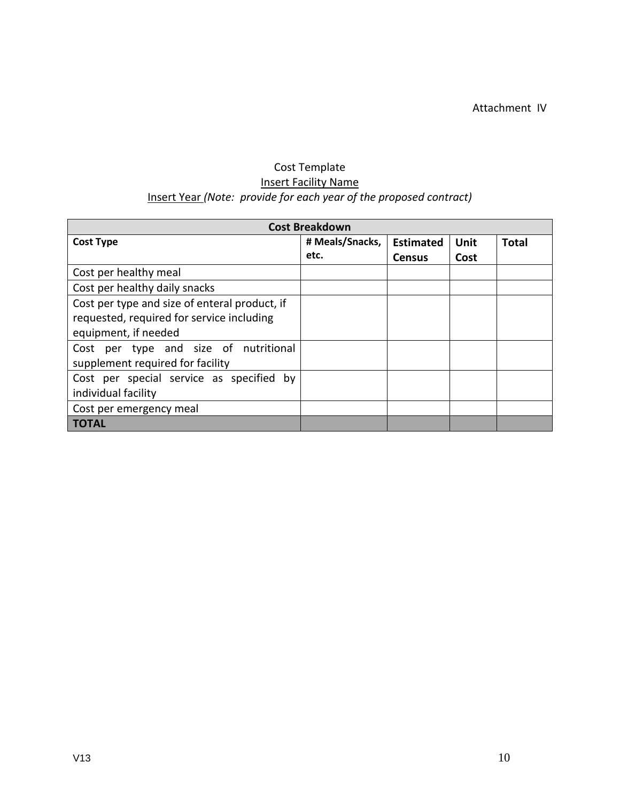Attachment IV

# Cost Template Insert Facility Name Insert Year *(Note: provide for each year of the proposed contract)*

| <b>Cost Breakdown</b>                         |                 |                  |      |              |
|-----------------------------------------------|-----------------|------------------|------|--------------|
| <b>Cost Type</b>                              | # Meals/Snacks, | <b>Estimated</b> | Unit | <b>Total</b> |
|                                               | etc.            | <b>Census</b>    | Cost |              |
| Cost per healthy meal                         |                 |                  |      |              |
| Cost per healthy daily snacks                 |                 |                  |      |              |
| Cost per type and size of enteral product, if |                 |                  |      |              |
| requested, required for service including     |                 |                  |      |              |
| equipment, if needed                          |                 |                  |      |              |
| Cost per type and size of nutritional         |                 |                  |      |              |
| supplement required for facility              |                 |                  |      |              |
| Cost per special service as specified<br>bv   |                 |                  |      |              |
| individual facility                           |                 |                  |      |              |
| Cost per emergency meal                       |                 |                  |      |              |
| TOTAL                                         |                 |                  |      |              |